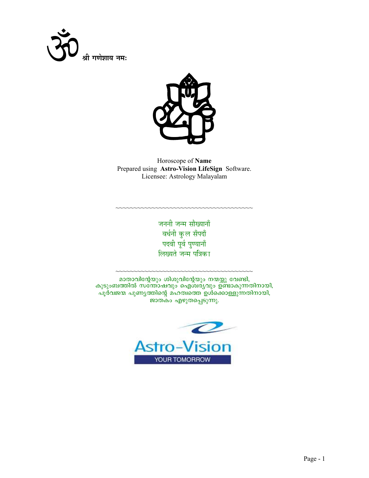



Horoscope of Name Prepared using Astro-Vision LifeSign Software. Licensee: Astrology Malayalam

> जननी जन्म सौख्यानाँ वर्धनी कुल सँपदाँ पदवी पूर्व पुण्यानाँ लिख्यते जन्म पत्रिका

മാതാവിന്റേയും ശിശുവിന്റേയും നന്മയ്ക്കു വേണ്ടി, കുടുംബത്തിൽ സത്തോഷവും ഐശിര്യവും ഉണ്ടാകുന്നതിനായി, പൂർവജന്മ പുണ്യത്തിന്റെ മഹത്വത്തെ ഉൾക്കൊള്ളുന്നതിനായി<u>,</u> ജാതകം എഴുതപ്പെടുന്നു.

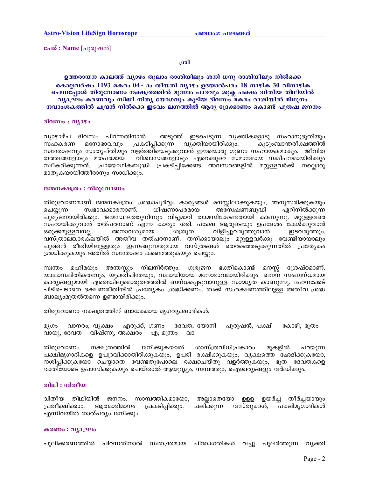പേര് : Name [പുരുഷൻ]

#### ശ്രീ

ഉത്തരായന കാലത്ത് വ്യാഴം തുലാം രാശിയിലും ശനി ധനു രാശിയിലും നിൽക്കെ കൊല്ലവർഷം 1193 മകരം 04 - ാം തീയതി വ്യാഴം ഉദയാൽപരം 18 നാഴിക 30 വിനാഴിക ചെന്നപ്പോൾ തിരുവോണം നക്ഷത്രത്തിൽ മൂന്നാം പാദവും ശുക്ല പക്ഷം ദ്വിതീയ തിഥിയിൽ വ്യാഘ്രം കരണവും സിദ്ധി നിതൃ യോഗവും കൂടിയ ദിവസം മകരം രാശിയിൽ മിഥുനം നവാംശകത്തിൽ ചന്ദ്രൻ നിൽക്കെ ഇടവം ലഗ്നത്തിൽ ആദ്യ ദ്രേക്കാണം കൊണ്ട് പുരുഷ ജനനം

#### ദിവസം : വ്യാഴം

വ്യാഴാഴ്ച ദിവസം പിറന്നതിനാൽ അടുത്ത് ഇടപെടുന്ന വൃക്തികളോടു സഹാനുഭൂതിയും മനോഭാവവും പ്രകടിപ്പിക്കുന്ന വ്യക്തിയായിരിക്കും. കുടുംബാന്തരീക്ഷത്തിൽ സഹകരണ സന്തോഷവും സംതൃപ്തിയും വളർത്തിയെടുക്കുവാൻ ഈയൊരു ഗുണം സഹായകമാകും. ജീവിത തത്ത്വങ്ങളോടും മതപരമായ വിശ്വാസങ്ങളോടും ഏറെക്കുറെ സമാനമായ സമീപനമായിരിക്കും സ്വീകരിക്കുന്നത്. പ്രായോഗികബുദ്ധി പ്രകടിപ്പിക്കേണ്ട അവസരങ്ങളിൽ മറ്റുള്ളവർക്ക് നല്ലൊരു മാതൃകയായിത്തീരാനും സാധിക്കും.

#### ജന്മനക്ഷത്രം : തിരുവോണം

തിരുവോണമാണ് ജന്മനക്ഷത്രം. ശ്രദ്ധാപൂർവ്വം കാര്യങ്ങൾ മനസ്സിലാക്കുകയും, അനുസരിക്കുകയും ചെയ്യുന്ന സ്വഭാവക്കാരനാണ്. ധിഷണാപരമായ അന്വേഷണബുദ്ധി ഏറിനിൽക്കുന്ന പുരുഷനായിരിക്കും. ജന്മസ്ഥലത്തുനിന്നും വിട്ടുമാറി താമസിക്കേണ്ടതായി കാണുന്നു. മറ്റുള്ളവരെ സഹായിക്കുവാൻ തത്പരനാണ് എന്ന കാര്യം ശരി. പക്ഷേ ആരുടെയും ഉപദേശം കേൾക്കുവാൻ ഒരുക്കമുള്ളവനല്ല. അനാവശ്യമായ ശത്രുത വിളിച്ചുവരുത്തുവാൻ ഇടവരുത്തും. വസ്ത്രാലങ്കാരക്ലയിൽ അതീവ തത്പരനാണ്. തനിക്കായാലും മറ്റുള്ളവർക്കു വേണ്ടിയായാലും പുത്തൻ രീതിയിലുള്ളതും ഇണങ്ങുന്നതുമായ വസ്ത്രങ്ങൾ തെരഞ്ഞെടുക്കുന്നതിൽ പ്രത്യേകം ശ്രദ്ധിക്കുകയും അതിൽ സന്തോഷം കണ്ടെത്തുകയും ചെയ്യും.

മഹിമയും അന്തസ്സും നിലനിർത്തും. ഗുരുജന ഭക്തികൊണ്ട് മനസ്സ് സ്വന്തം ശ്രേഷ്ഠമാണ്. യാഥാസ്ഥിതികത്വവും, യുക്തിചിന്തയും, സ്ഥായിയായ മനോഭാവമായിരിക്കും. ഖനന സംബന്ധമായ കാര്യങ്ങളുമായി ഏതെങ്കിലുമൊരുതരത്തിൽ ബന്ധപ്പെടുവാനുള്ള സാദ്ധ്യത കാണുന്നു. ദഹനക്കേട് പിടിപെടാതെ ഭക്ഷണരീതിയിൽ പ്രത്യേകം ശ്രദ്ധിക്കണം. ത്വക്ക് സംരക്ഷണത്തിലുള്ള അതീവ ശ്രദ്ധ ബാല്യംമുതൽതന്നെ ഉണ്ടായിരിക്കും.

തിരുവോണം നക്ഷത്രത്തിന് ബാധകമായ മൃഗവൃക്ഷാദികൾ:

മൃഗം – വാനരം, വൃക്ഷം – എരുക്ക്, ഗണം – ദേവത, യോനി – പുരുഷൻ, പക്ഷി – കോഴി, ഭൂതം – വായു, ദേവത – വിഷ്ണു, അക്ഷരം – എ, മന്ത്രം – വാ

മുകളിൽ തിരുവോണം നക്ഷത്രത്തിൽ ജനിക്കുകയാൽ ശാസ്ത്രവിധിപ്രകാരം പറയുന്ന പക്ഷിമൃഗാദികളെ ഉപദ്രവിക്കാതിരിക്കുകയും, ഉപരി രക്ഷിക്കുകയും, വൃക്ഷത്തെ ഛേദിക്കുകയോ, നശിപ്പിക്കുകയോ ചെയ്യാതെ വേണ്ടതുപോലെ രക്ഷചെയ്തു വളർത്തുകയും, ഭൂത ദേവതകളെ ഭക്തിയോടെ ഉപാസിക്കുകയും ചെയ്താൽ ആയുസ്സും, സമ്പത്തും, ഐശ്വരൃങ്ങളും വർദ്ധിക്കും.

#### തിഥി : ദ്വിതീയ

ദ്വിതീയ തിഥിയിൽ ജനനം. സാമ്പത്തികമായോ, അല്ലാതെയോ ഉളള ഉയർച്ച തീർച്ചയായും പ്രതീക്ഷിക്കാം. ആത്മാഭിമാനം പ്രകടിപ്പിക്കും. ചലിക്കുന്ന വസ്തുക്കൾ, പക്ഷിമൃഗാദികൾ എന്നിവയിൽ താത്പര്യം ജനിക്കും.

#### കരണം : വ്യാഘ്രം

പുലിക്കരണത്തിൽ പിറന്നതിനാൽ സ്വതന്ത്രമായ ചിന്താഗതികൾ വച്ചു പുലർത്തുന്ന വ്യക്തി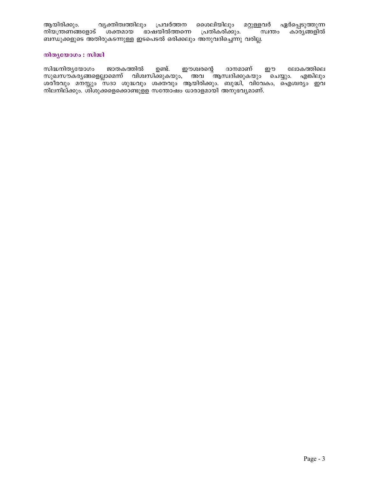ആയിരിക്കും. വ്യക്തിത്വത്തിലും പ്രവർത്തന ശൈലിയിലും മറ്റുള്ളവർ ഏർപ്പെടുത്തുന്ന നിയന്ത്രണങ്ങളോട് ശക്തമായ ഭാഷയിൽത്തന്നെ പ്രതികരിക്കും. സ്വന്തം കാര്യങ്ങളിൽ ബന്ധുക്കളുടെ അതിരുകടന്നുള്ള ഇടപെടൽ ഒരിക്കലും അനുവദിച്ചെന്നു വരില്ല.

## നിതൃയോഗം : സിദ്ധി

ഉണ്ട്. സിദ്ധനിതൃയോഗം ജാതകത്തിൽ ഈശ്വരന്റെ ദാനമാണ് ഈ ലോകത്തിലെ സുഖസൗകരൃങ്ങളെല്ലാമെന്ന് വിശ്വസിക്കുകയും, അവ ്ആസ്വദിക്കുകയും ചെയ്യും. എങ്കിലും ശരീരവും മനസ്സും സദാ ശുദ്ധവും ശക്തവും ആയിരിക്കും. ബുദ്ധി, വിവേകം, ഐശ്വര്യം ഇവ നിലനില്ക്കും. ശ്ിശുക്കളെക്കൊണ്ടുളള സന്തോഷം ധാരാളമായി അനുഭവൃമാണ്.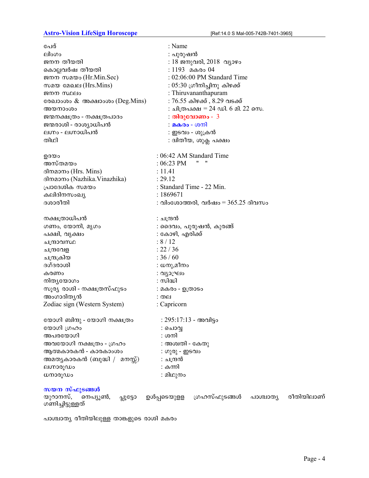# Astro-Vision LifeSign Horoscope [Ref:14.0 S Mal-005-742B-7401-3965]

| പേര്                                                 | : Name                                                 |
|------------------------------------------------------|--------------------------------------------------------|
| ലിംഗം                                                | : പുരുഷൻ                                               |
| ജനന തീയതി                                            | : 18 ജനുവരി, 2018  വ്യാഴം                              |
| കൊല്ലവർഷ തീയതി                                       | : 1193 മകരം 04                                         |
| ജനന സമയം (Hr.Min.Sec)                                | : 02:06:00 PM Standard Time                            |
| സമയ മേഖല (Hrs.Mins)                                  | $: 05:30$ ഗ്രീനിച്ചിനു കിഴക്ക്                         |
| ജനന സ്ഥലം                                            | : Thiruvananthapuram                                   |
| രേഖാംശം & അക്ഷാംശം (Deg.Mins)                        | : 76.55 കിഴക്ക് , 8.29 വടക്ക്                          |
| അയനാംശം                                              | : ചിത്രപക്ഷ = 24 ഡി. 6 മി. 22 സെ.                      |
| ജന്മനക്ഷത്രം - നക്ഷത്രപാദം                           | : തിരുവോണം - 3                                         |
| ജന്മരാശി - രാശ്യാധിപൻ                                | : മകരം - ശനി                                           |
| ലഗ്നം - ലഗ്നാധിപൻ                                    | : ഇടവം - ശുക്രൻ                                        |
| തിഥി                                                 | : ദ്വിതീയ, ശുക്ല പക്ഷം                                 |
|                                                      |                                                        |
| ഉദയം                                                 | : 06:42 AM Standard Time                               |
| അസ്തമയം                                              | 11<br>$: 06:23 \text{ PM}$                             |
| ദിനമാനം (Hrs. Mins)                                  | : 11.41                                                |
| ദിനമാനം (Nazhika.Vinazhika)                          | : 29.12                                                |
| പ്രാദേശിക സമയം                                       | : Standard Time - 22 Min.                              |
| കലിദിനസംഖ്യ                                          | : 1869671                                              |
| ദശാരീതി                                              | : വിംശോത്തരി, വർഷം = $365.25$ ദിവസം                    |
|                                                      |                                                        |
| നക്ഷത്രാധിപൻ                                         | : ചന്ദ്രൻ                                              |
| ഗണം, യോനി, മൃഗം                                      | : ദൈവം, പുരുഷൻ, കുരങ്ങ്                                |
| പക്ഷി, വൃക്ഷം                                        | : കോഴി, എരിക്ക്                                        |
| ചന്ദ്രാവസ്ഥ                                          | : 8/12                                                 |
| ചന്ദ്രവേള                                            | : 22 / 36                                              |
| ചന്ദ്രക്രിയ                                          | : 36 / 60                                              |
| ദഗ്ദരാശി                                             | : ധനു,മീനം                                             |
| കരണം                                                 | : വ്യാഘ്രം                                             |
| നിതൃയോഗം                                             | : സിദ്ധി                                               |
| സൂര്യ രാശി - നക്ഷത്രസ്ഫുടം                           | : മകരം - ഉത്രാടം                                       |
| അംഗാദിത്യൻ                                           | : തല                                                   |
| Zodiac sign (Western System)                         | : Capricorn                                            |
| യോഗി ബിന്ദു - യോഗി നക്ഷത്രം                          | $: 295:17:13$ - അവിട്ടം                                |
| യോഗി ഗ്രഹം                                           | : ചൊവ്വ                                                |
| അപരയോഗി                                              | : ശനി                                                  |
| അവയോഗി നക്ഷത്രം - ഗ്രഹം                              | : അശ്വതി - കേതു                                        |
| ആത്മകാരകൻ - കാരകാംശം                                 | : ഗുരു - ഇടവം                                          |
| അമതൃകാരകൻ (ബുദ്ധി /  മനസ്സ്)                         | : ചന്ദ്രൻ                                              |
| ലഗ്നാരൂഡം                                            | : കന്നി                                                |
| ധനാരൂഡം                                              | : മിഥുനം                                               |
|                                                      |                                                        |
| സയന സ്ഫുടങ്ങൾ                                        |                                                        |
| യുറാനസ്,<br>നെപ്യൂൺ,<br>പ്പൂട്ടോ<br>ഗണിച്ചിട്ടുള്ളത് | രീതിയിലാണ്<br>ഗ്രഹസ്ഫുടങ്ങൾ<br>ഉൾപ്പടെയുളള<br>പാശ്ചാതൃ |

പാശ്ചാത്യ രീതിയിലുള്ള താങ്കളുടെ രാശി മകരം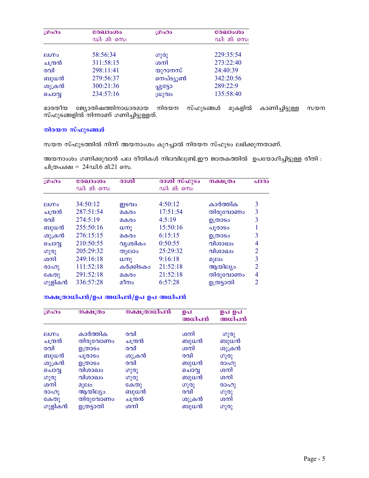| LOADO        | രേഖാംശം     | ഗ്രഹം                | രേഖാംശം     |
|--------------|-------------|----------------------|-------------|
|              | ഡി: മി: സെ: |                      | ഡി: മി: സെ: |
| <b>Alupo</b> | 58:56:34    | ഗുരു                 | 229:35:54   |
| ചന്ദ്രൻ      | 311:58:15   | ശനി                  | 273:22:40   |
| രവി          | 298:11:41   | യുറാനസ്              | 24:40:39    |
| ബുധൻ         | 279:56:37   | നെപ്ട്യൂൺ            | 342:20:56   |
| ശുക്രൻ       | 300:21:36   | വീട്ടോ               | 289:22:9    |
| ചൊവൃ         | 234:57:16   | $\omega_{\Omega}$ വം | 135:58:40   |

ഭാരതീയ ജ്യോതിഷത്തിനാധാരമായ നിരയന സ്ഫുടങ്ങൾ മുകളിൽ കാണിച്ചിട്ടുള്ള സയന<br>സ്ഫുടങ്ങളിൽ നിന്നാണ് ഗണിച്ചിട്ടുള്ളത്.

## നിരയന സ്ഫുടങ്ങൾ

സയന സ്ഫുടത്തിൽ നിന്ന് അയനാംശം കുറച്ചാൽ നിരയന സ്ഫുടം ലഭിക്കുന്നതാണ്.

അയനാംശം ഗണിക്കുവാൻ പല രീതികൾ നിലവിലുണ്ട്.ഈ ജാതകത്തിൽ ഉപയോഗിച്ചിട്ടുള്ള രീതി : ചിത്രപക്ഷ =  $24$ ഡി.6 മി.21 സെ.

| LOADO        | രേഖാംശം<br>ഡി: മി: സെ: | രാശി         | രാശി സ്ഫുടം<br>ഡി: മി: സെ: | <b>നക്ഷ</b> ത്രം | പാദം           |
|--------------|------------------------|--------------|----------------------------|------------------|----------------|
| <b>AIODO</b> | 34:50:12               | ഇടവം         | 4:50:12                    | കാർത്തിക         | 3              |
| ചന്ദ്രൻ      | 287:51:54              | മകരം         | 17:51:54                   | തിരുവോണം         | 3              |
| രവി          | 274:5:19               | മകരം         | 4:5:19                     | ഉത്രാടം          | 3              |
| ബുധൻ         | 255:50:16              | $\omega$ m   | 15:50:16                   | പൂരാടം           |                |
| ശുക്രൻ       | 276:15:15              | മകരം         | 6:15:15                    | ഉത്രാടം          | 3              |
| ചൊവൃ         | 210:50:55              | വൃശ്ചികം     | 0:50:55                    | വിശാഖം           | 4              |
| ഗുരു         | 205:29:32              | തുലാം        | 25:29:32                   | വിശാഖം           | $\overline{2}$ |
| ശനി          | 249:16:18              | $(\omega_0)$ | 9:16:18                    | മൂലം             | 3              |
| രാഹു         | 111:52:18              | കർക്കിടകം    | 21:52:18                   | ആയില്യം          | 2              |
| കേതു         | 291:52:18              | മകരം         | 21:52:18                   | തിരുവോണം         | 4              |
| ഗുളികൻ       | 336:57:28              | മീനം         | 6:57:28                    | ഉത്രട്ടാതി       | 2              |

# നക്ഷത്രാധിപൻ/ഉപ അധിപൻ/ഉപ ഉപ അധിപൻ

| (0 <sub>0</sub> ) <sub>0</sub> | നക്ഷത്രം   | നക്ഷത്രാധിപൻ | ഉപ<br>അധിപൻ | ഉപ ഉപ<br>അധിപൻ |
|--------------------------------|------------|--------------|-------------|----------------|
| <b>Alugo</b>                   | കാർത്തിക   | രവി          | ശനി         | ഗുരു           |
| ചന്ദ്രൻ                        | തിരുവോണം   | ചന്ദ്രൻ      | ബുധൻ        | ബുധൻ           |
| രവി                            | ഉത്രാടം    | രവി          | ശനി         | ശുക്രൻ         |
| ബുധൻ                           | പൂരാടം     | ശുക്രൻ       | രവി         | ഗുരു           |
| ശുക്രൻ                         | ഉത്രാടം    | രവി          | ബുധൻ        | രാഹു           |
| ചൊവൃ                           | വിശാഖം     | ഗുരു         | ചൊവ         | ശനി            |
| ഗുരു                           | വിശാഖം     | ഗുരു         | ബുധൻ        | ശനി            |
| ശനി                            | മൂലം       | കേതു         | ഗുരു        | രാഹു           |
| രാഹു                           | ആയില്യം    | ബുധൻ         | രവി         | ഗുരു           |
| കേതു                           | തിരുവോണം   | ചന്ദ്രൻ      | ശുക്രൻ      | ശനി            |
| ഗുളികൻ                         | ഉത്രട്ടാതി | ശനി          | ബുധൻ        | ഗുരു           |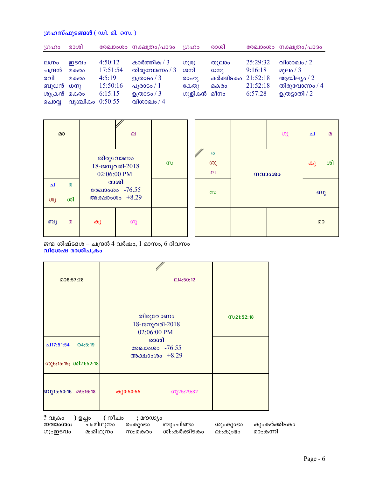# ഗ്രഹസ്ഫുടങ്ങൾ  $(\omega$ ി. മി. സെ.)

| ഗ്രഹം        | രാശി             |          | രേഖാംശം നക്ഷത്രം/പാദം | 10000                | രാശി               |          | രേഖാംശം നക്ഷത്രം/പാദം |
|--------------|------------------|----------|-----------------------|----------------------|--------------------|----------|-----------------------|
|              |                  |          |                       |                      |                    |          |                       |
| <b>AluDo</b> | ഇടവം             | 4:50:12  | കാർത്തിക / $3$        | $(0)$ <sub>(0)</sub> | തുലാം              | 25:29:32 | വിശാഖം / 2            |
| ചന്ദ്രൻ      | മകരം             | 17:51:54 | തിരുവോണം / 3          | ശനി                  | $(\omega_0)$       | 9:16:18  | മൂലം / 3              |
| രവി          | മകരം             | 4:5:19   | ഉത്രാടം / $3$         | രാഹു                 | കർക്കിടകം 21:52:18 |          | ആയില്യം / $2$         |
| ബുധൻ ധനു     |                  | 15:50:16 | പൂരാടം / $1\,$        | കേതു                 | മകരം               | 21:52:18 | തിരുവോണം / $4$        |
| ശുക്രൻ മകരം  |                  | 6:15:15  | ഉത്രാടം / $3$         | ഗുളികൻ മീനം          |                    | 6:57:28  | ഉത്രട്ടാതി / $2$      |
| ചൊവ          | വൃശ്ചികം 0:50:55 |          | വിശാഖം / $4$          |                      |                    |          |                       |

| മാ  |    | $\mathbf{H}$           |                            |   |
|-----|----|------------------------|----------------------------|---|
|     |    | 02:06:00 PM            | തിരുവോണം<br>18-ജനുവരി-2018 | സ |
| ച   | ര  | രാശി<br>രേഖാംശം -76.55 |                            |   |
| (0) | ശി |                        | അക്ഷാംശം +8.29             |   |
| ബു  | മ  | കു                     | ဟു                         |   |

|          |  | $\omega$ | ച  | $\Omega$ |
|----------|--|----------|----|----------|
| $\circ$  |  | നവാംശം   | കു | ശി       |
| $\infty$ |  |          | ബു |          |
|          |  |          | മാ |          |

ജന്മ ശിഷ്ടദശ $=$  ചന്ദ്രൻ 4 വർഷം, 1 മാസം, 6 ദിവസം വിശേഷ രാശിചക്രം

| 206:57:28                                     |             | @4:50:12                                                               |           |
|-----------------------------------------------|-------------|------------------------------------------------------------------------|-----------|
| 117:51:54<br>@4:5:19<br>ശു6:15:15; ശി21:52:18 | 02:06:00 PM | തിരുവോണം<br>18-ജനുവരി-2018<br>രാശി<br>രേഖാംശം -76.55<br>അക്ഷാംശം +8.29 | M21:52:18 |
| ബു15:50:16 മ9:16:18                           | കു0:50:55   | ഗു25:29:32                                                             |           |

? വക്രം ) ഉച്ചം ( നീചം ; മൗഢ്യം നവാംശം: ച::മിഥുനം ര::കുംഭം ബു::ചിങ്ങം ശു::കുംഭം കു::കർക്കിടകം മ::മിഥുനം ശി::കർക്കിടകം മാ::കന്നി ഗു**∷ഇടവം** സ::മകരം ല∷കുാഭാ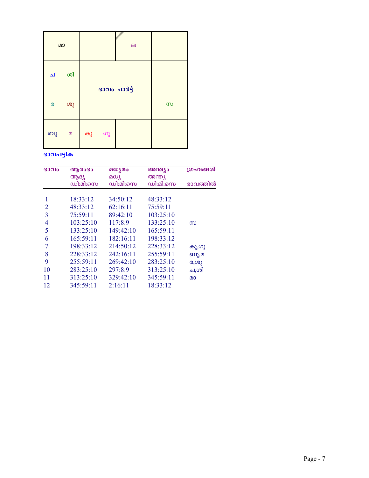| മാ      |          | $\overline{p}$ |      |              |          |
|---------|----------|----------------|------|--------------|----------|
| ച       | ശി       |                |      | ഭാവം ചാർട്ട് |          |
| $\circ$ | ശു       |                |      |              | $\infty$ |
| ബു      | $\Omega$ | കു             | _ ဟു |              |          |

# ഭാവപട്ടിക

| G0010          | ആരംഭം     | മധ്യമം    | അന്ത്യം   | ഗ്രഹങ്ങൾ |
|----------------|-----------|-----------|-----------|----------|
|                | ആദ്യ      | മധ്യ      | അന്ത്യ    |          |
|                | ഡി:മി:സെ  | ഡി:മി:സെ  | ഡി:മി:സെ  | ഭാവത്തിൽ |
|                | 18:33:12  | 34:50:12  | 48:33:12  |          |
| 2              | 48:33:12  | 62:16:11  | 75:59:11  |          |
| 3              | 75:59:11  | 89:42:10  | 103:25:10 |          |
| 4              | 103:25:10 | 117:8:9   | 133:25:10 | $\infty$ |
| 5              | 133:25:10 | 149:42:10 | 165:59:11 |          |
| 6              | 165:59:11 | 182:16:11 | 198:33:12 |          |
| $\overline{7}$ | 198:33:12 | 214:50:12 | 228:33:12 | കു,ഗു    |
| 8              | 228:33:12 | 242:16:11 | 255:59:11 | ബു,മ     |
| 9              | 255:59:11 | 269:42:10 | 283:25:10 | (0,00)   |
| 10             | 283:25:10 | 297:8:9   | 313:25:10 | ച,ശി     |
| 11             | 313:25:10 | 329:42:10 | 345:59:11 | മാ       |
| 12             | 345:59:11 | 2:16:11   | 18:33:12  |          |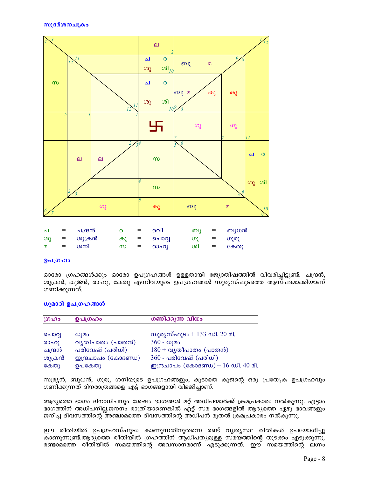

#### ഉപഗ്രഹം

ഓരോ ഗ്രഹങ്ങൾക്കും ഓരോ ഉപഗ്രഹങ്ങൾ ഉള്ളതായി ജ്യോതിഷത്തിൽ വിവരിച്ചിട്ടുണ്ട്. ചന്ദ്രൻ, ശുക്രൻ, കുജൻ, രാഹു, കേതു എന്നിവയുടെ ഉപഗ്രഹങ്ങൾ സൂര്യസ്ഫുടത്തെ ആസ്പദമാക്കിയാണ് ഗണിക്കുന്നത്.

## ധൂമാദി ഉപഗ്രഹങ്ങൾ

| ശ്രഹം   | ഉപഗ്രഹം                       | ഗണിക്കുന്ന വിധം                            |
|---------|-------------------------------|--------------------------------------------|
| ചൊവ്വ   | W <sub>1</sub> 2 <sub>0</sub> | സൂര്യസ്ഫുടം + 133 ഡി. 20 മി.               |
| രാഹു    | വൃതീപാതം (പാതൻ)               | $360 - \omega$ ുമം                         |
| ചന്ദ്രൻ | പരിവേഷ് (പരിധി)               | $180 + \alpha$ ൃതീപാതം (പാതൻ)              |
| ശുക്രൻ  | <u> ഇന്ദ്രചാപം (കോദണ്ഡ)</u>   | $360$ - പരിവേഷ് (പരിധി)                    |
| കേതു    | ഉപകേതു                        | <u>തന്ത്രചാപം</u> (കോദണ്ഡ) + 16 ഡി. 40 മി. |

സൂര്യൻ, ബുധൻ, ഗുരു, ശനിയുടെ ഉപഗ്രഹങ്ങളും, കൂടാതെ കുജന്റെ ഒരു പ്രത്യേക ഉപഗ്രഹവും ഗണിക്കുന്നത് ദിനരാത്രങ്ങളെ എട്ട് ഭാഗങ്ങളായി വിഭജിച്ചാണ്.

ആദ്യത്തെ ഭാഗം ദിനാധിപനും ശേഷം ഭാഗങ്ങൾ മറ്റ് അധിപന്മാർക്ക് ക്രമപ്രകാരം നൽകുന്നു. എട്ടാം ഭാഗത്തിന് അധിപനില്ല.ജനനം രാത്രിയാണെങ്കിൽ എ്ട്ട് സമ ഭാഗങ്ങളിൽ ആദ്യത്തെ ഏഴു ഭാവങ്ങളും ജനിച്ച ദിവസത്തിന്റെ അഞ്ചാമത്തെ ദിവസത്തിന്റെ അധിപൻ മുതൽ ക്രമപ്രകാരം നൽകുന്നു.

ഈ രീതിയിൽ ഉപഗ്രഹസ്ഫുടം കാണുന്നതിനുതന്നെ രണ്ട് വ്യത്യസ്ഥ രീതികൾ ഉപയോഗിച്ചു കാണുന്നുണ്ട്.ആദ്യത്തെ രീതിയിൽ ഗ്രഹത്തിന് ആധിപത്യമുള്ള സമയത്തിന്റെ തുടക്കം എടുക്കുന്നു. രണ്ടാമത്തെ രീതിയിൽ സമയത്തിന്റെ അവസാനമാണ് എടുക്കുന്നത്. ഈ സമയത്തിന്റെ ലഗ്നം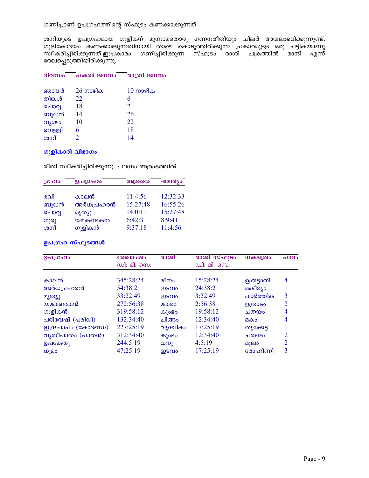ഗണിച്ചാണ് ഉപഗ്രഹത്തിന്റെ സ്ഫുടം കണക്കാക്കുന്നത്.

ശനിയുടെ ഉപഗ്രഹമായ ഗുളികന് മൂന്നാമതൊരു ഗണനരീതിയും ചിലർ അവലംബിക്കുന്നുണ്ട്. ്ഗുളികോദയം കണക്കാക്കുന്നതിനായി താഴെ കൊടുത്തിരിക്കുന്ന**് പ്രകാരമുള്ള ഒരു പട്ടിക്യാണു** സ്ഥീകരിച്ചിരിക്കുന്നത്.ഇപ്രകാരം ഗണിച്ചിരിക്കുന്ന സ്ഫുടം രാശി ചക്രത്തിൽ മാന്ദി എന്ന് രേഖപ്പെടുത്തിയിരിക്കുന്നു.

| ദിവസം  | പകൽ ജനനം | രാത്രി ജനനം        |
|--------|----------|--------------------|
| ഞായർ   | 26 നാഴിക | $10 \text{ m}$ ഴിക |
| തിങ്കൾ | 22       | 6                  |
| ചൊവൃ   | 18       | 2                  |
| ബുധൻ   | 14       | 26                 |
| വ്യാഴം | 10       | 22                 |
| വെള്ളി | 6        | 18                 |
| ശനി    |          | 14                 |

## ഗുളികാദി വിഭാഗം

രീതി സ്വീകരിച്ചിരിക്കുന്നു. : ലഗ്നം ആരംഭത്തിൽ

| ഗ്രഹം | ഉപഗ്രഹം   | ആരാഭാ    | അന്ത്യം  |
|-------|-----------|----------|----------|
| രവി   | കാലൻ      | 11:4:56  | 12:32:33 |
| ബുധൻ  | അർധപ്രഹരൻ | 15:27:48 | 16:55:26 |
| ചൊവൃ  | മൃത്യു    | 14:0:11  | 15:27:48 |
| ഗുരു  | യമകണ്ടകൻ  | 6:42:3   | 8:9:41   |
| ശനി   | ഗുളികൻ    | 9:37:18  | 11:4:56  |

## ഉപഗ്രഹ സ്ഫുടങ്ങൾ

| ഉപഗ്രഹം             | രേഖാംശം<br>ഡി: മി: സെ: | രാശി            | രാശി സ്ഫുടം<br>ഡി: മി: സെ: | <b>നക്ഷ</b> ത്രം | a1030 |
|---------------------|------------------------|-----------------|----------------------------|------------------|-------|
| കാലൻ                | 345:28:24              | മീനം            | 15:28:24                   |                  | 4     |
|                     |                        |                 |                            | ഉത്രട്ടാതി       |       |
| അർധപ്രഹരൻ           | 54:38:2                | ഇടവം            | 24:38:2                    | മകീര്യം          |       |
| മൃത്യു              | 33:22:49               | ഇടവം            | 3:22:49                    | കാർത്തിക         | 3     |
| യമകണ്ടകൻ            | 272:56:38              | മകരം            | 2:56:38                    | ഉത്രാടം          | 2     |
| ഗുളികൻ              | 319:58:12              | കുാഭാ           | 19:58:12                   | ചതയം             | 4     |
| പരിവേഷ് (പരിധി)     | 132:34:40              | ചിങ്ങം          | 12:34:40                   | മകം              | 4     |
| ഇന്ദ്രചാപം (കോദണ്ഡ) | 227:25:19              | വൃശ്ചികം        | 17:25:19                   | തൃക്കേട്ട        |       |
| വ്യതീപാതം (പാതൻ)    | 312:34:40              | കുാഭാ           | 12:34:40                   | ചതയം             | 2     |
| ഉപകേതു              | 244:5:19               | $(\cup \infty)$ | 4:5:19                     | മൂലം             |       |
| W)20                | 47:25:19               | ഇടവം            | 17:25:19                   | രോഹിണി           | 3     |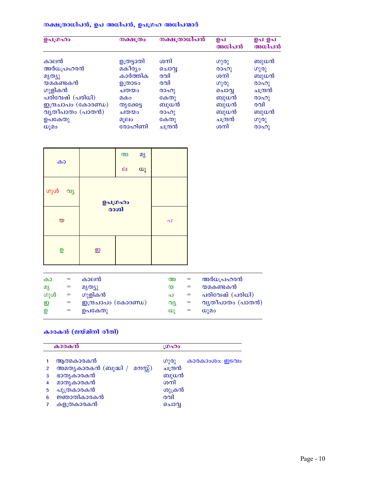# നക്ഷത്രാധിപൻ, ഉപ അധിപൻ, ഉപഗ്രഹ അധിപന്മാർ

| ഉപഗ്രഹം             | നക്ഷത്രം   | നക്ഷത്രാധിപൻ | ഉപ<br>അധിപൻ | ഉപ ഉപ<br>അധിപൻ |
|---------------------|------------|--------------|-------------|----------------|
| കാലൻ                | ഉത്രട്ടാതി | ശനി          | ഗുരു        | ബുധൻ           |
| അർധപ്രഹരൻ           | മകീര്യം    | ചൊവൃ         | രാഹു        | ഗുരു           |
| മൃത്യു              | കാർത്തിക   | രവി          | ശനി         | ബുധൻ           |
| യമകണ്ടകൻ            | ഉത്രാടം    | രവി          | ഗുരു        | (000)          |
| ഗുളികൻ              | ചതയം       | രാഹു         | ചൊവ്വ       | ചന്ദ്രൻ        |
| പരിവേഷ് (പരിധി)     | മകം        | കേതു         | ബുധൻ        | രാഹു           |
| ഇന്ദ്രചാപം (കോദണ്ഡ) | തൃക്കേട്ട  | ബുധൻ         | ബുധൻ        | രവി            |
| വ്യതീപാതം (പാതൻ)    | ചതയം       | രാഹു         | ബുധൻ        | ബുധൻ           |
| ഉപകേതു              | മൂലം       | കേതു         | ചന്ദ്രൻ     | ഗുരു           |
| ധൂമം                | രോഹിണി     | ചന്ദ്രൻ      | ശനി         | രാഹു           |

| കാ                       |         | $\omega$<br>$\boldsymbol{\mathsf{e}}$ | മൃ<br>$\omega$ |  |
|--------------------------|---------|---------------------------------------|----------------|--|
| ഗുൾ വ്യ                  | ഉപഗ്രഹം |                                       |                |  |
| $\infty$                 | രാശി    | പ                                     |                |  |
| $\underline{\mathbb{Q}}$ | ഇ       |                                       |                |  |

| കാ  | $=$      | കാലൻ                       | അ        | $=$ | അർധപ്രഹരൻ                     |
|-----|----------|----------------------------|----------|-----|-------------------------------|
| മൃ  |          | മൃത്യു                     | $\infty$ |     | യമകണ്ടകൻ                      |
| ഗുൾ | $\equiv$ | ഗുളികൻ                     | പ        | $=$ | പരിവേഷ് (പരിധി)               |
| ஹ   | $=$      | <u>ഇന്ദ്രചാപം</u> (കോദണ്ഡ) | വ്യ      | $=$ | വ്യതീപാതം (പാതൻ)              |
| ഉ   | $=$      | ഉപകേതു                     | ω)       | $=$ | W <sub>1</sub> 2 <sub>0</sub> |
|     |          |                            |          |     |                               |

# കാരകൻ (ജയ്മിനി രീതി)

|                | കാരകൻ                        | ശ്രഹം                  |
|----------------|------------------------------|------------------------|
|                | ആത്മകാരകൻ                    | കാരകാംശം: ഇടവം<br>ഗുരു |
| $\overline{2}$ | അമത്യകാരകൻ (ബുദ്ധി / മനസ്സ്) | ചന്ദ്രൻ                |
| 3              | ഭാതൃകാരകൻ                    | ബുധൻ                   |
| 4              | മാതൃകാരകൻ                    | ശനി                    |
| 5              | പുത്രകാരകൻ                   | ശുക്രൻ                 |
| 6              | ജ്ഞാതികാരകൻ                  | രവി                    |
| 7              | കളത്രകാരകൻ                   | ചൊവ                    |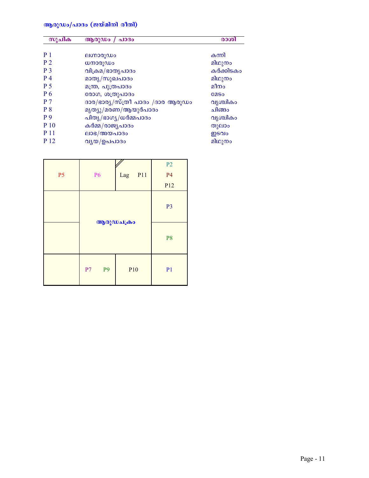# ആരുഡം/പാദം (ജയ്മിനി രീതി)

| സൂചിക          | ആരുഡം / പാദം                     | രാശി        |
|----------------|----------------------------------|-------------|
| P <sub>1</sub> | ലഗ്നാരൂഡം                        | കന്നി       |
| P <sub>2</sub> | ധനാരൂഡം                          | മിഥുനം      |
| P <sub>3</sub> | വിക്രമ/ഭാതൃപാദം                  | കർക്കിടകം   |
| P <sub>4</sub> | മാതൃ/സുഖപാദം                     | മിഥുനം      |
| P <sub>5</sub> | മന്ത്ര, പുത്രപാദം                | മീനം        |
| P 6            | രോഗ, ശത്രുപാദം                   | <b>COSO</b> |
| P <sub>7</sub> | ദാര/ഭാര്യ/സ്ത്രീ പാദം /ദാര ആരൂഡം | വൃശ്ചികം    |
| P <sub>8</sub> | മൃത്യൂ/മരണ/ആയുർപാദം              | ചിങ്ങം      |
| P <sub>9</sub> | പിതൃ/ഭാഗൃ/ധർമ്മപാദം              | വൃശ്ചികം    |
| P 10           | കർമ്മ/രാജ്യപാദം                  | തുലാം       |
| P 11           | ലാഭ/അയപാദം                       | ഇടവം        |
| P 12           | വ്യയ/ഉപപാദം                      | മിഥുനം      |

|           |                      |                 | P <sub>2</sub>  |
|-----------|----------------------|-----------------|-----------------|
| <b>P5</b> | P <sub>6</sub>       | P11<br>Lag      | <b>P4</b>       |
|           |                      |                 | P <sub>12</sub> |
|           |                      | ആരുഡചക്രം       | P <sub>3</sub>  |
|           |                      | P <sub>8</sub>  |                 |
|           | P <sub>9</sub><br>P7 | P <sub>10</sub> | P <sub>1</sub>  |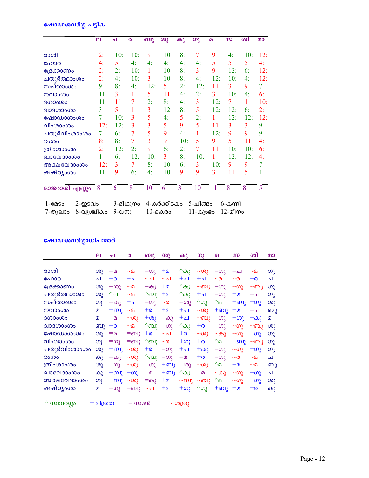# <u>ഷോഡശവർഗ്ഗ</u> പട്ടിക

| ല   | ച   | $\boldsymbol{\omega}$ | ബു             | ശു  | കു  | ഗു             | $\boldsymbol{p}$ | $\boldsymbol{\omega}$ | ശി  | $\Omega$ |
|-----|-----|-----------------------|----------------|-----|-----|----------------|------------------|-----------------------|-----|----------|
| 2:  | 10: | 10:                   | 9              | 10: | 8:  | 7              | 9                | 4:                    | 10: | 12:      |
| 4:  | 5   | 4:                    | 4:             | 4:  | 4:  | 4:             | 5                | 5                     | 5   | 4:       |
| 2:  | 2:  | 10:                   | 1              | 10: | 8:  | 3              | 9                | 12:                   | 6:  | 12:      |
| 2:  | 4:  | 10:                   | 3              | 10: | 8:  | 4:             | 12:              | 10:                   | 4:  | 12:      |
| 9   | 8:  | 4:                    | 12:            | 5   | 2:  | 12:            | 11               | 3                     | 9   | 7        |
| 11  | 3   | 11                    | 5              | 11  | 4:  | 2:             | 3                | 10:                   | 4:  | 6:       |
| 11  | 11  | 7                     | 2:             | 8:  | 4:  | 3              | 12:              | 7                     | 1   | 10:      |
| 3   | 5   | 11                    | 3              | 12: | 8:  | 5              | 12:              | 12:                   | 6:  | 2:       |
|     | 10: | 3                     | 5              | 4:  | 5   | 2:             |                  | 12:                   | 12: | 12:      |
| 12: | 12: | 3                     | 3              | 5   | 9   | 5              | 11               | 3                     | 3   | 9        |
| 7   | 6:  | 7                     | 5              | 9   | 4:  | 1              | 12:              | 9                     | 9   | 9        |
| 8:  | 8:  | 7                     | $\overline{3}$ | 9   | 10: | 5              | 9                | 5                     | 11  | 4:       |
| 2:  | 12: | 2:                    | 9              | 6:  | 2:  | $\overline{7}$ | 11               | 10:                   | 10: | 6:       |
|     | 6:  | 12:                   | 10:            | 3   | 8:  | 10:            | 1                | 12:                   | 12: | 4:       |
| 12: | 3   | 7                     | 8:             | 10: | 6:  | 3              | 10:              | 9                     | 9   | 7        |
| 11  | 9   | 6:                    | 4:             | 10: | 9   | 9              | 3                | 11                    | 5   | 1        |
| 8   | 6   | 8                     | 10             | 6   | 3   | 10             | 11               | 8                     | 8   | 5        |
|     |     |                       |                |     |     |                |                  |                       |     |          |

| 1-CASo | 2-ഇടവം                   | 3-മിഥുനം 4-കർക്കിടകം 5-ചിങ്ങം 6-കന്നി |                        |  |
|--------|--------------------------|---------------------------------------|------------------------|--|
|        | 7-തുലാം 8-വൃശ്ചികം 9-ധനു | $10$ -മകരം                            | $11$ -കുംഭം $12$ -മീനം |  |

# ഷോഡശവർഗ്ഗാധിപന്മാർ

|              | ല        | ا م           | $\boldsymbol{\omega}$ | ബു             | ശു        | കു             | ഗു             | $\boldsymbol{p}$                           | $\boldsymbol{\omega}$ | ശി           | മാ   |
|--------------|----------|---------------|-----------------------|----------------|-----------|----------------|----------------|--------------------------------------------|-----------------------|--------------|------|
|              |          |               |                       |                |           |                |                |                                            |                       |              |      |
| രാശി         | ശു       | =മ            | $\sim$ മ              | $=\infty$      | $+$ ወ     | $^{\wedge}$ കു | $\sim$ ശു      | $=\infty$                                  | $=$ $\Delta$          | $\sim$ മ     | ഗു   |
| ഹോര          | ا م      | $+{\circ}$    | $+$ له                | $\sim$ ച       | $\sim$ ا  | $+$ له         | $+Ω$           | $\sim$ $\infty$                            | $\sim$ $\infty$       | $+0$         | له   |
| ്രേക്കാണം    | ശു       | $=\infty$ ു   | $\sim$ മ              | $=$ $\omega$   | $+2$      | $^{\wedge}$ കു | $\sim$ ബു      | $=\infty$                                  | $\sim$ ഗു             | $\sim$ ബു    | ပာ္ခ |
| ചതുർത്ഥാംശം  | ശു       | $^{\wedge}$ ച | $\sim$ മ              | $^{\wedge}$ ബു | $+2$      | $^{\wedge}$ കു | $+0$           | $=\omega$                                  | $+2$                  | $=$ $\Delta$ | ဟု   |
| സപ്താംശം     | ဖာ္မွ    | =കു           | +ച                    | $=\infty$      | $\sim$ 0  | $=\infty$      | $^{\wedge}$ ഗു | $^{\wedge}$ മ                              | $+$ ബു                | $+\omega$    | ശു   |
| നവാംശം       | $\Omega$ | $+$ ബു        | $\sim$ മ              | $+0$           | $+2$      | $+$ له         | $\sim$ ശു      | $+$ ബു                                     | $+2$                  | =ച           | ബു   |
| ദശാംശം       | $\Omega$ | $=$ $\Omega$  | $~\sim$ ശു            | $+\omega$ ു    | $=$ കു    | $+$ له         | $\sim$ ബു      | $=\infty$                                  | $+\omega$ ു           | $+\omega_2$  | മ    |
| ദ്വാദശാംശം   | ബു       | $+0$          | $\sim$ മ              | $^{\wedge}$ ബു | $=\infty$ | ^കു            | $+0$           | $=\infty$ ു                                | $\sim$ ഗു             | $\sim$ ബു    | ശു   |
| ഷോഡാശംശം     | ശു       | =മ            | $=$ ബു                | $+o$           | ∼ച        | $+0$           | $\sim$ ശു      | $\sim$ കു                                  | $\sim$ ഗു             | $+\omega$    | ဟု   |
| വിംശാംശം     | ഗു       | $=\infty$     | $=$ ബു                | $^{\wedge}$ ബു | $\sim$ 0  | $+\omega$      | $+o$           | $^{\wedge}$ മ                              | $+$ ബു                | $\sim$ ബു    | ပာ္ပ |
| ചതുർവിംശാംശം | ശു       | $+$ ബു        | $\sim$ ശു             | $+o$           | $=\infty$ | $+$ ப          | $+\omega$ ു    | $=\infty$                                  | $\sim$ ഗു             | $+\omega$    | ဟု   |
| ഭംശം         | കു       | =കു           | $\sim$ ശു             | $^{\wedge}$ ബു | $=\infty$ | ≔മ             | $+o$           | $=$ ഗു                                     | $\sim$ 0              | $\sim$ മ     | ച    |
| ത്രിംശാംശം   | ശു       | ≕ഗു           | $~\sim$ ശു            | $=\infty$ ു    | $+$ ബു    | $=$ ശു         | $~\sim$ ശു     | $^{\wedge}$ മ                              | $+2$                  | $\sim$ മ     | ബു   |
| ഖാവേദാംശം    | കു       | $+$ ബു        | $+\omega$ ു           | ≔മ             | $+$ ബു    | ^കു            | $=$ $\Omega$   | $\sim$ കു                                  | $\sim$ ഗു             | $+\omega$    | ച    |
| അക്ഷവേദാംശം  | ഗു       | $+$ ബു        | $\sim$ ശു             | $=$ കു         | $+$ ወ     | $\sim$ ബു      | $\sim$ ബു      | $^{\wedge}$ <sup><math>\Omega</math></sup> | $\sim$ ഗു             | $+\omega$    | ശു   |
| ഷഷ്ഠൃംശം     | മ        | $=\infty$     | =ബു                   | ∼ച             | $+$ ወ     | $+\omega$      | $^{\wedge}$ ഗു | $+$ ബു                                     | $+2$                  | $+\infty$    | കു   |

 $\wedge$  സ്വവർഗ്ഗം + മിത്രത = സമൻ ~ ശത്രു

Page -  $12$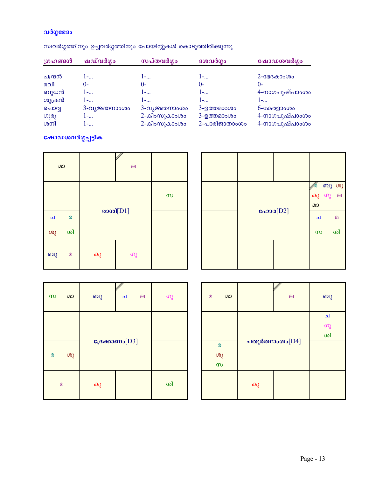# വർഗ്ഗഭേദം

# സ്ഥവർഗ്ഗത്തിനും ഉച്ചവർഗ്ഗത്തിനും പോയിന്റുകൾ കൊടുത്തിരിക്കുന്നു

| ഗ്രഹങ്ങൾ | ഷഡ്വർഗ്ഗം     | സപ്തവർഗ്ഗം    | ദശവർഗ്ഗം      | ഷോഡശവർഗ്ഗം     |
|----------|---------------|---------------|---------------|----------------|
| ചന്ദ്രൻ  | $1 - $        | $1 - \ldots$  | 1-            | $2 - 88330000$ |
| രവി      | ()-           | 0-            | $()$ -        | 0-             |
| ബുധൻ     | l –…          | 1-            | 1-            | 4-നാഗപുഷ്പാംശം |
| ശുക്രൻ   | 1-            | 1-            | 1-            | 1-             |
| ചൊവൃ     | 3-വ്യജ്ഞനാംശം | 3-വ്യജ്ഞനാംശം | 3-ഉത്തമാംശം   | $6 -$ കേരളാംശം |
| ഗുരു     | 1-            | 2-കിംസുകാംശം  | 3-ഉത്തമാംശം   | 4-നാഗപുഷ്പാംശം |
| ശനി      | $1 - $        | 2-കിംസുകാംശം  | 2-പാരിജാതാംശം | 4-നാഗപുഷ്പാംശം |

# <mark>ഷോഡശവർഗ്ഗപ്പട്ടിക</mark>

| മാ |                    | $\overline{p}$ |             |          |
|----|--------------------|----------------|-------------|----------|
|    |                    |                | രാശി $[D1]$ | $\infty$ |
| ച  | $\pmb{\heartsuit}$ |                |             |          |
| ശു | ശി                 |                |             |          |
| ബു | $\Omega$           | കു             | $\omega$    |          |

| ഹോര[D2] | മാ<br>ച<br>$\infty$ | ∕∕ര ബു ശു<br>കു ഗു ല<br>$\Omega$<br>ശി |
|---------|---------------------|----------------------------------------|
|         |                     |                                        |

| $\infty$           | മാ | ബു                | ച | $\Box$ | $\omega$ |
|--------------------|----|-------------------|---|--------|----------|
|                    |    |                   |   |        |          |
| $\pmb{\mathbb{O}}$ | ശു | ദ്രേക്കാണം $[D3]$ |   |        |          |
| $\Omega$           |    | കു                |   |        | ശി       |

| മാ<br>$\Omega$ |                 | $\mathbf{p}$    | ബു |
|----------------|-----------------|-----------------|----|
| ര              | ചതുർത്ഥാംശം[D4] | ച<br>(၁)<br>(၁) |    |
| ശു<br>$\infty$ |                 |                 |    |
|                | കു              |                 |    |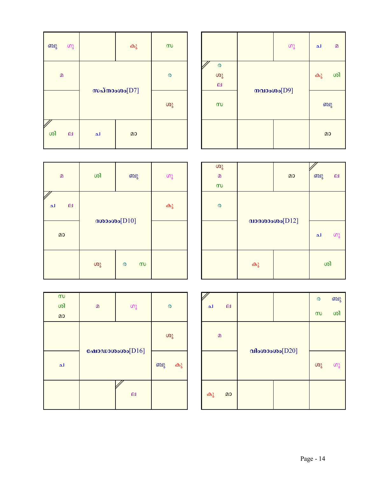| $\infty$      |                                                 |              | ഗു | ച  | $\mathbf{D}$ |
|---------------|-------------------------------------------------|--------------|----|----|--------------|
| $\pmb{\circ}$ | $\pmb{\infty}$<br>ശു<br>$\overline{\mathbf{e}}$ |              |    | കു | ശി           |
| ശു            | $\infty$                                        | $mapson[D9]$ |    | ബു |              |
|               |                                                 |              |    | മാ |              |

| ബു<br>ഗു           |   | കു | $\infty$ |
|--------------------|---|----|----------|
| $\Omega$           |   |    | ര        |
| സപ്താംശം $[D7]$    |   |    | ശു       |
| ശി<br>$\mathbf{p}$ | ച | മാ |          |

| ശു<br>$\overline{a}$<br>$\infty$ |                 | മാ | ബു | $\mathbf{p}$ |
|----------------------------------|-----------------|----|----|--------------|
| $\boldsymbol{\omega}$            |                 |    |    |              |
|                                  | 31360000000012] | ച  | ഗു |              |
|                                  | കു              |    | ശി |              |

| $\mathbf{D}$      | ശി             | ബു            | ഗു |
|-------------------|----------------|---------------|----|
| ച<br>$\mathbf{p}$ | ദശാംശം $[D10]$ |               | കു |
| മാ                |                |               |    |
|                   | ശു             | $\infty$<br>ര |    |

| $\boldsymbol{\infty}$<br>ശി<br>മാ | ഗു<br>$\mathbf{D}$ |          | $\boldsymbol{\omega}$ |  |
|-----------------------------------|--------------------|----------|-----------------------|--|
|                                   |                    | ശു       |                       |  |
| ച                                 | ഷോഡാശംശം $[D16]$   | ബു<br>കു |                       |  |
|                                   |                    | $\Box$   |                       |  |

|                                |  |    | $\boldsymbol{\omega}$ | ബു |
|--------------------------------|--|----|-----------------------|----|
| ച<br>$\boldsymbol{\mathsf{e}}$ |  |    | $\infty$              | ശി |
| $\Omega$                       |  |    |                       |    |
| വിംശാംശം $[D20]$               |  | ശു | ဖာ့                   |    |
| മാ<br>കു                       |  |    |                       |    |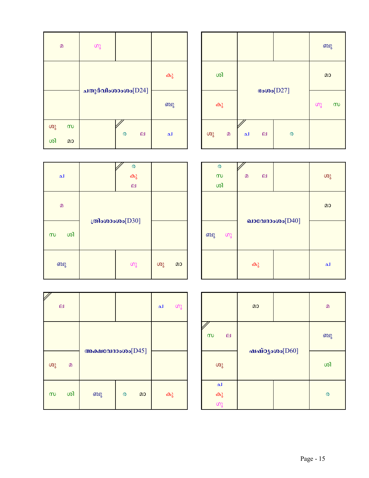|    |          |   |              |                       | ബു |          |
|----|----------|---|--------------|-----------------------|----|----------|
|    | ശി       |   | $\cos(D27)$  |                       |    | മാ       |
|    | കു       |   |              |                       |    | $\infty$ |
| ശു | $\Omega$ | ച | $\mathbf{p}$ | $\boldsymbol{\omega}$ |    |          |

| മ  |          | ഗു                |                                 |    |
|----|----------|-------------------|---------------------------------|----|
|    |          |                   |                                 | കു |
|    |          | ചതുർവിംശാംശം[D24] | ബു                              |    |
| ശു | $\infty$ |                   |                                 |    |
| ശി | മാ       |                   | $\Box$<br>$\boldsymbol{\omega}$ | ച  |

 $\mathbf{I}$ 

I

Г

 $\mathbf{I}$ 

| $\boldsymbol{\omega}$<br>$\infty$<br>ശി |  | $\Omega$ | $\mathbf{p}$ |                   | ശു |
|-----------------------------------------|--|----------|--------------|-------------------|----|
|                                         |  |          |              |                   | മാ |
| ബു<br>ഗു                                |  |          |              | ഖാവേദാംശം $[D40]$ |    |
|                                         |  | കു       |              |                   | ച  |

| ച              | കു<br>$\overline{a}$ |    |    |  |  |
|----------------|----------------------|----|----|--|--|
| $\mathbf{D}$   |                      |    |    |  |  |
| ശി<br>$\infty$ | ത്രിംശാംശം $[D30]$   |    |    |  |  |
| ബു             | ഗു                   | ശു | മാ |  |  |

V

 $\boldsymbol{\mathsf{z}}$ 

| $\boldsymbol{\mathsf{e}}$ |          |                     |                       |    | ച  | ഗു |
|---------------------------|----------|---------------------|-----------------------|----|----|----|
|                           |          | അക്ഷവേദാംശം $[D45]$ |                       |    |    |    |
| ശു                        | $\Omega$ |                     |                       |    |    |    |
| $\infty$                  | ശി       | ബു                  | $\boldsymbol{\omega}$ | മാ | കു |    |

|                            | മാ |  | $\Omega$ |  |  |                           |  |  |  |  |
|----------------------------|----|--|----------|--|--|---------------------------|--|--|--|--|
| $\infty$<br>$\overline{a}$ |    |  |          |  |  | ബു<br>$m$ айозово $[D60]$ |  |  |  |  |
| ശു                         |    |  | ശി       |  |  |                           |  |  |  |  |
| ച<br>കു<br>ഗു              |    |  | ര        |  |  |                           |  |  |  |  |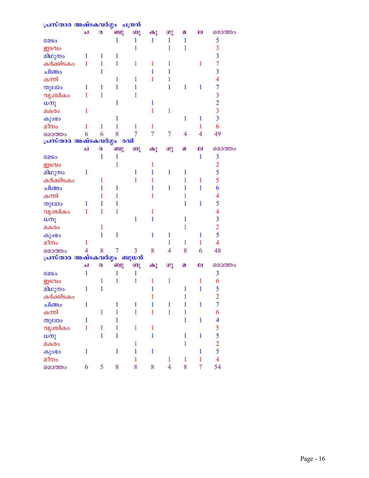| പ്രസ്താര അഷ്ടകവർഗ്ഗം ചന്ദ്രൻ |                |                       |              |                |              |                |              |                |                                                 |
|------------------------------|----------------|-----------------------|--------------|----------------|--------------|----------------|--------------|----------------|-------------------------------------------------|
|                              | الم            | $\pmb{\mathsf{Q}}$    | ബു           | ശു             | കു           | $\omega$       | മ            | ല              | മൊത്തം                                          |
| <b>COSO</b>                  |                |                       | 1            | 1              | $\mathbf{1}$ | 1              | 1            |                | 5                                               |
| ഇടവം                         |                |                       |              | 1              |              | 1              | 1            |                | 3                                               |
| മിഥുനം                       | 1              | 1                     | 1            |                |              |                |              |                | $\overline{\mathbf{3}}$                         |
| കർക്കിടകം                    | 1              | 1                     | 1            | 1              | 1            | 1              |              | 1              | $\overline{7}$                                  |
| ചിങ്ങം                       |                | 1                     |              |                | 1            | 1              |              |                | $\overline{\mathbf{3}}$                         |
| കന്നി                        |                |                       | 1            | 1              | 1            | 1              |              |                | $\overline{4}$                                  |
| തുലാം                        | 1              | 1                     | 1            | 1              |              | 1              | 1            | 1              | $\overline{7}$                                  |
| വൃശ്ചികം                     | 1              | 1                     |              | 1              |              |                |              |                | $\overline{\mathbf{3}}$                         |
| ധനു                          |                |                       | 1            |                | 1            |                |              |                |                                                 |
| മകരം                         | 1              |                       |              |                | 1            | 1              |              |                | $\frac{2}{3}$                                   |
| കുംഭാ                        |                |                       |              |                |              |                | 1            | $\mathbf{1}$   | $\overline{\mathbf{3}}$                         |
| മീനം                         | 1              | 1                     |              | 1              | 1            |                |              | 1              | 6                                               |
| മൊത്തം                       | 6              | 6                     | 8            | 7              | 7            | 7              | 4            | $\overline{4}$ | 49                                              |
| പ്രസ്താര അഷ്ടകവർഗ്ഗം         |                |                       | രവി          |                |              |                |              |                |                                                 |
|                              | لم             | $\boldsymbol{\omega}$ | ബു           | ശു             | കു           | ശു             | മ            | ല              | മൊത്തം                                          |
| <b>COSO</b>                  |                | $\mathbf{1}$          | 1            |                |              |                |              | $\mathbf{1}$   | $\overline{\mathbf{3}}$                         |
| ഇടവം                         |                |                       | 1            |                | 1            |                |              |                | $\overline{2}$                                  |
| മിഥുനം                       | 1              |                       |              | 1              | 1            | 1              | 1            |                | 5                                               |
| കർക്കിടകം                    |                | 1                     |              | 1              | 1            |                | 1            | 1              | 5                                               |
| ചിങ്ങം                       |                | 1                     | 1            |                | 1            | 1              | 1            | 1              | 6                                               |
| കന്നി                        |                | 1                     | 1            |                | 1            |                | 1            |                | 4                                               |
|                              | 1              | 1                     | 1            |                |              |                | 1            | $\mathbf{1}$   | 5                                               |
| തുലാം                        |                |                       |              |                | 1            |                |              |                | $\overline{\mathcal{A}}$                        |
| വൃശ്ചികം                     | 1              | 1                     | 1            |                |              |                |              |                |                                                 |
| ധനു                          |                |                       |              | 1              | 1            |                | 1            |                | $\overline{\mathbf{3}}$                         |
| മകരം                         |                | 1                     |              |                |              |                | 1            |                | $\overline{2}$                                  |
| കുംഭാ                        |                | $\mathbf{1}$          | 1            |                | 1            | 1              |              | 1              | 5                                               |
| മീനം                         | 1              |                       |              |                |              | 1              | 1            | $\mathbf{1}$   | $\overline{4}$                                  |
| മൊത്തം                       | $\overline{4}$ | 8                     | 7            | $\overline{3}$ | 8            | $\overline{4}$ | 8            | 6              | 48                                              |
| പ്രസ്താര അഷ്ടകവർഗ്ഗം         |                |                       |              | ബുധൻ           |              |                |              |                |                                                 |
|                              | الم            | $\boldsymbol{\omega}$ | ബു           | ശു             | കു           | ശു             | മ            | ല              | മൊത്തം                                          |
| <b>COSO</b>                  | 1              |                       |              | 1              |              |                |              |                | 3                                               |
| ഇടവം                         |                | 1                     | 1            | 1              | 1            | 1              |              | 1              | 6                                               |
| മിഥുനം                       | 1              | $\mathbf 1$           |              |                | 1            |                | $\bf{l}$     | $\mathbf{1}$   | 5                                               |
| കർക്കിടകം                    |                |                       |              |                | 1            |                | 1            |                | $\overline{2}$                                  |
| ചിങ്ങം                       | $\mathbf{1}$   |                       | 1            | 1              | $\mathbf{1}$ | $\mathbf{1}$   | $\mathbf{1}$ | $\mathbf{1}$   | $\overline{7}$                                  |
| കന്നി                        |                | $\mathbf{1}$          | $\mathbf{1}$ | $\mathbf{1}$   | $\mathbf{1}$ | $\mathbf{1}$   | $\mathbf{1}$ |                | 6                                               |
| തുലാം                        | $\mathbf{1}$   |                       | 1            |                |              |                | $\mathbf{1}$ | $\mathbf{1}$   | $\overline{\mathbf{4}}$                         |
| വൃശ്ചികം                     | 1              | $\mathbf{1}$          | 1            | $\mathbf{1}$   | $\mathbf{1}$ |                |              |                |                                                 |
| ധനു                          |                | $\mathbf{1}$          | $\mathbf{1}$ |                | $\mathbf{1}$ |                | $\mathbf{1}$ | $\mathbf{1}$   |                                                 |
| മകരം                         |                |                       |              | 1              |              |                | $\mathbf{1}$ |                | $\begin{array}{c} 5 \\ 5 \\ 2 \\ 5 \end{array}$ |
| കുംഭാ                        | $\mathbf{1}$   |                       | $\mathbf{1}$ | $\mathbf{1}$   | $\mathbf{1}$ |                |              | $\mathbf{1}$   |                                                 |
| മീനം                         |                |                       |              | $\mathbf{1}$   |              | $\mathbf{1}$   | $\mathbf{1}$ | $\mathbf{1}$   | $\overline{4}$                                  |
| മൊത്തം                       | 6              | 5                     | 8            | 8              | 8            | $\overline{4}$ | 8            | $\overline{7}$ | 54                                              |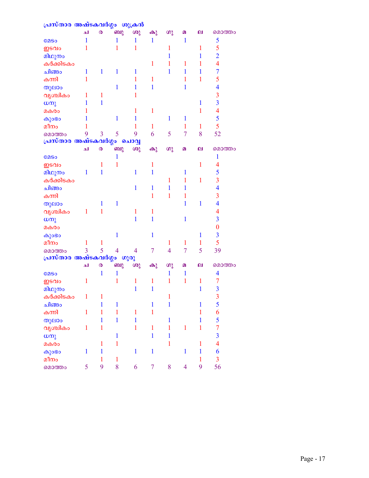| പ്രസ്താര അഷ്ടകവർഗ്ഗം ശുക്രൻ       |              |                       |                          |                |                |                |                |              |                          |
|-----------------------------------|--------------|-----------------------|--------------------------|----------------|----------------|----------------|----------------|--------------|--------------------------|
|                                   | لم           | $\boldsymbol{\omega}$ | ബു                       | ശു             | കു             | $\omega$       | മ              | ല            | മൊത്തം                   |
| <b>COSO</b>                       | 1            |                       | 1                        | 1              | $\mathbf{1}$   |                | $\mathbf{1}$   |              | 5                        |
| ഇടവം                              | 1            |                       | 1                        | 1              |                | 1              |                | 1            | 5                        |
| മിഥുനം                            |              |                       |                          |                |                | 1              |                | 1            | $\overline{2}$           |
| കർക്കിടകം                         |              |                       |                          |                | 1              | 1              | 1              | 1            | $\overline{4}$           |
| ചിങ്ങം                            | 1            | $\mathbf{1}$          | 1                        | 1              |                | 1              | 1              | 1            | $\overline{7}$           |
| കന്നി                             | 1            |                       |                          | 1              | $\mathbf{1}$   |                | 1              | 1            | 5                        |
| തുലാം                             |              |                       | 1                        | 1              | 1              |                | 1              |              | $\overline{\mathbf{4}}$  |
| വൃശ്ചികം                          | 1            | 1                     |                          | 1              |                |                |                |              | $\overline{3}$           |
| $\omega$ m                        | 1            | 1                     |                          |                |                |                |                | 1            | $\overline{3}$           |
| മകരം                              |              |                       |                          | 1              | $\mathbf{1}$   |                |                | 1            | $\overline{4}$           |
| കുംഭം                             | 1            |                       | 1                        | 1              |                | $\mathbf{1}$   | 1              |              | 5                        |
| മീനം                              |              |                       |                          | 1              | $\mathbf{1}$   |                | 1              | $\mathbf{1}$ | 5                        |
| മൊത്തം                            | 9            | $\overline{3}$        | 5                        | 9              | 6              | 5              | 7              | 8            | 52                       |
| പ്രസ്താര അഷ്ടകവർഗ്ഗം              |              |                       |                          | ചൊവ്വ          |                |                |                |              |                          |
|                                   | ച            | $\boldsymbol{\omega}$ | ബു                       | ശു             | കു             | ശു             | മ              | ല            | മൊത്തം                   |
| <b>COSO</b>                       |              |                       | 1                        |                |                |                |                |              | 1                        |
| ഇടവം                              |              | 1                     | 1                        |                | 1              |                |                | 1            | $\overline{\mathcal{A}}$ |
| മിഥുനം                            | 1            | $\mathbf{1}$          |                          | 1              | 1              |                | 1              |              | 5                        |
| കർക്കിടകം                         |              |                       |                          |                |                | 1              | 1              | $\mathbf{1}$ | $\overline{3}$           |
| ചിങ്ങം                            |              |                       |                          | $\mathbf{1}$   | 1              | 1              | 1              |              | $\overline{4}$           |
| കന്നി                             |              |                       |                          |                | 1              | 1              | 1              |              | 3                        |
| തുലാം                             |              | 1                     | 1                        |                |                |                | 1              | 1            | $\overline{4}$           |
| വൃശ്ചികം                          | 1            | 1                     |                          | 1              | 1              |                |                |              | $\overline{4}$           |
| ധനു                               |              |                       |                          | 1              | 1              |                | $\mathbf{1}$   |              | $\overline{\mathbf{3}}$  |
| മകരം                              |              |                       |                          |                |                |                |                |              | $\boldsymbol{0}$         |
| കുംഭാ                             |              |                       | 1                        |                | $\mathbf{1}$   |                |                | 1            | $\overline{\mathbf{3}}$  |
| മീനം                              | 1            | $\mathbf{1}$          |                          |                |                | 1              | 1              | 1            | 5                        |
| മൊത്തം                            | 3            | 5                     | $\overline{\mathcal{A}}$ | 4              | $\overline{7}$ | $\overline{4}$ | $\overline{7}$ | 5            | 39                       |
| <mark>പ്രസ്താര അഷ്ടകവർഗ്ഗം</mark> |              |                       |                          | ഗുരു           |                |                |                |              |                          |
|                                   | لم           | $\boldsymbol{\omega}$ | ബു                       | ശു             | കു             | $\omega$       | $\Omega$       | ല            | മൊത്തം                   |
| <b>COSO</b>                       |              | 1                     | 1                        |                |                | 1              | $\mathbf{1}$   |              | $\overline{\mathbf{4}}$  |
| ഇടവം                              | 1            |                       | 1                        | 1              | $\mathbf{1}$   | 1              | $\mathbf{1}$   | 1            | $\overline{7}$           |
| മിഥുനം                            |              |                       |                          | $\mathbf{1}$   | $\mathbf{1}$   |                |                | $\mathbf{1}$ | $\overline{\mathbf{3}}$  |
| കർക്കിടകം                         | $\mathbf{1}$ | 1                     |                          |                |                | $\mathbf{1}$   |                |              | 3                        |
| ചിങ്ങം                            |              | $\mathbf{1}$          | 1                        |                | $\mathbf{1}$   | $\mathbf{1}$   |                | $\mathbf{1}$ | 5                        |
| കന്നി                             | $\mathbf{1}$ | $\mathbf{1}$          | $\mathbf{1}$             | 1              | $\mathbf{1}$   |                |                | 1            | 6                        |
| തുലാം                             |              | $\mathbf{1}$          | $\mathbf{1}$             | $\overline{1}$ |                | $\mathbf{1}$   |                | 1            | 5                        |
| വൃശ്ചികം                          | $\mathbf{1}$ | $\mathbf{1}$          |                          | $\overline{1}$ | $\mathbf{1}$   | $\mathbf{1}$   | $\mathbf{1}$   | $\mathbf{1}$ | $\overline{7}$           |
| $\omega$ m                        |              |                       | $\mathbf{1}$             |                | $\mathbf{1}$   | $\mathbf{1}$   |                |              | $\overline{\mathbf{3}}$  |
| മകരം                              |              | $\mathbf{1}$          | $\mathbf{1}$             |                |                | $\mathbf{1}$   |                | $\mathbf{1}$ | $\overline{4}$           |
| കുംഭം                             | $\mathbf{1}$ | $\mathbf{1}$          |                          | $\mathbf{1}$   | $\mathbf{1}$   |                | $\mathbf{1}$   | $\mathbf{1}$ | 6                        |
| മീനം                              |              | $\mathbf{1}$          | $\mathbf{1}$             |                |                |                |                | $\mathbf{1}$ | $\overline{3}$           |
| മൊത്തം                            | 5            | 9                     | 8                        | 6              | $\overline{7}$ | 8              | $\overline{4}$ | 9            | 56                       |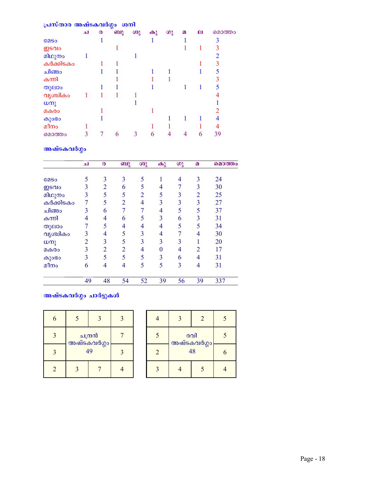| പ്രസ്താര അഷ്ടകവർഗ്ഗം ശനി |     |   |    |    |          |    |          |   |        |
|--------------------------|-----|---|----|----|----------|----|----------|---|--------|
|                          | الم | ര | ബു | ശു | $\omega$ | ഗു | $\Omega$ | ല | മൊത്തം |
| <b>COSO</b>              |     |   |    |    |          |    |          |   | 3      |
| ഇടവം                     |     |   |    |    |          |    |          |   | 3      |
| മിഥുനം                   |     |   |    |    |          |    |          |   | 2      |
| കർക്കിടകം                |     |   |    |    |          |    |          |   | 3      |
| ചിങ്ങം                   |     |   |    |    |          |    |          |   |        |
| കന്നി                    |     |   |    |    |          |    |          |   |        |
| തുലാം                    |     |   |    |    |          |    |          |   |        |
| വൃശ്ചികം                 |     |   |    |    |          |    |          |   |        |
| $\omega$ നു              |     |   |    |    |          |    |          |   |        |
| മകരം                     |     |   |    |    |          |    |          |   |        |
| കുംഭാ                    |     |   |    |    |          |    |          |   | 4      |
| മീനം                     |     |   |    |    |          |    |          |   |        |
| മൊത്തം                   |     |   | 6  | 3  | 6        |    |          | 6 | 39     |

# അഷ്ടകവർഗ്ഗം

|             | الم            | ര                        | ബു             | ശു             | $\omega$ | $\omega$ | $\Omega$       | മൊത്തം |
|-------------|----------------|--------------------------|----------------|----------------|----------|----------|----------------|--------|
| <b>COSO</b> | 5              | 3                        | 3              | 5              |          | 4        | 3              | 24     |
| ഇടവം        | 3              | 2                        | 6              | 5              | 4        |          | 3              | 30     |
| മിഥുനം      | 3              | 5                        | 5              | $\overline{2}$ | 5        | 3        | $\overline{2}$ | 25     |
| കർക്കിടകം   | 7              | 5                        | 2              | 4              | 3        | 3        | 3              | 27     |
| ചിങ്ങം      | 3              | 6                        |                | 7              | 4        | 5        | 5              | 37     |
| കന്നി       | 4              | 4                        | 6              | 5              | 3        | 6        | 3              | 31     |
| തുലാം       | 7              | 5                        | 4              | 4              | 4        | 5        | 5              | 34     |
| വൃശ്ചികം    | 3              | 4                        | 5              | 3              | 4        | 7        | 4              | 30     |
| ധനു         | $\overline{2}$ | $\overline{3}$           | 5              | $\overline{3}$ | 3        | 3        |                | 20     |
| മകരം        | 3              | $\overline{2}$           | $\overline{2}$ | 4              | 0        | 4        | $\overline{2}$ | 17     |
| കുാഭാ       | 3              | 5                        | 5              | 5              | 3        | 6        | 4              | 31     |
| മീനം        | 6              | $\overline{\mathcal{A}}$ | 4              | 5              | 5        | 3        | 4              | 31     |
|             | 49             | 48                       | 54             | 52             | 39       | 56       | 39             | 337    |

# <mark>അഷ്ടകവ</mark>ർഗ്ഗം ചാർട്ടുകൾ

| 6                        | $\mathbf{R}$           |  |  |
|--------------------------|------------------------|--|--|
| 3                        | ചന്ദ്രൻ<br>അഷ്ടകവർഗ്ഗം |  |  |
| $\mathbf{R}$             | 49                     |  |  |
| $\overline{\mathcal{L}}$ |                        |  |  |

|                          |                    | 2 |  |
|--------------------------|--------------------|---|--|
| $\overline{\mathcal{L}}$ | രവി<br>അഷ്ടകവർഗ്ഗം |   |  |
| $\overline{2}$           | 48                 |   |  |
|                          |                    |   |  |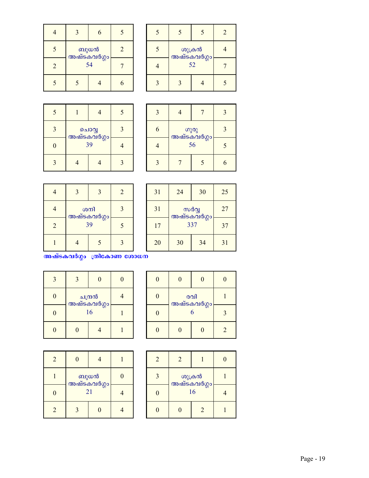| 5 | ബുധൻ<br>അഷ്ടകവർഗ്ഗം | $\mathcal{D}_{\mathcal{A}}$ |  |
|---|---------------------|-----------------------------|--|
| 2 | 54                  |                             |  |
|   |                     |                             |  |

|                       |    | 2 |  |
|-----------------------|----|---|--|
| ശുക്രൻ<br>അഷ്ടകവർഗ്ഗം |    |   |  |
|                       | 52 |   |  |
|                       |    |   |  |

| $\overline{\mathcal{L}}$ |                            |   | 5 |
|--------------------------|----------------------------|---|---|
| $\mathbf{3}$             |                            | 3 |   |
| 0                        | പൊവ്വ<br>അഷ്ടകവർഗ്ഗം<br>39 |   |   |
|                          |                            |   |   |

| 56 |  |  |
|----|--|--|
|    |  |  |

|                | $\mathbf{z}$                    |  | $\overline{2}$ |
|----------------|---------------------------------|--|----------------|
|                | ശനി                             |  | $\mathbf 3$    |
| $\overline{2}$ | <mark>അഷ്ടകവർഗ്ഗ</mark> ം<br>39 |  | $\varsigma$    |
|                |                                 |  | $\mathbf{R}$   |

| 31 | 24                 | 30 | 25 |
|----|--------------------|----|----|
| 31 | സർവ്വ              | 27 |    |
| 17 | അഷ്ടകവർഗ്ഗം<br>337 |    | 37 |
| 20 | 30                 | 34 | 31 |

 $\overline{\text{maxis}}$ കവർഗ്ഗം ത്രികോണ ശോധന

| 3 | 3                      | O |  |
|---|------------------------|---|--|
| 0 | ചന്ദ്രൻ<br>അഷ്ടകവർഗ്ഗം |   |  |
| 0 | 16                     |   |  |
|   |                        |   |  |

|  | $\overline{0}$   | 0 | 0              |
|--|------------------|---|----------------|
|  | രവി              |   |                |
|  | അഷ്ടകവർഗ്ഗം<br>6 |   | 3              |
|  |                  |   | $\mathfrak{D}$ |

| $\overline{2}$              |                     |  |  |
|-----------------------------|---------------------|--|--|
|                             | ബുധൻ<br>അഷ്ടകവർഗ്ഗം |  |  |
| Λ                           | 21                  |  |  |
| $\mathcal{D}_{\mathcal{A}}$ |                     |  |  |

| 2 | 2                           |   |  |
|---|-----------------------------|---|--|
| 3 | ശുക്രൻ<br>അഷ്ടകവർഗ്ഗം<br>16 |   |  |
|   |                             |   |  |
|   |                             | 2 |  |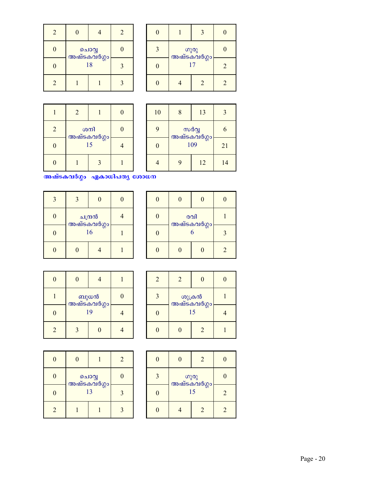| 2              | 0                    |   | 2 |
|----------------|----------------------|---|---|
| 0              | ചൊവ്വ<br>അഷ്ടകവർഗ്ഗം | 0 |   |
| N              | 18                   |   |   |
| $\mathfrak{D}$ |                      |   |   |

| ഗുരു<br>അഷ്ടകവർഗ്ഗം |               |               |
|---------------------|---------------|---------------|
| 17                  |               | $\mathcal{D}$ |
|                     | $\mathcal{D}$ |               |

|   | $\overline{2}$    |              |  |
|---|-------------------|--------------|--|
| 2 | ശനി               |              |  |
| Λ | അഷ്ടകവർഗ്ഗം<br>15 |              |  |
|   |                   | $\mathbf{R}$ |  |

| 10       | 8                    | 13 | 3  |
|----------|----------------------|----|----|
| 9        | സർവ്വ<br>അഷ്ടകവർഗ്ഗം | 6  |    |
| $\Omega$ | 109                  |    | 21 |
|          | Q                    | 12 | 14 |

അഷ്ടകവർഗ്ഗം ഏകാധിപത്യ ശോധന

| $\mathcal{R}$ |                        | 0 | $\mathcal{O}$ |
|---------------|------------------------|---|---------------|
| 0             | ചന്ദ്രൻ<br>അഷ്ടകവർഗ്ഗം |   |               |
| 0             | 16                     |   |               |
|               |                        |   |               |

| $\mathbf{0}$ |                         | 0 |   |
|--------------|-------------------------|---|---|
| 0            | രവി<br>അഷ്ടകവർഗ്ഗം<br>6 |   |   |
|              |                         |   |   |
|              |                         |   | 2 |

| 0              |                     |  |  |
|----------------|---------------------|--|--|
|                | ബുധൻ<br>അഷ്ടകവർഗ്ഗം |  |  |
| Ŋ              | 19                  |  |  |
| $\overline{2}$ |                     |  |  |

| 2 | $\mathcal{D}_{\mathcal{L}}$ |               |  |
|---|-----------------------------|---------------|--|
| 3 | ശുക്രൻ<br>അഷ്ടകവർഗ്ഗം<br>15 |               |  |
|   |                             |               |  |
|   |                             | $\mathcal{D}$ |  |

| 0 | $\Omega$             |  | $\mathfrak{D}$ |
|---|----------------------|--|----------------|
| 0 | ചാവ്വ<br>അഷ്ടകവർഗ്ഗം |  |                |
| 0 | 13                   |  |                |
| 2 |                      |  |                |

|   |                           | 2 |               |
|---|---------------------------|---|---------------|
| 3 | തുരു<br>അഷ്ടകവർഗ്ഗം<br>15 |   |               |
|   |                           |   | $\mathcal{D}$ |
|   |                           |   |               |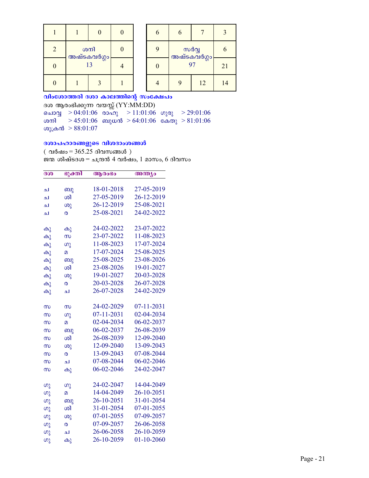| 2 | ശനി               |  |  |
|---|-------------------|--|--|
| 0 | അഷ്ടകവർഗ്ഗം<br>13 |  |  |
|   |                   |  |  |

| 6 | 6                          |    |    |
|---|----------------------------|----|----|
|   | സർവ്വ<br>അഷ്ടകവർഗ്ഗം<br>97 |    |    |
| 0 |                            |    | 21 |
|   |                            | 12 | 14 |

വിംശോത്തരി ദശാ കാലത്തിന്റെ സംക്ഷേപം ദശ ആരംഭിക്കുന്ന വയസ്സ് (YY:MM:DD) ചൊവ്വ > 04:01:06 രാഹു > 11:01:06 ഗുരു > 29:01:06  $>45:01:06$  ബുധൻ  $>64:01:06$  കേതു  $>81:01:06$ ശനി ശുക്രൻ  $> 88:01:07$ 

## ദശാപഹാരങ്ങളുടെ വിശദാംശങ്ങൾ

(വർഷം = 365.25 ദിവസങ്ങൾ) ജന്മ ശിഷ്ടദശ $=$  ചന്ദ്രൻ 4 വർഷം, 1 മാസം, 6 ദിവസം

| ഭുക്തി<br>ദശ |                | ആരംഭം      | അന്ത്യം    |
|--------------|----------------|------------|------------|
|              |                |            |            |
| ച            | ബു             | 18-01-2018 | 27-05-2019 |
| ച            | ശി             | 27-05-2019 | 26-12-2019 |
| ച            | ശു             | 26-12-2019 | 25-08-2021 |
| ച            | ര              | 25-08-2021 | 24-02-2022 |
| കു           | കു             | 24-02-2022 | 23-07-2022 |
| കു           | $\infty$       | 23-07-2022 | 11-08-2023 |
| കു           | ဖာ္ခ           | 11-08-2023 | 17-07-2024 |
| കു           | മ              | 17-07-2024 | 25-08-2025 |
| കു           | ബു             | 25-08-2025 | 23-08-2026 |
| കു           | ശി             | 23-08-2026 | 19-01-2027 |
| കു           | ശു             | 19-01-2027 | 20-03-2028 |
| കു           | ര              | 20-03-2028 | 26-07-2028 |
| കു           | ച              | 26-07-2028 | 24-02-2029 |
|              |                |            |            |
| $\infty$     | $\infty$       | 24-02-2029 | 07-11-2031 |
| $\infty$     | ဖာ္ခ           | 07-11-2031 | 02-04-2034 |
| $\infty$     | $\overline{a}$ | 02-04-2034 | 06-02-2037 |
| $\infty$     | ബു             | 06-02-2037 | 26-08-2039 |
| $\infty$     | ശി             | 26-08-2039 | 12-09-2040 |
| $\infty$     | ശു             | 12-09-2040 | 13-09-2043 |
| $\infty$     | ര              | 13-09-2043 | 07-08-2044 |
| $\infty$     | ച              | 07-08-2044 | 06-02-2046 |
| $\infty$     | കു             | 06-02-2046 | 24-02-2047 |
|              |                | 24-02-2047 | 14-04-2049 |
| ഗു           | ഗു             | 14-04-2049 | 26-10-2051 |
| ဖာ္ခ         | മ              | 26-10-2051 | 31-01-2054 |
| ഗു           | ബു             | 31-01-2054 |            |
| ၯ            | ശി             |            | 07-01-2055 |
| ဖာ္ခ         | ശു             | 07-01-2055 | 07-09-2057 |
| ഗു           | ര              | 07-09-2057 | 26-06-2058 |
| ဖာ္ခ         | ച              | 26-06-2058 | 26-10-2059 |
| ഗു           | കു             | 26-10-2059 | 01-10-2060 |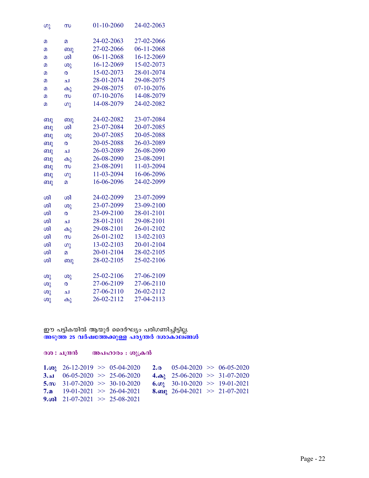| ၯ  | സ              | 01-10-2060 | 24-02-2063 |
|----|----------------|------------|------------|
|    |                |            |            |
| മ  | $\overline{a}$ | 24-02-2063 | 27-02-2066 |
| മ  | ബു             | 27-02-2066 | 06-11-2068 |
| 2  | ശി             | 06-11-2068 | 16-12-2069 |
| മ  | ശു             | 16-12-2069 | 15-02-2073 |
| മ  | ര              | 15-02-2073 | 28-01-2074 |
| മ  | ച              | 28-01-2074 | 29-08-2075 |
| മ  | കു             | 29-08-2075 | 07-10-2076 |
| മ  | $\infty$       | 07-10-2076 | 14-08-2079 |
| മ  | (၈)            | 14-08-2079 | 24-02-2082 |
|    |                |            |            |
| ബു | ബു             | 24-02-2082 | 23-07-2084 |
| ബു | ശി             | 23-07-2084 | 20-07-2085 |
| ബു | $\omega$       | 20-07-2085 | 20-05-2088 |
| ബു | ര              | 20-05-2088 | 26-03-2089 |
| ബു | ച              | 26-03-2089 | 26-08-2090 |
| ബു | കു             | 26-08-2090 | 23-08-2091 |
| ബു | $\infty$       | 23-08-2091 | 11-03-2094 |
| ബു | ဖာ္ခ           | 11-03-2094 | 16-06-2096 |
| ബു | $\overline{a}$ | 16-06-2096 | 24-02-2099 |
|    |                |            |            |
| ശി | ശി             | 24-02-2099 | 23-07-2099 |
| ശി | ശു             | 23-07-2099 | 23-09-2100 |
| ശി | ര              | 23-09-2100 | 28-01-2101 |
| ശി | ച              | 28-01-2101 | 29-08-2101 |
| ശി | കു             | 29-08-2101 | 26-01-2102 |
| ശി | $\infty$       | 26-01-2102 | 13-02-2103 |
| ശി | ဖာ္မွ          | 13-02-2103 | 20-01-2104 |
| ശി | മ              | 20-01-2104 | 28-02-2105 |
| ശി | ബു             | 28-02-2105 | 25-02-2106 |
|    |                |            |            |
| ശു | ശു             | 25-02-2106 | 27-06-2109 |
| ശു | ര              | 27-06-2109 | 27-06-2110 |
| ശു | ച              | 27-06-2110 | 26-02-2112 |
| ശു | കു             | 26-02-2112 | 27-04-2113 |

ഈ പട്ടികയിൽ ആയുർ ദൈർഘ്യം പരിഗണിച്ചിട്ടില്ല.<br><mark>അടുത്ത 25 വർഷത്തേക്കുള്ള പര്യന്തർ ദശാകാലങ്ങൾ</mark>

| ദശ : ചന്ദ്രൻ                         | അപഹാരം : ശുക്രൻ                       |                                         |  |
|--------------------------------------|---------------------------------------|-----------------------------------------|--|
|                                      | 1. $\omega_2$ 26-12-2019 > 05-04-2020 | 2. <sub>0</sub> 05-04-2020 > 06-05-2020 |  |
|                                      | 3.al $06-05-2020 \gg 25-06-2020$      | 4. $\omega$ 25-06-2020 >> 31-07-2020    |  |
|                                      | 5. $m$ 31-07-2020 > 30-10-2020        | 6. $\omega_2$ 30-10-2020 > 19-01-2021   |  |
|                                      | 7. $\Omega$ 19-01-2021 >> 26-04-2021  | 8. any 26-04-2021 >> 21-07-2021         |  |
| 9. $\omega$ 21-07-2021 >> 25-08-2021 |                                       |                                         |  |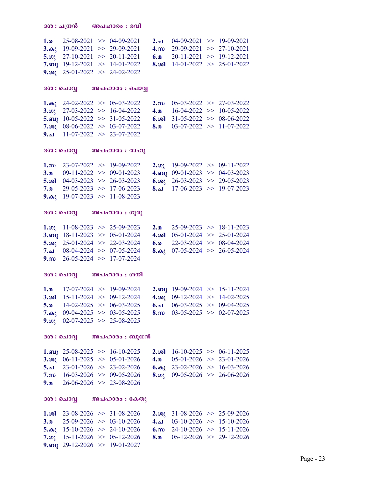```
300 : 1030 304.000: 001
1.a 25-08-2021 >> 04-09-2021 2.a 04-09-2021 >> 19-09-2021<br>3.a 19-09-2021 >> 29-09-2021 4.m 29-09-2021 >> 27-10-2021
                                                    4.m 29-09-2021 \gg 27-10-2021<br>6.a 20-11-2021 \gg 19-12-2021
5.\omega 27-10-2021 \gg 20-11-2021 6. a<br>7. a 21 19-12-2021 \gg 14-01-2022 8. \omega8. \omega 14-01-2022 \gg 25-01-2022
9.\omega 25-01-2022 \gg 24-02-2022
300 : ചൊവ്വ\qquad \qquad \text{and} \qquad \text{and} \qquad \text{and}1.\omega_0 24-02-2022 >> 05-03-2022 2.\omega 05-03-2022 >> 27-03-2022<br>3.\omega_1 27-03-2022 >> 16-04-2022 4.\omega 16-04-2022 >> 10-05-2022
                                                       4.a 16-04-2022 \gg 10-05-2022<br>6.\omega 31-05-2022 \gg 08-06-2022
5.org 10-05-2022 \implies 31-05-2022<br>7.org 08-06-2022 \implies 03-07-20228.\omega 03-07-2022 >> 11-07-2022
9.1 11-07-2022 \gg 23-07-2022
300 : 0.100 \ldots 0.000 \ldots 0.000 \ldots1.m 23-07-2022 >> 19-09-2022 2.\omega 19-09-2022 >> 09-11-2022<br>3.a 09-11-2022 >> 09-01-2023 4.\omega 09-01-2023 >> 04-03-2023
                                                       4.a 09-01-2023 >> 04-03-2023<br>6.\omega 26-03-2023 >> 29-05-2023
5.col 04-03-2023 > 26-03-2023<br>7.o 29-05-2023 > 17-06-2023
                                                       \textbf{8.1} 17-06-2023 \gg 19-07-2023
9.\omega_1 19-07-2023 \gg 11-08-2023
ദശ: ചൊവ്വ\qquad \qquad \mathsf{30a:} നുരു
1.\omega_3 11-08-2023 >> 25-09-2023 2.a 25-09-2023 >> 18-11-2023<br>3.au 18-11-2023 >> 05-01-2024 4.\omega_0 05-01-2024 >> 25-01-2024
3.org 18-11-2023 \implies 05-01-2024 4. (o) 05-01-2024 \implies 25-01-2024<br>5. (o) 25-01-2024 \implies 22-03-2024 6. o 22-03-2024 \implies 08-04-20245.\omega 25-01-2024 \gg 22-03-2024 6.\omega7.م 08-04-2024 > 07-05-2024 8.\omega 07-05-2024 > 26-05-2024
9.m 26-05-2024 \implies 17-07-2024300 : ചൊവ്വ\qquad \qquad \text{and} \quad \text{and} \quad \text{and}1.a 17-07-2024 >> 19-09-2024 2.ap 19-09-2024 >> 15-11-2024 3.ap 15-11-2024 > 09-12-2024 4.ap 09-12-2024 > 14-02-2025
3.col 15-11-2024 \gg 09-12-2024<br>5.o 14-02-2025 \gg 06-03-2025
5.a 14-02-2025 > 06-03-2025 6.al 06-03-2025 > 09-04-2025<br>7.a<sub>2</sub> 09-04-2025 > 03-05-2025 8.m 03-05-2025 > 02-07-2025
7.\omega_1 09-04-2025 > 03-05-2025
9.\omega 02-07-2025 >> 25-08-2025
ദശ: ചൊവ്വ അപഹാരം: ബുധൻ
1. and 25-08-2025 > 16-10-2025 2. and 16-10-2025 > 06-11-2025 3. and 05-01-2026 > 23-01-2026
3.in 06-11-2025 > 0.5-01-2026 4.o
5. \mu 23-01-2026 > 23-02-2026 6.\omega<sub>3</sub> 23-02-2026 > 16-03-2026<br>7.m 16-03-2026 > 09-05-2026 8.\omega<sub>2</sub> 09-05-2026 > 26-06-2026
7.m 16-03-2026 \gg 09-05-20269.a 26-06-2026 \implies 23-08-2026ദശ: ചൊവ്വ\qquad \qquad \mathsf{30a1a0300} : \mathsf{6ab00}1.\omega 23-08-2026 >> 31-08-2026 2.\omega<sub>3</sub> 31-08-2026 >> 25-09-2026<br>3.\omega 25-09-2026 >> 03-10-2026 4.1 03-10-2026 >> 15-10-2026
3. a 25-09-2026 \gg 03-10-2026 4. a 03-10-2026 \gg 15-10-2026<br>5. a 15-10-2026 \gg 24-10-2026 6. m 24-10-2026 \gg 15-11-2026
5.\omega 15-10-2026 > 24-10-2026
7.\omega 15-11-2026 > 05-12-2026 8.a 05-12-2026 > 29-12-2026
9.org 29-12-2026 \implies 19-01-2027
```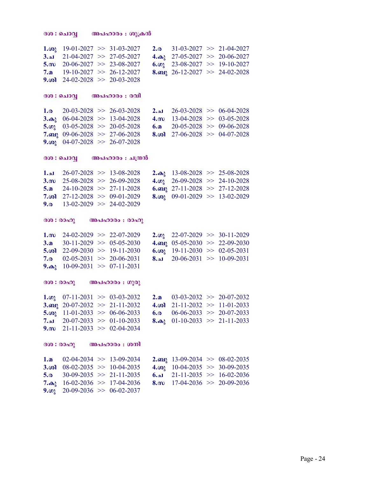```
ദശ: ചൊവ്വ അപഹാരം: \omega്രുക്രൻ
1.\omega_0 19-01-2027 \gg 31-03-2027 2.\omega 31-03-2027 \gg 21-04-2027<br>3.\omega 21-04-2027 \gg 27-05-2027 4.\omega_0 27-05-2027 \gg 20-06-2027
3.al 21-04-2027 > 27-05-2027 4.ab 27-05-2027 > 20-06-2027<br>5.m 20-06-2027 > 23-08-2027 6.m 23-08-2027 > 19-10-2027
                                                  6.\omega 23-08-2027 >> 19-10-2027
7.a 19-10-2027 \gg 26-12-2027 8.mg 26-12-2027 \gg 24-02-2028
9.\omega 24-02-2028 \gg 20-03-2028
300 : 0ചാവ് 00ചഹാരം : 001.a 20-03-2028 > 26-03-2028 2.a 26-03-2028 > 06-04-2028<br>3.a<sub>1</sub> 06-04-2028 > 13-04-2028 4.m 13-04-2028 > 03-05-2028
                                                  4.m 13-04-2028 \gg 03-05-2028<br>6.a 20-05-2028 \gg 09-06-2028
5.\omega 03-05-2028 >> 20-05-2028 6.a 20-05-2028 >> 09-06-2028<br>7.au 09-06-2028 >> 27-06-2028 8.\omega 27-06-2028 >> 04-07-2028
7.mg 09-06-2028 \implies 27-06-20289.\omega_2 04-07-2028 > 26-07-2028
300 : 0.1001 0.0000 : \Delta (0.0001.al 26-07-2028 \implies 13-08-2028 2.da 13-08-2028 \implies 25-08-2028<br>3.m 25-08-2028 \implies 26-09-2028 4.o 26-09-2028 \implies 24-10-2028
3.m 25-08-2028 >> 26-09-2028 4.\omega 26-09-2028 >> 24-10-2028<br>5.a 24-10-2028 >> 27-11-2028 6.am 27-11-2028 >> 27-12-2028
                                                  6.am 27-11-2028 > 27-12-2028
7. \omega 27-12-2028 >> 09-01-2029 8.\omega 09-01-2029 >> 13-02-2029
9.<sub>0</sub> 13-02-2029 \gg 24-02-2029
(300 : 00<sub>0</sub>) (00<sub>0</sub> + 00<sub>0</sub>)1.cm 24-02-2029 \gg 22-07-2029 2.\omega 22-07-2029 \gg 30-11-2029<br>3.a 30-11-2029 \gg 05-05-2030 4.om 05-05-2030 \gg 22-09-2030
3.a 30-11-2029 > 05-05-2030 4.mai 05-05-2030 > 22-09-20305.\omega 22-09-2030 >> 19-11-2030 6.\omega 19-11-2030 >> 02-05-2031<br>7.\omega 02-05-2031 >> 20-06-2031 8.1 20-06-2031 >> 10-09-2031
                                                  8.21 20-06-2031 \gg 10-09-2031
9.\omega_1 10-09-2031 >> 07-11-2031
(300 : 0000) (0.000 : 0.000)1.\omega_3 07-11-2031 >> 03-03-2032 2.a 03-03-2032 >> 20-07-2032<br>3.an<sub>2</sub> 20-07-2032 >> 21-11-2032 4.\omega_1 21-11-2032 >> 11-01-2033
                                                  4.\omega 21-11-2032 >> 11-01-2033<br>6.\omega 06-06-2033 >> 20-07-2033
5.\omega 11-01-2033 > 06-06-2033 6.\omega7.م 20-07-2033 > 01-10-2033 8.\omega 01-10-2033 > 21-11-2033
9.m 21-11-2033 \implies 02-04-2034(300: 00<sub>0</sub>) (00<sub>0</sub>)<sub>0</sub> : (000)1.a 02-04-2034 > 13-09-2034 2.mail 13-09-2034 > 08-02-2035
3.\omega1 08-02-2035 >> 10-04-2035 4.\omega<sub>3</sub> 10-04-2035 >> 30-09-2035 5.\omega 30-09-2035 >> 21-11-2035 > 16-02-2036
                                                  \frac{6.21}{21-11-2035} > 16-02-20367.\omega 16-02-2036 >> 17-04-2036 8.\omega 17-04-2036 >> 20-09-2036
9.\omega 20-09-2036 \gg 06-02-2037
```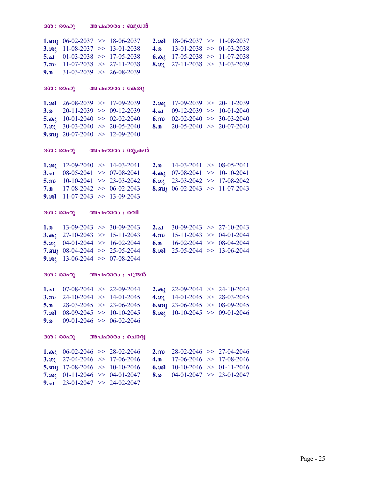$9.1$  23-01-2047  $\gg$  24-02-2047

**1.** and 06-02-2037  $\gg$  18-06-2037 **2.** and 18-06-2037  $\gg$  11-08-2037 **3.** and 18-01-2038  $\gg$  01-03-2038 3. $\omega$  11-08-2037 >> 13-01-2038 5.a 01-03-2038 >> 17-05-2038 6.a 17-05-2038 >> 11-07-2038<br>7.m 11-07-2038 >> 27-11-2038 8.m 27-11-2038 >> 31-03-2039  $8.02 \quad 27-11-2038 \implies 31-03-2039$ 9.a  $31-03-2039 \implies 26-08-2039$  $(300 : 00<sub>0</sub>)$   $(00<sub>0</sub> + 0<sub>0</sub>)<sub>0</sub>)$ 1.  $\omega$  26-08-2039 >> 17-09-2039 2. $\omega$ <sub>2</sub> 17-09-2039 >> 20-11-2039 3. a 20-11-2039 >> 09-12-2039 4. a 09-12-2039 >> 10-01-2040<br>5. a 10-01-2040 > 02-02-2040 6. m 02-02-2040 > 30-03-2040 5. as  $10-01-2040$   $> 02-02-2040$  6. m  $02-02-2040$   $> 30-03-2040$ <br>7. on  $30-03-2040$   $> 20-05-2040$  8. a  $20-05-2040$   $> 20-07-2040$ **8.a** 20-05-2040  $\gg$  20-07-2040 9.mg  $20-07-2040 \implies 12-09-2040$  $\mathcal{B}(\mathbf{0}: \mathbf{0} \in \mathbb{R}^n)$  അപഹാരം : ശുക്രൻ 1. $\omega_0$  12-09-2040 >> 14-03-2041 2. $\omega$  14-03-2041 >> 08-05-2041<br>3.a 08-05-2041 >> 07-08-2041 4. $\omega_1$  07-08-2041 >> 10-10-2041 **3.**  $\mu$  08-05-2041  $>$  07-08-2041 **4.**  $\mu$  07-08-2041  $>$  10-10-2041 **5.**  $\mu$  10-10-2041  $>$  23-03-2042  $>$  17-08-2042  $>$  17-08-2042 5.m 10-10-2041 >> 23-03-2042 6. $\omega$  23-03-2042 >> 17-08-2042<br>7.a 17-08-2042 >> 06-02-2043 8.any 06-02-2043 >> 11-07-2043 8.am  $06-02-2043 \implies 11-07-2043$ 9.col  $11-07-2043 \implies 13-09-2043$  $300 : 00001$   $000000 : 0001$ **1.a** 13-09-2043 >> 30-09-2043 **2.a** 30-09-2043 >> 27-10-2043 **3.a** 3.**a** 27-10-2043 >> 15-11-2043 **4.m** 15-11-2043 >> 04-01-2044 3. $\omega_0$  27-10-2043 >> 15-11-2043 4. $\omega$  15-11-2043 >> 04-01-2044<br>5. $\omega_1$  04-01-2044 >> 16-02-2044 6. $\omega$  16-02-2044 >> 08-04-2044 6.a 16-02-2044  $\gg$  08-04-2044 7.<sub>0</sub>p 08-04-2044  $\gg$  25-05-2044 8. $\omega$  25-05-2044  $\gg$  13-06-2044 9. $\omega_2$  13-06-2044 >> 07-08-2044  $300$  : രാഹു അപഹാരം : ചന്ദ്രൻ **1.al** 07-08-2044  $>$  22-09-2044 **2.** $\omega_3$  22-09-2044  $>$  24-10-2044 3. $\omega_2$  24-10-2044  $>$  14-01-2045  $>$  28-03-2045 3.m  $24-10-2044 \Rightarrow 14-01-2045$ 5.a 28-03-2045  $>$  23-06-2045 6.mg 23-06-2045  $>$  08-09-2045<br>7.col 08-09-2045  $>$  10-10-2045 8.col 10-10-2045  $>$  09-01-2046 8.in 10-10-2045  $> 09-01-2046$ 9.<sub>0</sub> 09-01-2046  $\gg$  06-02-2046  $(300 : 00<sub>0</sub>)$   $(00<sub>0</sub>)<sub>0</sub>$   $(000 : 00<sub>0</sub>)<sub>0</sub>)$ 1. $\omega$  06-02-2046 >> 28-02-2046 2.m 28-02-2046 >> 27-04-2046 3. $\omega$  27-04-2046 >> 17-06-2046 4. $\omega$  17-06-2046 >> 17-08-2046

5.org 17-08-2046  $\gg$  10-10-2046 6.col 10-10-2046  $\gg$  01-11-2046<br>7.co<sub>l</sub> 01-11-2046  $\gg$  04-01-2047 8.o 04-01-2047  $\gg$  23-01-2047 8.<sup>o</sup> 04-01-2047  $\gg$  23-01-2047

Page - 25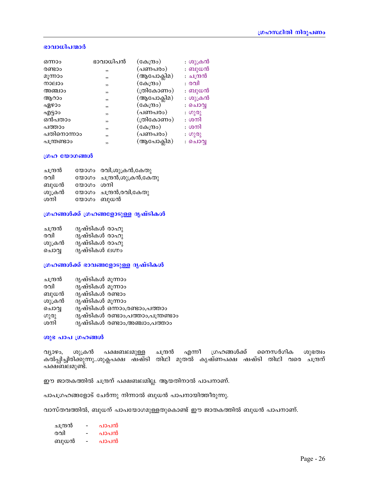## ഭാവാധിപന്മാർ

| ഭാവാധിപൻ | (കേന്ദ്രം) | : ശുക്രൻ  |
|----------|------------|-----------|
| ,        | (പണപരം)    | : ബുധൻ    |
| , ,      | (ആപോക്ലിമ) | : ചന്ദ്രൻ |
| ,        | (കേന്ദ്രം) | : രവി     |
| ,        | (ത്രികോണം) | : ബുധൻ    |
| ,        | (ആപോക്ലിമ) | : ശുക്രൻ  |
| ,        | (കേന്ദ്രം) | : ചൊവ്വ   |
| ,        | (പണപരം)    | : ഗുരു    |
| , ,      | (ത്രികോണം) | : ശനി     |
| ,        | (കേന്ദ്രം) | : ശനി     |
| ,        | (പണപരം)    | : ഗുരു    |
| , ,      | (ആപോക്ലിമ) | : ചൊവ്വ   |
|          |            |           |

### ഗ്രഹ യോഗങ്ങൾ

| ചന്ദ്രൻ |           | യോഗം രവി,ശുക്രൻ,കേതു     |
|---------|-----------|--------------------------|
| രവി     |           | യോഗം ചന്ദ്രൻ,ശുക്രൻ,കേതു |
| ബുധൻ    | യോഗം ശനി  |                          |
| ശുക്രൻ  |           | യോഗം ചന്ദ്രൻ,രവി,കേതു    |
| ശനി     | യോഗം ബുധൻ |                          |

## ഗ്രഹങ്ങൾക്ക് ഗ്രഹങ്ങളോടുള്ള ദൃഷ്ടികൾ

| ചന്ദ്രൻ | ദൃഷ്ടികൾ രാഹു  |  |
|---------|----------------|--|
| രവി     | ദൃഷ്ടികൾ രാഹു  |  |
| ശുക്രൻ  | ദൃഷ്ടികൾ രാഹു  |  |
| ചൊവ്വ   | ദൃഷ്ടികൾ ലഗ്നം |  |

## ഗ്രഹങ്ങൾക്ക് ഭാവങ്ങളോടുള്ള ദൃഷ്ടികൾ

| ചന്ദ്രൻ | ദൃഷ്ടികൾ മൂന്നാം |                                    |
|---------|------------------|------------------------------------|
| രവി     | ദൃഷ്ടികൾ മൂന്നാം |                                    |
| ബുധൻ    | ദൃഷ്ടികൾ രണ്ടാം  |                                    |
| ശുക്രൻ  | ദൃഷ്ടികൾ മൂന്നാം |                                    |
| ചൊവൃ    |                  | ദൃഷ്ടികൾ ഒന്നാം,രണ്ടാം,പത്താം      |
| ഗുരു    |                  | ദൃഷ്ടികൾ രണ്ടാം,പത്താം,പന്ത്രണ്ടാം |
| ശനി     |                  | ദൃഷ്ടികൾ രണ്ടാം,അഞ്ചാം,പത്താം      |
|         |                  |                                    |

#### ശുഭ പാപ ഗ്രഹങ്ങൾ

വ്യാഴം, ശുക്രൻ പക്ഷബലമുള്ള ചന്ദ്രൻ എന്നീ ഗ്രഹങ്ങൾക്ക് നൈസർഗിക ശുഭത്വം<br>കൽപ്പിച്ചിരിക്കുന്നു..ശുക്ലപക്ഷ ഷഷ്ടി തിഥി മുതൽ കൃഷ്ണപക്ഷ ഷഷ്ടി തിഥി വരെ ചന്ദ്രന് പക്ഷബലമുണ്ട്.

ഈ ജാതകത്തിൽ ചന്ദ്രന് പക്ഷബലമില്ല. ആയതിനാൽ പാപനാണ്.

പാപഗ്രഹങ്ങളോട് ചേർന്നു നിന്നാൽ ബുധൻ പാപനായിത്തീരുന്നു.

വാസ്തവത്തിൽ, ബുധന് പാപയോഗമുള്ളതുകൊണ്ട് ഈ ജാതകത്തിൽ ബുധൻ പാപനാണ്.

| ചതരി | - | പാപൻ |
|------|---|------|
| രവി  |   | പാപൻ |
| ബുധൻ | - | പാപൻ |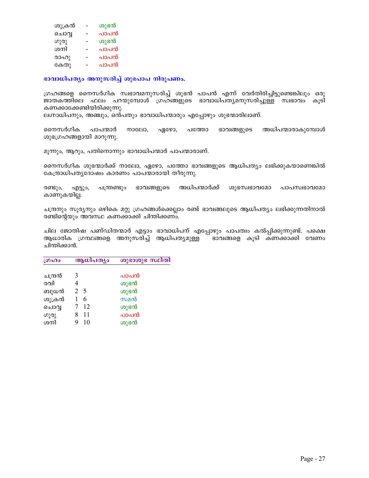| ശുക്രൻ | ശുഭൻ |
|--------|------|
| ചൊവൃ   | പാപൻ |
| ഗുരു   | ശുഭൻ |
| ശനി    | പാപൻ |
| രാഹു   | പാപൻ |
| കേതു   | പാപൻ |

## $\mathbf{u}$ ദാധിപത്യം അനുസരിച്ച് ശുഭപാപ നിരൂപണം.

്രഗ്രഹങ്ങളെ നൈസർഗിക സ്വഭാവമനുസരിച്ച് ശുഭൻ പാപൻ എന്ന് വേർതിരിച്ചിട്ടുണ്ടെങ്കിലും ഒരു ജാതകത്തിലെ ഫലം പറയുമ്പോൾ ഗ്രഹങ്ങളുടെ ഭാവാധിപത്യമനുസരിച്ചുള്ള സ്വഭാവം കൂടി കണക്കാക്കേണ്ടിയിരിക്കുന്നു.

ലഗ്നാധിപനും, അഞ്ചും, ഒൻപതും ഭാവാധിപന്മാരും എപ്പോഴും ശുഭന്മാരിലാണ്.

നൈസർഗിക പാപന്മാർ നാലോ, ഏഴോ, പത്തോ ഭാവങ്ങളുടെ അധിപന്മാരാകുമ്പോൾ ശുഭഗ്രഹങ്ങളായി മാറുന്നു.

മൂന്നും, ആറും, പതിനൊന്നും ഭാവാധിപന്മാർ പാപന്മാരാണ്.

നൈസർഗിക ശുഭന്മാർക്ക് നാലോ, ഏഴോ, പത്തോ ഭാവങ്ങളുടെ ആധിപത്യം ലഭിക്കുകയാണെങ്കിൽ കേന്ദ്രാധിപതൃദോഷം കാരണം പാപന്മാരായി തീരുന്നു.

രണ്ടും, എട്ടും, പന്ത്രണ്ടും ഭാവങ്ങളുടെ അധിപന്മാർക്ക് ശുഭസ്വഭാവമോ പാപസ്വഭാവമോ കാണുകയില്ല.

ചന്ദ്രനും സൂര്യനും ഒഴികെ മറ്റു ഗ്രഹങ്ങൾക്കെല്ലാം രണ്ട് ഭാവങ്ങലുടെ ആധിപത്യം ലഭിക്കുന്നതിനാൽ രണ്ടിന്റെയും അവസ്ഥ കണക്കാക്കി ചിന്തിക്കണം.

ചില ജോതിഷ പണ്ഡിതന്മാർ എട്ടാം ഭാവാധിപന് എപ്പോഴും പാപത്വം കൽപ്പിക്കുന്നുണ്ട്. പക്ഷെ ആധാരിക ഗ്രന്ഥങ്ങളെ അനുസരിച്ച് ആധിപത്യമുള്ള ` ഭാവങ്ങളെ കൂടി കണക്കാക്കി വേണം ചിന്തിക്കാൻ.

| ഗ്രഹം   | ആധിപത്യം | ശുഭാശുഭ സ്ഥിതി |
|---------|----------|----------------|
|         |          |                |
| ചന്ദ്രൻ | 3        | പാപൻ           |
| രവി     | 4        | ശുഭൻ           |
| ബുധൻ    | 2 5      | ശുഭൻ           |
| ശുക്രൻ  | 6        | സമൻ            |
| ചൊവൃ    | 12       | ശുഭൻ           |
| ഗുരു    | 11       | പാപൻ           |
| ശനി     | 10       | ശുഭൻ           |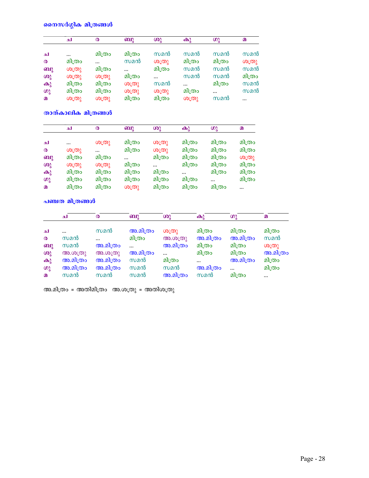# നൈസർഗ്ഗിക മിത്രങ്ങൾ

|                       | ച         | $\boldsymbol{\omega}$ | ബു       | ശു        | കു       | ဖာ္ခ     | $\Omega$ |
|-----------------------|-----------|-----------------------|----------|-----------|----------|----------|----------|
| ച                     | $\ddotsc$ | മിത്രം                | മിത്രം   | സമൻ       | സമൻ      | സമൻ      | സമൻ      |
| $\boldsymbol{\omega}$ | മിത്രം    | $\ddotsc$             | സമൻ      | ശത്രു     | മിത്രം   | മിത്രം   | O(D)     |
| ബു                    | ശത്രു     | മിത്രം                | $\cdots$ | മിത്രം    | സമൻ      | സമൻ      | സമൻ      |
| ശു                    | ശത്രു     | ശത്രു                 | മിത്രം   | $\ddotsc$ | സമൻ      | സമൻ      | മിത്രം   |
| $\mathbf{\omega}$     | മിത്രം    | മിത്രം                | ശത്രു    | സമൻ       | $\cdots$ | മിത്രം   | സമൻ      |
| ဖာ္ခ                  | മിത്രം    | മിത്രം                | ശത്രു    | ശത്രു     | മിത്രം   | $\cdots$ | സമൻ      |
| മ                     | ശത്രു     | ശത്രു                 | മിത്രം   | മിത്രം    | ശത്രു    | സമൻ      |          |

താത്കാലിക മിത്രങ്ങൾ

|                       | لم     | ര      | ബു       | ശു                             | $\mathbf{\Theta}$ | ഗു       | മ         |
|-----------------------|--------|--------|----------|--------------------------------|-------------------|----------|-----------|
|                       |        |        |          |                                |                   |          |           |
| ച                     |        | ശത്രു  | മിത്രം   | ശ്ര $\mathcal{O}(\mathcal{O})$ | മിത്രം            | മിത്രം   | മിത്രം    |
| $\boldsymbol{\omega}$ | ശത്രു  |        | മിത്രം   | ശത്രു                          | മിത്രം            | മിത്രം   | മിത്രം    |
| ബു                    | മിത്രം | മിത്രം | $\cdots$ | മിത്രം                         | മിത്രം            | മിത്രം   | ശ്ര $(0)$ |
| ശു                    | ശത്രു  | ശത്രു  | മിത്രം   |                                | മിത്രം            | മിത്രം   | മിത്രം    |
| $\mathbf{\omega}$     | മിത്രം | മിത്രം | മിത്രം   | മിത്രം                         |                   | മിത്രം   | മിത്രം    |
| ഗു                    | മിത്രം | മിത്രം | മിത്രം   | മിത്രം                         | മിത്രം            | $\cdots$ | മിത്രം    |
| $\Omega$              | മിത്രം | മിത്രം | ശത്രു    | മിത്രം                         | മിത്രം            | മിത്രം   |           |

<mark>പഞ്ചത മിത്രങ്ങൾ</mark>

|                       | ച          | $\boldsymbol{\omega}$ | ബു        | ശു         | കു        | ഗു       | $\Omega$ |
|-----------------------|------------|-----------------------|-----------|------------|-----------|----------|----------|
| ച                     | $\ddotsc$  | സമൻ                   | അ.മിത്രം  | ശ്ര $(0)$  | മിത്രം    | മിത്രം   | മിത്രം   |
| $\boldsymbol{\omega}$ | സമൻ        | $\ddotsc$             | മിത്രം    | (30.00(0)) | അ.മിത്രം  | അ.മിത്രം | സമൻ      |
| ബു                    | സമൻ        | അ.മിത്രം              | $\ddotsc$ | അ.മിത്രം   | മിത്രം    | മിത്രം   | O(D)     |
| $\omega$              | (30.00(0)) | (30.00(0))            | അ.മിത്രം  | $\ddotsc$  | മിത്രം    | മിത്രം   | അ.മിത്രം |
| $\mathbf{\Theta}$     | അ.മിത്രം   | അ.മിത്രം              | സമൻ       | മിത്രം     | $\ddotsc$ | അ.മിത്രം | മിത്രം   |
| ഗു                    | അ.മിത്രം   | അ.മിത്രം              | സമൻ       | സമൻ        | അ.മിത്രം  | $\cdots$ | മിത്രം   |
| $\Omega$              | സമൻ        | സമൻ                   | സമൻ       | അ.മിത്രം   | സമൻ       | മിത്രം   | $\cdots$ |

അ.മിത്രം = അതിമിത്രം - അതിയ ആരാതു = അതിശത്രു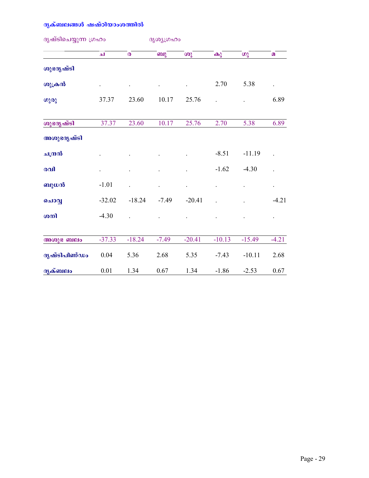# ദ<mark>ൃക്ബലങ്ങൾ ഷഷ്ഠിയാംശത്</mark>തിൽ

| ദൃഷ്ടിചെയ്യുന്ന ഗ്രഹം |                           | ദൃശൃഗ്രഹം |          |          |          |                      |  |
|-----------------------|---------------------------|-----------|----------|----------|----------|----------------------|--|
| الم                   | $\boldsymbol{\mathsf{O}}$ | ബു        | ശു       | കു       | ഗു       | $\Omega$             |  |
|                       |                           |           |          |          |          |                      |  |
|                       |                           | $\bullet$ |          | 2.70     | 5.38     | $\bullet$            |  |
| 37.37                 | 23.60                     | 10.17     | 25.76    |          |          | 6.89                 |  |
| 37.37                 | 23.60                     | 10.17     | 25.76    | 2.70     | 5.38     | 6.89                 |  |
|                       |                           |           |          |          |          |                      |  |
|                       |                           |           |          | $-8.51$  | $-11.19$ | $\ddot{\phantom{0}}$ |  |
|                       |                           |           |          | $-1.62$  | $-4.30$  |                      |  |
| $-1.01$               |                           |           |          |          |          | $\bullet$            |  |
| $-32.02$              | $-18.24$                  | $-7.49$   | $-20.41$ |          |          | $-4.21$              |  |
| $-4.30$               |                           |           |          |          |          |                      |  |
| $-37.33$              | $-18.24$                  | $-7.49$   | $-20.41$ | $-10.13$ | $-15.49$ | $-4.21$              |  |
| 0.04                  | 5.36                      | 2.68      | 5.35     | $-7.43$  | $-10.11$ | 2.68                 |  |
| $0.01\,$              | 1.34                      | 0.67      | 1.34     | $-1.86$  | $-2.53$  | $0.67\,$             |  |
|                       |                           |           |          |          |          |                      |  |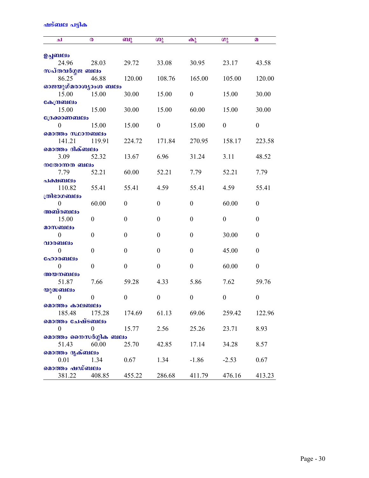# ഷട്ബല പട്ടിക

| الم                    | ര                | ബു               | ശു               | കു               | ഗു               | മ                |
|------------------------|------------------|------------------|------------------|------------------|------------------|------------------|
|                        |                  |                  |                  |                  |                  |                  |
| ഉച്ചബലം<br>24.96       | 28.03            | 29.72            | 33.08            | 30.95            | 23.17            | 43.58            |
| സപ്തവർഗ്ഗജ ബലം         |                  |                  |                  |                  |                  |                  |
| 86.25                  | 46.88            | 120.00           | 108.76           | 165.00           | 105.00           | 120.00           |
| ഓജയുഗ്മരാശ്യാംശ ബലം    |                  |                  |                  |                  |                  |                  |
| 15.00                  | 15.00            | 30.00            | 15.00            | $\boldsymbol{0}$ | 15.00            | 30.00            |
| കേന്ദ്രബലം             |                  |                  |                  |                  |                  |                  |
| 15.00                  | 15.00            | 30.00            | 15.00            | 60.00            | 15.00            | 30.00            |
| ്രേക്കാണബലം            |                  |                  |                  |                  |                  |                  |
| $\theta$               | 15.00            | 15.00            | $\theta$         | 15.00            | $\boldsymbol{0}$ | $\theta$         |
| മൊത്തം സ്ഥാനബലം        |                  |                  |                  |                  |                  |                  |
| 141.21                 | 119.91           | 224.72           | 171.84           | 270.95           | 158.17           | 223.58           |
| മൊത്തം ദിക്ബലം         |                  |                  |                  |                  |                  |                  |
| 3.09                   | 52.32            | 13.67            | 6.96             | 31.24            | 3.11             | 48.52            |
| നതോന്നത ബലം            |                  |                  |                  |                  |                  |                  |
| 7.79                   | 52.21            | 60.00            | 52.21            | 7.79             | 52.21            | 7.79             |
| പക്ഷബലം                |                  |                  |                  |                  |                  |                  |
| 110.82                 | 55.41            | 55.41            | 4.59             | 55.41            | 4.59             | 55.41            |
| ത്രിഭാഗബലം             |                  |                  |                  |                  |                  |                  |
| 0                      | 60.00            | $\theta$         | $\theta$         | $\theta$         | 60.00            | $\theta$         |
| അബ്ദബലം                |                  |                  |                  |                  |                  |                  |
| 15.00                  | $\boldsymbol{0}$ | $\boldsymbol{0}$ | $\theta$         | $\theta$         | $\boldsymbol{0}$ | $\boldsymbol{0}$ |
| മാസബലം                 |                  |                  |                  |                  |                  |                  |
| $\theta$               | $\boldsymbol{0}$ | $\boldsymbol{0}$ | $\boldsymbol{0}$ | $\theta$         | 30.00            | $\boldsymbol{0}$ |
| വാരബലം<br>$\mathbf{0}$ | $\boldsymbol{0}$ | $\boldsymbol{0}$ | $\boldsymbol{0}$ | $\boldsymbol{0}$ | 45.00            | $\boldsymbol{0}$ |
| ഹോരബലം                 |                  |                  |                  |                  |                  |                  |
| $\mathbf{0}$           | $\boldsymbol{0}$ | $\boldsymbol{0}$ | $\boldsymbol{0}$ | $\mathbf{0}$     | 60.00            | $\boldsymbol{0}$ |
| അയനബലം                 |                  |                  |                  |                  |                  |                  |
| 51.87                  | 7.66             | 59.28            | 4.33             | 5.86             | 7.62             | 59.76            |
| യുദ്ധബലം               |                  |                  |                  |                  |                  |                  |
| $\boldsymbol{0}$       | $\boldsymbol{0}$ | $\boldsymbol{0}$ | $\theta$         | $\boldsymbol{0}$ | 0                | $\boldsymbol{0}$ |
| മൊത്തം കാലബലം          |                  |                  |                  |                  |                  |                  |
| 185.48                 | 175.28           | 174.69           | 61.13            | 69.06            | 259.42           | 122.96           |
| മൊത്തം ചേഷ്ടബലം        |                  |                  |                  |                  |                  |                  |
| $\boldsymbol{0}$       | $\boldsymbol{0}$ | 15.77            | 2.56             | 25.26            | 23.71            | 8.93             |
| മൊത്തം നൈസർഗ്ഗിക ബലം   |                  |                  |                  |                  |                  |                  |
| 51.43                  | 60.00            | 25.70            | 42.85            | 17.14            | 34.28            | 8.57             |
| മൊത്തം ദൃക്ബലം         |                  |                  |                  |                  |                  |                  |
| 0.01                   | 1.34             | 0.67             | 1.34             | $-1.86$          | $-2.53$          | 0.67             |
| മൊത്തം ഷഡ്ബലം          |                  |                  |                  |                  |                  |                  |
| 381.22                 | 408.85           | 455.22           | 286.68           | 411.79           | 476.16           | 413.23           |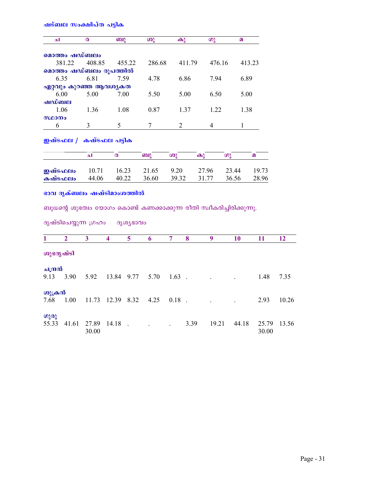|              |                | ഷട്ബല സംക്ഷിപ്ത പട്ടിക                              |                         |           |                                                                       |                   |        |                   |       |              |
|--------------|----------------|-----------------------------------------------------|-------------------------|-----------|-----------------------------------------------------------------------|-------------------|--------|-------------------|-------|--------------|
| الم          |                | ര                                                   | ബു                      |           | ശു                                                                    | $\mathbf{\Theta}$ |        | ഗു                |       | $\Omega$     |
|              |                | മൊത്തം ഷഡ്ബലം                                       |                         |           |                                                                       |                   |        |                   |       |              |
|              | 381.22         | 408.85                                              |                         | 455.22    | 286.68                                                                |                   | 411.79 | 476.16            |       | 413.23       |
|              |                | മൊത്തം ഷഡ്ബലം രൂപത്തിൽ                              |                         |           |                                                                       |                   |        |                   |       |              |
|              | 6.35           | 6.81                                                | 7.59                    |           | 4.78                                                                  |                   | 6.86   | 7.94              |       | 6.89         |
|              |                | ഏറ്റവും കുറഞ്ഞ ആവശ്യകത                              |                         |           |                                                                       |                   |        |                   |       |              |
|              | 6.00           | 5.00                                                | 7.00                    |           | 5.50                                                                  |                   | 5.00   | 6.50              |       | 5.00         |
| ഷഡ്ബല        |                |                                                     |                         |           |                                                                       |                   |        |                   |       |              |
|              | 1.06           | 1.36                                                | 1.08                    |           | 0.87                                                                  |                   | 1.37   | 1.22              |       | 1.38         |
| സ്ഥാനം       |                |                                                     |                         |           |                                                                       |                   |        |                   |       |              |
| 6            |                | 3                                                   | 5                       |           | $\tau$                                                                | $\overline{2}$    |        | 4                 |       | $\mathbf{1}$ |
|              |                | ഇഷ്ടഫല / കഷ്ടഫല പട്ടിക                              |                         |           |                                                                       |                   |        |                   |       |              |
|              |                | الم                                                 | $\pmb{\infty}$          |           | ബു                                                                    | ശു                |        | $\mathbf{\Theta}$ | ഗു    | മ            |
| ഇഷ്ടഫലം      |                | 10.71                                               | 16.23                   |           | 21.65                                                                 | 9.20              |        | 27.96             | 23.44 | 19.73        |
| കഷ്ടഫലം      |                | 44.06                                               | 40.22                   |           | 36.60                                                                 | 39.32             |        | 31.77             | 36.56 | 28.96        |
|              |                | ഭാവ ദൃക്ബലം ഷഷ്ടിമാംശത്തിൽ<br>ദൃഷ്ടിചെയ്യുന്ന ഗ്രഹം |                         | ദൃശ്യഭാവം | ബുധന്റെ ശുഭത്വം യോഗം കൊണ്ട് കണക്കാക്കുന്ന രീതി സ്വീകരിച്ചിരിക്കുന്നു. |                   |        |                   |       |              |
| $\mathbf{1}$ | $\overline{2}$ | $\overline{\mathbf{3}}$                             | $\overline{\mathbf{4}}$ | 5         | 6                                                                     | $\overline{7}$    | 8      | 9                 | 10    | 11           |
| ശുഭദൃഷ്ടി    |                |                                                     |                         |           |                                                                       |                   |        |                   |       |              |
| ചന്ദ്രൻ      |                |                                                     |                         |           |                                                                       |                   |        |                   |       |              |
| 9.13         | 3.90           | 5.92                                                | 13.84 9.77              |           | 5.70                                                                  | $1.63$ .          |        |                   |       | 1.48         |
| ശുക്രൻ       |                |                                                     |                         |           |                                                                       |                   |        |                   |       |              |
| 7.68         | 1.00           | 11.73                                               | 12.39                   | 8.32      | 4.25                                                                  | 0.18              |        |                   |       | 2.93         |

 $3.39$   $19.21$   $44.18$ 

 $\begin{array}{cccc} \n\omega_3 \omega_3 & & & \\ \n55.33 & 41.61 & 27.89 & 14.18 \n\end{array}$ .

30.00

25.79 13.56

30.00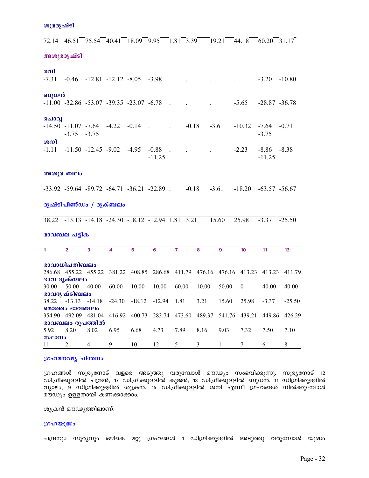ശുഭദൃഷ്ടി

| 72.14          | 46.51                                                   | 75.54 | 40.41                                             | 18.09   | 9.95     | 1.81           | 3.39    |                                                                       | 19.21        | 44.18            | 60.20            | 31.17         |
|----------------|---------------------------------------------------------|-------|---------------------------------------------------|---------|----------|----------------|---------|-----------------------------------------------------------------------|--------------|------------------|------------------|---------------|
|                | അശുഭദൃഷ്ടി                                              |       |                                                   |         |          |                |         |                                                                       |              |                  |                  |               |
|                |                                                         |       |                                                   |         |          |                |         |                                                                       |              |                  |                  |               |
| രവി            |                                                         |       |                                                   |         |          |                |         |                                                                       |              |                  |                  |               |
| $-7.31$        |                                                         |       | $-0.46$ $-12.81$ $-12.12$ $-8.05$ $-3.98$         |         |          | $\sim$         |         |                                                                       |              |                  | $-3.20$          | $-10.80$      |
|                |                                                         |       |                                                   |         |          |                |         |                                                                       |              |                  |                  |               |
| ബുധൻ           | $-11.00$ $-32.86$ $-53.07$ $-39.35$ $-23.07$ $-6.78$    |       |                                                   |         |          |                |         |                                                                       |              | $-5.65$          | $-28.87 - 36.78$ |               |
|                |                                                         |       |                                                   |         |          | $\sim$         |         |                                                                       |              |                  |                  |               |
| ചൊവ്വ          |                                                         |       |                                                   |         |          |                |         |                                                                       |              |                  |                  |               |
|                | $-14.50$ $-11.07$ $-7.64$                               |       | $-4.22$                                           | $-0.14$ | $\sim$   |                | $-0.18$ |                                                                       | $-3.61$      | $-10.32$         | $-7.64$          | $-0.71$       |
|                | $-3.75 -3.75$                                           |       |                                                   |         |          |                |         |                                                                       |              |                  | $-3.75$          |               |
| ശനി            |                                                         |       |                                                   |         |          |                |         |                                                                       |              |                  |                  |               |
| $-1.11$        |                                                         |       | $-11.50$ $-12.45$ $-9.02$ $-4.95$                 |         | $-0.88$  | $\sim$         |         |                                                                       |              | $-2.23$          | $-8.86$          | $-8.38$       |
|                |                                                         |       |                                                   |         | $-11.25$ |                |         |                                                                       |              |                  | $-11.25$         |               |
|                | അശുഭ ബലം                                                |       |                                                   |         |          |                |         |                                                                       |              |                  |                  |               |
|                |                                                         |       |                                                   |         |          |                |         |                                                                       |              |                  |                  |               |
|                | $-33.92$ $-59.64$ $-89.72$ $-64.71$ $-36.21$ $-22.89$ . |       |                                                   |         |          |                | $-0.18$ |                                                                       | $-3.61$      | $-18.20$         | $-63.57 - 56.67$ |               |
|                |                                                         |       |                                                   |         |          |                |         |                                                                       |              |                  |                  |               |
|                | ദൃഷ്ടിപിണ്ഡം / ദൃക്ബലം                                  |       |                                                   |         |          |                |         |                                                                       |              |                  |                  |               |
| 38.22          |                                                         |       | $-13.13$ $-14.18$ $-24.30$ $-18.12$ $-12.94$ 1.81 |         |          |                | 3.21    |                                                                       | 15.60        | 25.98            | $-3.37$          | $-25.50$      |
|                |                                                         |       |                                                   |         |          |                |         |                                                                       |              |                  |                  |               |
|                | ഭാവബല പട്ടിക                                            |       |                                                   |         |          |                |         |                                                                       |              |                  |                  |               |
| $\mathbf{1}$   | $\overline{2}$                                          | 3     | $\overline{\mathbf{4}}$                           | 5       | 6        | $\overline{ }$ |         | 8                                                                     | 9            | 10               | 11               | 12            |
|                |                                                         |       |                                                   |         |          |                |         |                                                                       |              |                  |                  |               |
|                | ഭാവാധിപതിബലം                                            |       |                                                   |         |          |                |         |                                                                       |              |                  |                  |               |
|                |                                                         |       |                                                   |         |          |                |         | 286.68 455.22 455.22 381.22 408.85 286.68 411.79 476.16 476.16 413.23 |              |                  | 413.23           | 411.79        |
| 30.00          | ഭാവ ദൃക്ബലം<br>50.00                                    | 40.00 | 60.00                                             | 10.00   | 10.00    | 60.00          |         | 10.00                                                                 | 50.00        | $\boldsymbol{0}$ | 40.00            | 40.00         |
|                | ഭാവദൃഷ്ടിബലം                                            |       |                                                   |         |          |                |         |                                                                       |              |                  |                  |               |
|                | 38.22 -13.13 -14.18 -24.30 -18.12 -12.94 1.81           |       |                                                   |         |          |                |         | 3.21                                                                  | 15.60        | 25.98            | $-3.37$          | $-25.50$      |
|                | മൊത്തം ഭാവബലം                                           |       |                                                   |         |          |                |         |                                                                       |              |                  |                  |               |
|                |                                                         |       |                                                   |         |          |                |         | 354.90 492.09 481.04 416.92 400.73 283.74 473.60 489.37 541.76 439.21 |              |                  |                  | 449.86 426.29 |
|                | ഭാവബലം രൂപത്തിൽ                                         |       |                                                   |         |          |                |         |                                                                       |              |                  |                  |               |
| 5.92<br>സ്ഥാനം | 8.20                                                    | 8.02  | 6.95                                              | 6.68    | 4.73     | 7.89           |         | 8.16                                                                  | 9.03         | 7.32             | 7.50             | 7.10          |
| 11             | 2                                                       | 4     | 9                                                 | 10      | 12       | 5              |         | 3                                                                     | $\mathbf{1}$ | 7                | 6                | 8             |
|                |                                                         |       |                                                   |         |          |                |         |                                                                       |              |                  |                  |               |

## ശ്രഹമൗഢ്യ ചിന്തനം

ഗ്രഹങ്ങൾ സൂര്യനോട് വളരെ അടുത്തു വരുമ്പോൾ മൗഢ്യം സംഭവിക്കുന്നു. സൂര്യനോട് 12<br>ഡിഗ്രിക്കുള്ളിൽ ചന്ദ്രൻ, 17 ഡിഗ്രിക്കുള്ളിൽ കുജൻ, 13 ഡിഗ്രിക്കുള്ളിൽ ബുധൻ, 11 ഡിഗ്രിക്കുള്ളിൽ വ്യാഴം, 9 ഡിഗ്രിക്കുള്ളിൽ ശുക്രൻ, 15 ഡിഗ്രിക്കുള്ളിൽ ശനി എന്നീ ഗ്രഹങ്ങൾ നിൽക്കുമ്പോൾ മൗഢ്യം ഉള്ളതായി കണക്കാക്കാം.

ശുക്രൻ മൗഢ്യത്തിലാണ്.

#### ഗ്രഹയുദ്ധം

ചന്ദ്രനും സൂര്യനും ഒഴികെ മറ്റു ഗ്രഹങ്ങൾ 1 ഡിഗ്രിക്കുള്ളിൽ അടുത്തു വരുമ്പോൾ യുദ്ധം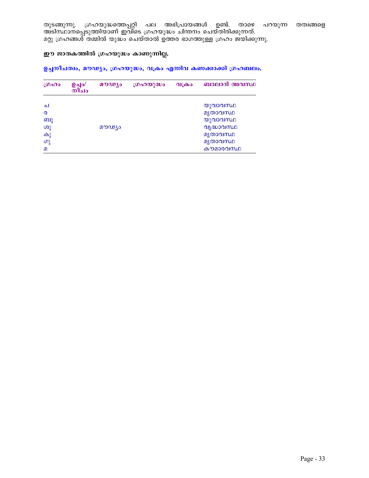തുടങ്ങുന്നു. ഗ്രഹയുദ്ധത്തെപ്പറ്റി പല അഭിപ്രായങ്ങൾ ഉണ്ട്. താഴെ പറയുന്ന തത്വങ്ങളെ അടിസ്ഥാനപ്പെടുത്തിയാണ് ഇവിടെ ഗ്രഹയുദ്ധം ചിന്തനം ചെയ്തിരിക്കുന്നത്. മറ്റു ഗ്രഹങ്ങൾ തമ്മിൽ യുദ്ധം ചെയ്താൽ ഉത്തര ഭാഗത്തുള്ള ഗ്രഹം ജയിക്കുന്നു.

## ഈ ജാതകത്തിൽ ഗ്രഹയുദ്ധം കാണുന്നില്ല.

## ഉച്ചനീചത്വം, മൗഢ്യം, ഗ്രഹയുദ്ധം, വക്രം എന്നിവ കണക്കാക്കി ഗ്രഹബലം.

| ഗ്രഹം                 | ഊിം∖<br>$m$ ിച $\circ$ | മൗഢ്യം | ഗ്രഹയുദ്ധം | വക്രാ | ബാലാദി അവസ്ഥ |
|-----------------------|------------------------|--------|------------|-------|--------------|
|                       |                        |        |            |       |              |
| ച                     |                        |        |            |       | യുവാവസ്ഥ     |
| $\boldsymbol{\Omega}$ |                        |        |            |       | മൃതാവസ്ഥ     |
| ബു                    |                        |        |            |       | യുവാവസ്ഥ     |
| ശു                    |                        | മൗഢ്യം |            |       | വൃദ്ധാവസ്ഥ   |
| കു                    |                        |        |            |       | മൃതാവസ്ഥ     |
| ഗു                    |                        |        |            |       | മൃതാവസ്ഥ     |
| $\Omega$              |                        |        |            |       | കൗമാരവസ്ഥ    |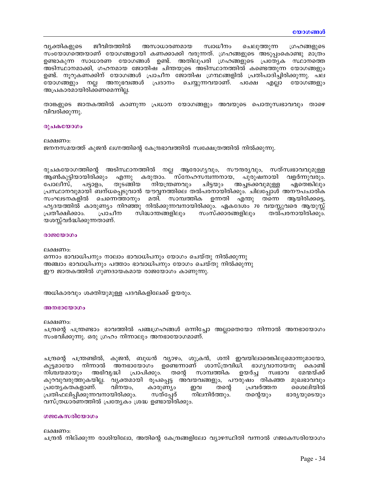വ്യക്തികളുടെ ജീവിതത്തിൽ അസാധാരണമായ സ്വാധീനം ചെലുത്തുന്ന ഗ്രഹങ്ങളുടെ സംയോഗത്തെയാണ് യോഗങ്ങളായി കണക്കാക്കി വരുന്നത്. ഗ്രഹങ്ങളുടെ അടുപ്പംകൊണ്ടു മാത്രം ഉണ്ടാകുന്ന സാധാരണ യോഗങ്ങൾ ഉണ്ട്. അതിലുപരി ഗ്രഹങ്ങളുടെ പ്രത്യേക സ്ഥാനത്തെ അടിസ്ഥാനമാക്കി, ഗഹനമായ ജോതിഷ ചിന്തയുടെ അടിസ്ഥാനത്തിൽ കണ്ടെത്തുന്ന യോഗങ്ങളും ഉണ്ട്. നൂറുകണക്കിന് യോഗങ്ങൾ പ്രാചീന ജോതിഷ ഗ്രന്ഥങ്ങളിൽ പ്രതിപാദിച്ചിരിക്കുന്നു. പല യോഗങ്ങളും നല്ല അനുഭവങ്ങൾ പ്രദാനം ചെയ്യുന്നവയാണ്. പക്ഷേ എല്ലാ യോഗങ്ങളും അപ്രകാരമായിരിക്കണമെന്നില്ല.

താങ്കളുടെ ജാതകത്തിൽ കാണുന്ന പ്രധാന യോഗങ്ങളും അവയുടെ പൊതുസ്വഭാവവും താഴെ വിവരിക്കുന്നു.

#### രുചകയോഗം

#### ലക്ഷണം:

ജനനസമയത്ത് കുജൻ ലഗ്നത്തിന്റെ കേന്ദ്രഭാവത്തിൽ സ്വക്ഷേത്രത്തിൽ നിൽക്കുന്നു.

രുചകയോഗത്തിന്റെ അടിസ്ഥാനത്തിൽ നല്ല ആരോഗ്യവും, സൗന്ദര്യവും, സത്സ്വഭാവവുമുള്ള ആൺകുട്ടിയായിരിക്കും എന്നു കരുതാം. സ്നേഹസമ്പന്നനായ, പുരുഷനായി വളർന്നുവരും. നിയന്ത്രണവും ചിട്ടയും അച്ചടക്കവുമുള്ള പോലീസ്. പട്ടാളം, തുടങ്ങിയ ഏതെങ്കിലും പ്രസ്ഥാനവുമായി ബന്ധപ്പെടുവാൻ യൗവ്വനത്തിലെ തൽപരനായിരിക്കും. ചിലപ്പോൾ അനൗപചാരിക സംഘടനകളിൽ ചെന്നെത്താനും മതി. സാമ്പത്തിക ഉന്നതി എന്തു തന്നെ ആയിരിക്കട്ടെ, ഹൃദയത്തിൽ കാരുണ്യം നിറഞ്ഞു നിൽക്കുന്നവനായിരിക്കും. ഏകദേശം 70 വയസ്സുവരെ ആയുസ്സ് പ്രാചീന സിദ്ധാന്തങ്ങളിലും സംസ്ക്കാരങ്ങളിലും തൽപരനായിരിക്കും. പ്രതീക്ഷിക്കാം. യശസ്സ്വർദ്ധിക്കുന്നതാണ്.

#### രാജയോഗം

ലക്ഷണം: ഒന്നാം ഭാവാധിപനും നാലാം ഭാവാധിപനും യോഗം ചെയ്തു നിൽക്കുന്നു അഞ്ചാം ഭാവാധിപനും പത്താം ഭാവാധിപനും യോഗം ചെയ്തു നിൽക്കുന്നു ഈ ജാതകത്തിൽ ഗുണദായകമായ രാജയോഗം കാണുന്നു.

അധികാരവും ശക്തിയുമുള്ള പദവികളിലേക്ക് ഉയരും.

#### അനഭായോഗം

ലക്ഷണം:

ചന്ദ്രന്റെ പന്ത്രണ്ടാം ഭാവത്തിൽ പഞ്ചഗ്രഹങ്ങൾ ഒന്നിച്ചോ അല്ലാതെയോ നിന്നാൽ അനഭായോഗം സംഭവിക്കുന്നു. ഒരു ഗ്രഹം നിന്നാലും അനഭായോഗമാണ്.

ചന്ദ്രന്റെ പന്ത്രണ്ടിൽ, കുജൻ, ബുധൻ വ്യാഴം, ശുക്രൻ, ശനി ഇവയിലാരെങ്കിലുമൊന്നുമായോ, കൂട്ടമായോ നിന്നാൽ അനഭായോഗം ഉണ്ടെന്നാണ് ശാസ്ത്രവിധി. ഭാഗൃവാനായതു കൊണ്ട് സ്വഭാവ മേന്മയ്ക്ക് നിശ്ചയമായും അഭിവൃദ്ധി പ്രാപിക്കും. തന്റെ സാമ്പത്തിക ഉയർച്ച കുറവുവരുത്തുകയില്ല. വ്യക്തമായി രൂപപ്പെട്ട അവയവങ്ങളും, പൗരുഷം തികഞ്ഞ മുഖഭാവവും പ്രത്യേകതകളാണ്. വിനയം, കാരുണ്യാ ഇവ തന്റെ പ്രവർത്തന മൈലിയിൽ പ്രതിഫലിപ്പിക്കുന്നവനായിരിക്കും. സത്പ്പേര് തന്റെയും ഭാര്യയുടെയും നിലനിർത്തും. വസ്ത്രധാരണത്തിൽ പ്രത്യേകം ശ്രദ്ധ ഉണ്ടായിരിക്കും.

#### ഗജകേസരിയോഗം

ലക്ഷണം: ചന്ദ്രൻ നില്ക്കുന്ന രാശിയിലോ, അതിന്റെ കേന്ദ്രങ്ങളിലോ വ്യാഴസ്ഥിതി വന്നാൽ ഗജകേസരിയോഗം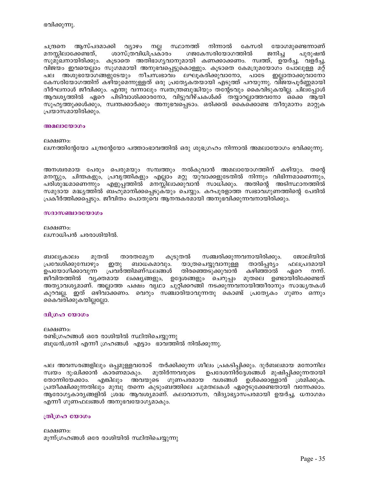ജോലിയിൽ

നന്ന്.

ഫലപ്രദമായി

ഏറെ

ലക്ഷണം: മൂന്ന്ഗ്രഹങ്ങൾ ഒരേ രാശിയിൽ സ്ഥിതിചെയ്യുന്നു

എന്നീ ഗുണഫലങ്ങൾ അനുഭവയോഗ്യമാകും.

## ത്രിഗ്രഹ യോഗം

ബുധൻ,ശനി എന്നീ ഗ്രഹങ്ങൾ എട്ടാം ഭാവത്തിൽ നിൽക്കുന്നു.

തോന്നിയേക്കാം. എങ്കിലും അവയുടെ ഗുണപരമായ

രണ്ട്ഗ്രഹങ്ങൾ ഒരേ രാശിയിൽ സ്ഥിതിചെയ്യുന്നു

താരതമ്യേന

പ്രവർത്തിമണ്ഡലങ്ങൾ

ബാധകമാവും.

ലക്ഷണം:

ജീവിതത്തിൽ വ്യക്തമായ ലക്ഷ്യങ്ങളും, ഉദ്ദേശങ്ങളും ചെറുപ്പം മുതലെ ഉണ്ടായിരിക്കേണ്ടത് അത്യാവശ്യമാണ്. അല്ലാത്ത പക്ഷം വൃഥാ ചുറ്റിക്കറങ്ങി നടക്കുന്നവനായിത്തീരാനും സാദ്ധ്യതകൾ . ഇത് ഒഴിവാക്കണം. വെറും സഞ്ചാരിയാവുന്നതു കൊണ്ട് പ്രത്യേകം ഗുണം ഒന്നും കുറവല്ല. കൈവരിക്കുകയില്ലല്ലോ. ദ്വിഗ്രഹ യോഗം

കൂടുതൽ

പല അവസരങ്ങളിലും ഒപ്പമുള്ളവരോട് തർക്കിക്കുന്ന ശീലം പ്രകടിപ്പിക്കും. ദുർബലമായ മനോനില

പ്രതീക്ഷിക്കുന്നതിലും മുമ്പു തന്നെ കുടുംബത്തിലെ ചുമതലകൾ ഏറ്റെടുക്കേണ്ടതായി വന്നേക്കാം. ആരോഗൃകാരൃങ്ങളിൽ ശ്രദ്ധ ആവശ്യമാണ്. കലാവാസന, വിദ്യാഭ്യാസപരമായി ഉയർച്ച, ധനാഗമം

മുതിർന്നവരുടെ

സഞ്ചരിക്കുന്നവനായിരിക്കും.

താൽപ്പര്യം

ഉപദേശനിർദ്ദേശങ്ങൾ മുഷിപ്പിക്കുന്നതായി

വശങ്ങൾ ഉൾക്കൊള്ളാൻ ശ്രമിക്കുക.

കഴിഞ്ഞാൽ

യാത്രചെയ്യവാനുള്ള

തിരഞ്ഞെടുക്കുവാൻ

ലക്ഷണം: ലഗ്നാധിപൻ ചരരാശിയിൽ.

മുതൽ

സ്വയം ദു:ഖിക്കാൻ കാരണമാകും.

ഇതു

# സദാസഞ്ചാരയോഗം

ബാല്യകാലം

പ്രവേശിക്കുമ്പോഴും

ഉപയോഗിക്കാവുന്ന

അനശ്വരമായ പേരും പെരുമയും സമ്പത്തും നൽകുവാൻ അമലായോഗത്തിന് കഴിയും. തന്റെ മനസ്സും, ചിന്തകളും, പ്രവൃത്തികളും എല്ലാം മറ്റു യുവാക്കളുടേതിൽ നിന്നും വിഭിന്നമാണെന്നും, പരിശുദ്ധമാണെന്നും എളുപ്പത്തിൽ മനസ്സിലാക്കുവാൻ സാധിക്കും. അതിന്റെ അടിസ്ഥാനത്തിൽ സമുദായ മദ്ധ്യത്തിൽ ബഹുമാനിക്കപ്പെടുകയും ചെയ്യും. കറപുരളാത്ത സ്വഭാവഗുണത്തിന്റെ പേരിൽ പ്രകീർത്തിക്കപ്പെടും. ജീവിതം പൊതുവെ ആനന്ദകരമായി അനുഭവിക്കുന്നവനായിരിക്കും.

ലക്ഷണം: ലഗ്നത്തിന്റേയോ ചന്ദ്രന്റേയോ പത്താംഭാവത്തിൽ ഒരു ശുഭഗ്രഹം നിന്നാൽ അമലായോഗം ഭവിക്കുന്നു.

## അമലായോഗം

# പ്രയാസമായിരിക്കും.

സ്ഥാനത്ത് നിന്നാൽ കേസരി യോഗമുണ്ടെന്നാണ് ആസ്പദമാക്കി വ്യാഴം നല്ല ചന്ദ്രനെ മനസ്സിലാക്കേണ്ടത്, ശാസ്ത്രവിധിപ്രകാരം ഗജകേസരിയോഗത്തിൽ ജനിച്ച പുരുഷൻ സുമുഖനായിരിക്കും. കൂടാതെ അതിഭാഗ്യവാനുമായി കണക്കാക്കണം. സ്വത്ത്, ഉയർച്ച, വളർച്ച, വിജയം ഇവയെല്ലാം സുഗമമായി അനുഭവപ്പെട്ടുകൊള്ളും. കൂടാതെ കേമദ്രുമയോഗം പോലുള്ള മറ്റ് പല അശുഭയോഗങ്ങളുടേയും നീചസ്വഭാവം ലഘൂകരിക്കുവാനോ, പാടേ ഇല്ലാതാക്കുവാനോ കേസരിയോഗത്തിന് കഴിയുമെന്നുള്ളത് ഒരു പ്രത്യേകതയായി എടുത്ത് പറയുന്നു. വിജയപൂർണ്ണമായി ദീർഘനാൾ ജീവിക്കും. എന്തു വന്നാലും സ്വതന്ത്രബുദ്ധിയും തന്റേടവും കൈവിടുകയില്ല. ചില്പ്പോൾ ആവശ്യത്തിൽ ഏറെ പിടിവാശിക്കാരനോ, വിട്ടുവീഴ്ചകൾക്ക് തയ്യാറല്ലാത്തവനോ ഒക്കെ ആയി സുഹൃത്തുക്കൾക്കും, സ്വന്തക്കാർക്കും അനുഭവപ്പെടാം. ഒരിക്കൽ കൈക്കൊണ്ട തീരുമാനം മാറ്റുക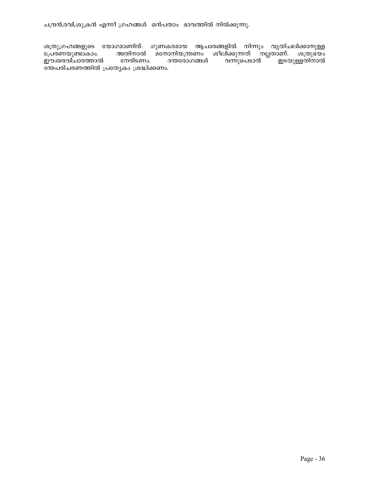ചന്ദ്രൻ,രവി,ശുക്രൻ എന്നീ ഗ്രഹങ്ങൾ ഒൻപതാം ഭാവത്തിൽ നിൽക്കുന്നു.

ശത്രുഗ്രഹങ്ങളുടെ യോഗമാണിത്. ഗുണകരമായ ആചാരങ്ങളിൽ നിന്നും വൃതിചലിക്കാനുള്ള പ്രേരണയുണ്ടാകാം. അതിനാൽ മനോനിയന്ത്രണം ശീലിക്കുന്നത് നല്ലതാണ്. ശത്രുഭയം<br>ഈശ്വരവിചാരത്താൽ നേരിടണം. ദന്തരോഗങ്ങൾ വന്നുപെടാൻ ഇടയുള്ളതിനാൽ \_\_<br>ദന്തപരിചരണത്തിൽ പ്രത്യേകം ശ്രദ്ധിക്കണം.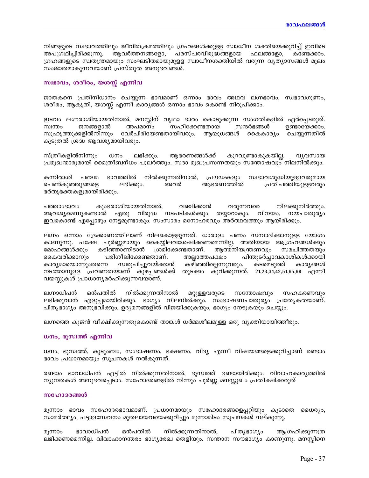നിങ്ങളുടെ സ്വഭാവത്തിലും ജീവിതക്രമത്തിലും ഗ്രഹങ്ങൾക്കുള്ള സ്വാധീന ശക്തിയെക്കുറിച്ച് ഇവിടെ പരസ്പരവിരുദ്ധങ്ങളായ അപഗ്രഥിച്ചിരിക്കുന്നു. ആവർത്തനങ്ങളോ, ഫലങ്ങളോ, കണ്ടേക്കാം. ഗ്രഹങ്ങളുടെ സ്വതന്ത്രമായും സംഘടിതമായുമുളള സ്വാധീനശക്തിയിൽ വരുന്ന വ്യത്യാസങ്ങൾ മൂലം സംജാതമാകുന്നവയാണ് പ്രസ്തുത അനുഭവങ്ങൾ.

### സ്വഭാവം, ശരീരം, യശസ്സ് എന്നിവ

ജാതകനെ പ്രതിനിധാനം ചെയ്യുന്ന ഭാവമാണ് ഒന്നാം ഭാവം അഥവ ലഗ്നഭാവം. സ്വഭാവഗുണം, ശരീരം, ആകൃതി, യശസ്സ് എന്നീ കാര്യങ്ങൾ ഒന്നാം ഭാവം കൊണ്ട് നിരൂപിക്കാം.

ഇടവം ലഗ്നരാശിയായതിനാൽ, മനസ്സിന് വൃഥാ ഭാരം കൊടുക്കുന്ന സംഗതികളിൽ ഏർപ്പെടരുത്. ജനങ്ങളാൽ അപമാനം സഹിക്കേണ്ടതായ സന്ദർഭങ്ങൾ ഉണ്ടായേക്കാം. സ്വന്തം സുഹൃത്തുക്കളിൽനിന്നും വേർപിരിയേണ്ടതായിവരും. ആയുധങ്ങൾ കൈകാര്യം ചെയ്യുന്നതിൽ കൂടുതൽ ശ്രദ്ധ ആവശ്യമായിവരും.

സ്ത്രീകളിൽനിന്നും ധനം ലഭിക്കും. ആഭരണങ്ങൾക്ക് കുറവുണ്ടാകുകയില്ല. വ്യവസായ പ്രമുഖന്മാരുമായി മൈത്രീബന്ധം പുലർത്തും. സദാ മുഖപ്രസന്നതയും സന്തോഷവും നിലനിൽക്കും.

കന്നിരാശി പഞ്ചമ ഭാവത്തിൽ നിൽക്കുന്നതിനാൽ, പ്രൗഢകളും സ്വഭാവശുദ്ധിയുള്ളവരുമായ പെൺകുഞ്ഞുങ്ങളെ ലഭിക്കും. അവർ ആഭരണത്തിൽ പ്രതിപത്തിയുളളവരും ഭർതൃഭക്തകളുമായിരിക്കും.

കുംഭരാശിയായതിനാൽ, വഞ്ചിക്കാൻ നിലക്കുനിർത്തും. പത്താംഭാവം വരുന്നവരെ ആവശ്യമെന്നുകണ്ടാൽ ഏതു വിരുദ്ധ നടപടികൾക്കും തയ്യാറാകും. വിനയം, നയചാതുര്യം ഇവകൊണ്ട് എപ്പോഴും നേട്ടമുണ്ടാകും. സംസാരം മനോഹരവും അർത്ഥവത്തും ആയിരിക്കും.

ലഗ്നം ഒന്നാം ദ്രേക്കാണത്തിലാണ് നിലകൊള്ളുന്നത്. ധാരാളം പണം സമ്പാദിക്കാനുളള യോഗം കാണുന്നു. പക്ഷേ പൂർണ്ണമായും കൈയ്യിലവശേഷിക്കണമെന്നില്ല. അതിയായ ആഗ്രഹങ്ങൾക്കും കടിഞ്ഞാണിടാൻ ശ്രമിക്കേണ്ടതാണ്. ആത്മനിയന്ത്രണവും സമചിത്തതയും മോഹങ്ങൾക്കും പരിശീലിക്കേണ്ടതാണ്. പിന്തുടർച്ചാവകാശികൾക്കായി കൈവരിക്കാനും അല്ലാത്തപക്ഷം കാര്യമായൊന്നുംതന്നെ സ്വരൂപിച്ചുവയ്ക്കാൻ കഴിഞ്ഞില്ലെന്നുവരും. കടമെടുത്ത് കാര്യങ്ങൾ നടത്താനുളള പ്രവണതയാണ് കുഴപ്പങ്ങൾക്ക് തുടക്കം കുറിക്കുന്നത്. 21,23,31,42,51,65,68 എന്നീ വയസ്സുകൾ പ്രാധാന്യമർഹിക്കുന്നവയാണ്.

ലഗ്നാധിപൻ ഒൻപതിൽ നിൽക്കുന്നതിനാൽ മറ്റുള്ളവരുടെ സന്തോഷവും സഹകരണവും ലഭിക്കുവാൻ എളുപ്പമായിരിക്കും. ഭാഗ്യം നിലനിൽക്കും. സംഭാഷണചാതുര്യം പ്രത്യേകതയാണ്. പിതൃഭാഗ്യം അനുഭവിക്കും. ഉദ്യമനങ്ങളിൽ വിജയിക്കുകയും, ഭാഗ്യം നേടുകയും ചെയ്യും.

ലഗ്നത്തെ കുജൻ വീക്ഷിക്കുന്നതുകൊണ്ട് താങ്കൾ ധർമ്മശീലമുള്ള ഒരു വ്യക്തിയായിത്തീരും.

#### ധനം, ഭൂസ്വത്ത് എന്നിവ

ധനം, ഭൂസ്വത്ത്, കുടുംബം, സംഭാഷണം, ഭക്ഷണം, വിദ്യ എന്നീ വിഷയങ്ങളെക്കുറിച്ചാണ് രണ്ടാം ഭാവം പ്രധാനമായും സൂചനകൾ നൽകുന്നത്.

രണ്ടാം ഭാവാധിപൻ എട്ടിൽ നിൽക്കുന്നതിനാൽ, ഭൂസ്വത്ത് ഉണ്ടായിരിക്കും. വിവാഹകാര്യത്തിൽ ന്യൂനതകൾ അനുഭവപ്പെടാം. സഹോദരങ്ങളിൽ നിന്നും പൂർണ്ണ മനസ്സുഖം പ്രതീക്ഷിക്കരുത്

### സഹോദരങ്ങൾ

മൂന്നാം ഭാവം സഹോദരഭാവമാണ്. പ്രധാനമായും സഹോദരങ്ങളെപ്പറ്റിയും കൂടാതെ ധൈര്യം, സാമർത്ഥ്യം, പട്ടാളസേവനം മുതലായവയെക്കുറിച്ചും മൂന്നാമിടം സൂചനകൾ നല്കുന്നു.

മൂന്നാം ഭാവാധിപൻ ഒൻപതിൽ നിൽക്കുന്നതിനാൽ, പിതൃഭാഗ്യം ആഗ്രഹിക്കുന്നത്ര ലഭിക്കണമെന്നില്ല. വിവാഹാനന്തരം ഭാഗൃരേഖ തെളിയും. സന്താന സൗഭാഗ്യം കാണുന്നു. മനസ്സിനെ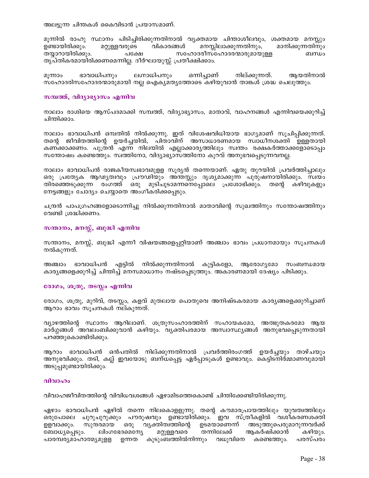അലട്ടുന്ന ചിന്തകൾ കൈവിടാൻ പ്രയാസമാണ്.

മൂന്നിൽ രാഹു സ്ഥാനം പിടിച്ചിരിക്കുന്നതിനാൽ വൃക്തമായ ചിന്താശീലവും, ശക്തമായ മനസ്സും മറ്റുള്ളവരുടെ വികാരങ്ങൾ ഉണ്ടായിരിക്കും. മനസ്സിലാക്കുന്നതിനും, മാനിക്കുന്നതിനും തയ്യാറായിരിക്കും. പക്ഷേ സഹോദരീസഹോദരന്മാരുമായുള്ള ബന്ധം തൃപ്തികരമായിരിക്കണമെന്നില്ല. ദീർഘായുസ്സ് പ്രതീക്ഷിക്കാം.

ഭാവാധിപനും ലഗ്നാധിപനും ഒന്നിച്ചാണ് നില്ക്കുന്നത്. ആയതിനാൽ മുന്നാം സഹോദരിസഹോദരന്മാരുമായി നല്ല ഐകൃമതൃത്തോടെ കഴിയുവാൻ താങ്കൾ ശ്രദ്ധ ചെലുത്തും.

### സമ്പത്ത്, വിദ്യാഭ്യാസം എന്നിവ

നാലാം രാശിയെ ആസ്പദമാക്കി സമ്പത്ത്, വിദ്യാഭ്യാസം, മാതാവ്, വാഹനങ്ങൾ എന്നിവയെക്കുറിച്ച് ചിന്തിക്കാം.

നാലാം ഭാവാധിപൻ ഒമ്പതിൽ നിൽക്കുന്നു. ഇത് വിശേഷവിധിയായ ഭാഗ്യമാണ് സൂചിപ്പിക്കുന്നത്. തന്റെ ജീവിതത്തിന്റെ ഉയർച്ചയിൽ, പിതാവിന് അസാധാരണമായ സ്വാധീനശക്തി ഉള്ളതായി കണക്കാക്കണം. പുത്രൻ എന്ന നിലയിൽ എല്ലാക്കാര്യത്തിലും സ്വന്തം രക്ഷകർത്താക്കളോടൊപ്പം സന്തോഷം കണ്ടെത്തും. സ്വത്തിനോ, വിദ്യാഭ്യാസത്തിനോ കുറവ് അനുഭവപ്പെടുന്നവനല്ല.

നാലാം ഭാവാധിപൻ രാജകീയസ്വഭാവമുളള സൂര്യൻ തന്നെയാണ്. ഏതു തുറയിൽ പ്രവർത്തിച്ചാലും ഒരു പ്രത്യേക ആഢ്യത്വവും പ്രൗഢിയും അന്തസ്സും ദൃശ്യമാക്കുന്ന പുരുഷനായിരിക്കും. സ്വയം തിരഞ്ഞെടുക്കുന്ന രംഗത്ത് ഒരു മുടിചൂടാമന്നനെപ്പോലെ പ്രശോഭിക്കും. തന്റെ കഴിവുകളും നേട്ടങ്ങളും ചോദ്യം ചെയ്യാതെ അംഗീകരിക്കപ്പെടും.

ചന്ദ്രൻ പാപഗ്രഹങ്ങളോടൊന്നിച്ചു നിൽക്കുന്നതിനാൽ മാതാവിന്റെ സുഖത്തിനും സന്തോഷത്തിനും വേണ്ടി ശ്രദ്ധിക്കണം.

## സന്താനം, മനസ്സ്, ബുദ്ധി എന്നിവ

സന്താനം, മനസ്സ്, ബുദ്ധി എന്നീ വിഷയങ്ങളെപുറ്റിയാണ് അഞ്ചാം ഭാവം പ്രധാനമായും സുചനകൾ നൽകുന്നത്.

അഞ്ചാം ഭാവാധിപൻ എട്ടിൽ നിൽക്കുന്നതിനാൽ കുട്ടികളോ, ആരോഗ്യമോ സംബന്ധമായ കാര്യങ്ങളെക്കുറിച്ച് ചിന്തിച്ച് മനസമാധാനം നഷ്ടപ്പെടുത്തും. അകാരണമായി ദേഷ്യം പിടിക്കും.

## രോഗം, ശത്രു, തടസ്കം എന്നിവ

രോഗം, ശത്രു, മുറിവ്, തടസ്സം, കളവ് മുതലായ പൊതുവെ അനിഷ്ടകരമായ കാര്യങ്ങളെക്കുറിച്ചാണ് ആറാം ഭാവം സൂചനകൾ നല്കുന്നത്.

വ്യാഴത്തിന്റെ സ്ഥാനം ആറിലാണ്. ശത്രുസംഹാരത്തിന് സഹായകമോ, അത്ഭുതകരമോ ആയ മാർഗ്ഗങ്ങൾ അവലംബിക്കുവാൻ കഴിയും. വ്യക്തിപരമായ അസ്വാസ്ഥ്യങ്ങൾ അനുഭവപ്പെടുന്നതായി പറഞ്ഞുകൊണ്ടിരിക്കും.

ആറാം ഭാവാധിപൻ ഒൻപതിൽ നില്ക്കുന്നതിനാൽ പ്രവർത്തിരംഗത്ത് ഉയർച്ചയും താഴ്ചയും അനുഭവിക്കും. തടി, കല്ല് ഇവയോടു ബന്ധപ്പെട്ട ഏർപ്പാടുകൾ ഉണ്ടാവും. കെട്ടിടനിർമ്മാണവുമായി അടുപ്പമുണ്ടായിരിക്കും.

### വിവാഹം

വിവാഹജീവിതത്തിന്റെ വിവിധവശങ്ങൾ ഏഴാമിടത്തെകൊണ്ട് ചിന്തിക്കേണ്ടിയിരിക്കുന്നു.

ഏഴാം ഭാവാധിപൻ ഏഴിൽ തന്നെ നിലകൊളളുന്നു. തന്റെ കൗമാരപ്രായത്തിലും യുവത്വത്തിലും ഒരുപോലെ ചുറുചുറുക്കും പൗരുഷവും ഉണ്ടായിരിക്കും. ഇവ സ്ത്രീകളിൽ വശീകരണശക്തി ഉളവാക്കും. സുന്ദരമായ ഒരു വ്യക്തിത്വത്തിന്റെ ഉടമയാണെന്ന് അടുത്തുപെരുമാറുന്നവർക്ക് ബോധ്യപ്പെടും. ലിംഗഭേദമെന്യേ മറ്റുള്ളവരെ തന്നിലേക്ക് ആകർഷിക്കാൻ കഴിയും. പാരമ്പര്യമാഹാത്മ്യമുളള ഉന്നത കുടുംബത്തിൽനിന്നും വധുവിനെ കണ്ടെത്തും. പരസ്പരം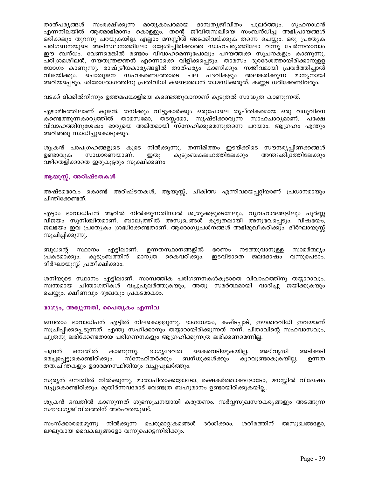സംരക്ഷിക്കുന്ന മാതൃകാപരമായ ദാമ്പതൃജീവിതം പുലർത്തും. ഗൃഹനാഥൻ താത്പര്യങ്ങൾ എന്നനിലയിൽ ആത്മാഭിമാനം കൊളളും. തന്റെ ജീവിതസഖിയെ സംബന്ധിച്ച അഭിപ്രായങ്ങൾ ഒരിക്കലും തുറന്നു പറയുകയില്ല. എല്ലാം മനസ്സിൽ അടക്കിവയ്ക്കുക തന്നെ ചെയ്യും. ഒരു പ്രത്യേക പരിഗണനയുടെ അടിസ്ഥാനത്തിലോ ഉദ്ദേശിച്ചിരിക്കാത്ത സാഹചര്യത്തിലോ വന്നു ചേർന്നതാവാം ഈ ബന്ധം. വേണമെങ്കിൽ രണ്ടാം വിവാഹമെന്നുപോലും പറയത്തക്ക സൂചനകളും കാണുന്നു. പരിശ്രമശീലൻ, നയതന്ത്രജ്ഞൻ എന്നൊക്കെ വിളിക്കപ്പെടും. താമസം ദൂരദേശത്തായിരിക്കാനുളള യോഗം കാണുന്നു. രാഷ്ട്രീയകാരൃങ്ങളിൽ താത്പര്യം കാണിക്കും. സജീവമായി പ്രവർത്തിച്ചാൽ വിജയിക്കും. പൊതുജന സഹകരണത്തോടെ പല പദവികളും അലങ്കരിക്കുന്ന മാന്യനായി അറിയപ്പെടും. ശിരോരോഗത്തിനു പ്രതിവിധി കണ്ടെത്താൻ താമസിക്കരുത്. കണ്ണട ധരിക്കേണ്ടിവരും.

വടക്ക് ദിക്കിൽനിന്നും ഉത്തമപങ്കാളിയെ കണ്ടെത്തുവാനാണ് കൂടുതൽ സാദ്ധ്യത കാണുന്നത്.

ഏഴാമിടത്തിലാണ് കുജൻ. തനിക്കും വീട്ടുകാർക്കും ഒരുപോലെ തൃപ്തികരമായ ഒരു വധുവിനെ കണ്ടെത്തുന്നകാര്യത്തിൽ താമസമോ, തടസ്സമോ, സൃഷ്ടിക്കാവുന്ന സാഹചാര്യമാണ്. പക്ഷേ വിവാഹത്തിനുശേഷം ഭാര്യയെ അമിതമായി സ്നേഹിക്കുമെന്നുതന്നെ പറയാം. ആഗ്രഹം എന്തും അറിഞ്ഞു സാധിച്ചുകൊടുക്കും.

ശുക്രൻ പാപഗ്രഹങ്ങളുടെ കൂടെ നിൽക്കുന്നു. തന്നിമിത്തം ഇടയ്ക്കിടെ സൗന്ദര്യപ്പിണക്കങ്ങൾ സാധാരണയാണ്. കുടുംബകലഹത്തിലേക്കും അന്തഃഛിദ്രത്തിലേക്കും ഉണ്ടാവുക ഇതു വഴിതെളിക്കാതെ ഇരുകൂട്ടരും സൂക്ഷിക്കണം

## ആയുസ്സ്, അരിഷ്ടതകൾ

അഷ്ടമഭാവം കൊണ്ട് അരിഷ്ടതകൾ, ആയുസ്സ്, ചികിത്സ എന്നിവയെപ്പറ്റിയാണ് പ്രധാനമായും ചിന്തിക്കേണ്ടത്.

എട്ടാം ഭാവാധിപൻ ആറിൽ നിൽക്കുന്നതിനാൽ ശത്രുക്കളുടെമേലും, വൃവഹാരങ്ങളിലും പൂർണ്ണ വിജയം സുനിശ്ചിതമാണ്. ബാല്യത്തിൽ അസുഖങ്ങൾ കൂടുതലായി അനുഭവപ്പെടും. വിഷഭയം, ജലഭയം ഇവ പ്രത്യേകം ശ്രദ്ധിക്കേണ്ടതാണ്. ആരോഗ്യപ്രശ്നങ്ങൾ അഭിമുഖീകരിക്കും. ദീർഘായുസ്സ് സൂചിപ്പിക്കുന്നു.

ബുധന്റെ സ്ഥാനം എട്ടിലാണ്. ഉന്നതസ്ഥാനങ്ങളിൽ ഭരണം നടത്തുവാനുള്ള സാമർത്ഥ്യം പ്രകടമാക്കും. കുടുംബത്തിന് മാനൃത കൈവരിക്കും. ഇടവിടാതെ ജലദോഷം വന്നുപെടാം. ദീർഘായുസ്സ് പ്രതീക്ഷിക്കാം.

ശനിയുടെ സ്ഥാനം എട്ടിലാണ്. സാമ്പത്തിക പരിഗണനകൾകൂടാതെ വിവാഹത്തിനു തയ്യാറാവും. സ്വന്തമായ ചിന്താഗതികൾ വച്ചുപുലർത്തുകയും, അതു സമർത്ഥമായി വാദിച്ചു ജയിക്കുകയും ചെയ്യും. ക്ഷീണവും ദുഃഖവും പ്രകടമാകാം.

## ഭാഗ്യം, അഭ്യുന്നതി, പൈതൃകം എന്നിവ

ഒമ്പതാം ഭാവാധിപൻ എട്ടിൽ നിലകൊള്ളുന്നു. ഭാഗധേയം, കഷ്ടപ്പാട്, ഈശ്വരവിധി ഇവയാണ് സുചിപ്പിക്കപ്പെടുന്നത്. എന്തു സഹിക്കാനും തയ്യാറായിരിക്കുന്നത് നന്ന്. പിതാവിന്റെ സഹവാസവും, പുത്രനു ലഭിക്കേണ്ടതായ പരിഗണനകളും ആഗ്രഹിക്കുന്നത്ര ലഭിക്കണമെന്നില്ല.

കൈവെടിയുകയില്ല. ചത്രൻ ഒമ്പതിൽ ഭാഗ്യദേവത അഭിവൃദ്ധി അടിക്കടി കാണുന്നു. മെച്ചപ്പെട്ടുകൊണ്ടിരിക്കും. സ്നേഹിതർക്കും ബന്ധുക്കൾക്കും കുറവുണ്ടാകുകയില്ല. ഉന്നത തത്വചിന്തകളും ഉദാരമനസ്ഥിതിയും വച്ചുപുലർത്തും.

സുര്യൻ ഒമ്പതിൽ നിൽക്കുന്നു. മാതാപിതാക്കളോടോ, രക്ഷകർത്താക്കളോടോ, മനസ്സിൽ വിദ്വേഷം വച്ചുകൊണ്ടിരിക്കും. മുതിർന്നവരോട് വേണ്ടത്ര ബഹുമാനം ഉണ്ടായിരിക്കുകയില്ല.

ശുക്രൻ ഒമ്പതിൽ കാണുന്നത് ശുഭസുചനയായി കരുതണം. സർവ്വസുഖസൗകര്യങ്ങളും അടങ്ങുന്ന സൗഭാഗ്യജീവിതത്തിന് അർഹതയുണ്ട്.

സംസ്ക്കാരമെഴുന്നു നിൽക്കുന്ന പെരുമാറ്റക്രമങ്ങൾ ദർശിക്കാം. ശരീരത്തിന് അസുഖങ്ങളോ, ലഘുവായ വൈകല്യങ്ങളോ വന്നുപെട്ടെന്നിരിക്കും.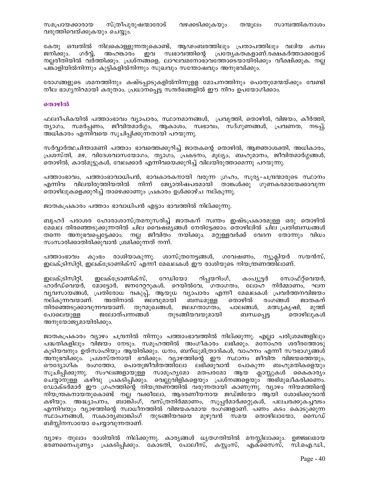സമപ്രായക്കാരായ സ്ത്രീപുരുഷന്മാരോട് വഴക്കടിക്കുകയും സാമ്പത്തികനാശം തന്മൂലം വരുത്തിവെയ്ക്കുകയും ചെയ്യും.

കേതു ഒമ്പതിൽ നിലകൊള്ളുന്നതുകൊണ്ട്, ആഢംബരത്തിലും പ്രതാപത്തിലും വലിയ കമ്പം ഇവ സ്വഭാവത്തിന്റെ പ്രത്യേകതകളാണ്.രക്ഷകർത്താക്കളോട് ജനിക്കും. ഗർവ്, അഹങ്കാരം നല്ലരീതിയിൽ വർത്തിക്കും. പ്രശ്നങ്ങളെ, ലാഘവമനോഭാവത്തോടെയായിരിക്കും വീക്ഷിക്കുക. നല്ല പങ്കാളിയിൽനിന്നും കുട്ടികളിൽനിന്നും സുഖവും സന്തോഷവും അനുഭവിക്കും.

രോഗങ്ങളുടെ ശമനത്തിനും കഷ്ടപ്പാടുകളിൽനിന്നുളള മോചനത്തിനും പൊതുമേന്മയ്ക്കും വേണ്ടി നീല ഭാഗ്യനിറമായി കരുതാം. പ്രധാനപ്പെട്ട സന്ദർഭങ്ങളിൽ ഈ നിറം ഉപയോഗിക്കാം.

## തൊഴിൽ

ഫലദീപികയിൽ പത്താംഭാവം വ്യാപാരം, സ്ഥാനമാനങ്ങൾ, പ്രവൃത്തി, തൊഴിൽ, വിജയം, കീർത്തി, ത്യാഗം, സമർപ്പണം, ജീവിതമാർഗ്ഗം, ആകാശം, സ്വഭാവം, സദ്ഗുണങ്ങൾ, പ്രവണത, നടപ്പ്, അധികാരം എന്നിവയെ സൂചിപ്പിക്കുന്നതായി പറയുന്നു.

സർവ്വാർത്ഥചിന്താമണി പത്താം ഭാവത്തെക്കുറിച്ച് ജാതകന്റെ തൊഴിൽ, ആജ്ഞാശക്തി, അധികാരം, പ്രശസ്തി, മഴ, വിദേശവാസയോഗം, ത്യാഗം, പ്രകടനം, മൂല്യം, ബഹുമാനം, ജീവിതമാർഗ്ഗങ്ങൾ, തൊഴിൽ, കാൽമുട്ടുകൾ, വേലക്കാർ എന്നിവയെക്കുറിച്ച് വിലയിരുത്താമെന്നു പറയുന്നു.

പത്താംഭാവം, പത്താംഭാവാധിപൻ, ഭാവകാരകനായി വരുന്ന ഗ്രഹം, സൂര്യ–ചന്ദ്രന്മാരുടെ സ്ഥാനം എന്നിവ വിലയിരുത്തിയതിൽ നിന്ന് ജ്യോതിഷപരമായി താങ്കൾക്കു ഗുണകരമായേക്കാവുന്ന തൊഴിലുകളെക്കുറിച്ച് താഴെക്കാണും പ്രകാരം ഉൾക്കാഴ്ച നല്കുന്നു.

ജാതകപ്രകാരം പത്താം ഭാവാധിപൻ എട്ടാം ഭാവത്തിൽ നില്ക്കുന്നു.

ബൃഹദ് പരാശര ഹോരാശാസ്ത്രമനുസരിച്ച് ജാതകന് സ്വന്തം ഇഷ്ടപ്രകാരമുള്ള ഒരു തൊഴിൽ മേഖല തിരഞ്ഞെടുക്കുന്നതിൽ ചില വൈഷമൃങ്ങൾ നേരിട്ടേക്കാം. തൊഴിലിൽ ചില പ്രതിബന്ധങ്ങൾ തന്നെ അനുഭവപ്പെട്ടേക്കാം. നല്ല ജീവിതം നയിക്കും. മറ്റുള്ളവർക്ക് വേദന തോന്നും വിധം സംസാരിക്കാതിരിക്കുവാൻ ശ്രമിക്കുന്നത് നന്ന്.

കുംഭം രാശിയാകുന്നു. ശാസ്ത്രനേട്ടങ്ങൾ, ഗവേഷണം, ന്യൂക്ലിയർ സയൻസ്, പത്താംഭാവം ഇലക്ട്രിസിറ്റി, ഇലക്ട്രോണിക്സ് എന്നീ മേഖലകൾ ഈ രാശിയുടെ നിയന്ത്രണത്തിലാണ്.

ഇലക്ട്രിസിറ്റി, ഇലക്ട്രോണിക്സ്, റേഡിയോ റിപ്പയറിംഗ്, കാപ്യൂട്ടർ സോഫ്റ്റ്വെയർ, ഹാർഡ്വെയർ, മോട്ടോർ, ജനറേറ്ററുകൾ, റെയിൽവേ, ഗതാഗതം, ലോഹ നിർമ്മാണം, ഘന വ്യവസായങ്ങൾ, പ്രതിരോധ വകുപ്പ്, ആയുധ വ്യാപാരം എന്നീ മേഖലകൾ പ്രവർത്തനവിജയം ജലവുമായി ബന്ധമുള്ള തൊഴിൽ രംഗങ്ങൾ നല്കുന്നവയാണ്. അതിനാൽ ജാതകന് തിരഞ്ഞെടുക്കാവുന്നവയാണ്. തുറമുഖങ്ങൾ, ജലഗതാഗതം, പാലങ്ങൾ, മത്സ്യകൃഷി, മുത്ത് ജലോത്പന്നങ്ങൾ തുടങ്ങിയവയുമായി പോലെയുള്ള തൊഴിലുകൾ ബന്ധപ്പെട്ട അനുയോജ്യമായിരിക്കും.

ജാതകപ്രകാരം വ്യാഴം ചന്ദ്രനിൽ നിന്നും പത്താംഭാവത്തിൽ നില്ക്കുന്നു. എല്ലാ പരിശ്രമങ്ങളിലും പദ്ധതികളിലും വിജയം നേടും. സമൂഹത്തിൽ അംഗീകാരം ലഭിക്കും. മനോഹര ശരീരത്തോടു കൂടിയവനും ഉത്സാഹിയും ആയിരിക്കും. ധനം, ബന്ധുമിത്രാദികൾ, വാഹനം എന്നീ സൗഭാഗൃങ്ങൾ അനുഭവിക്കും. പ്രശസ്തനായി ഭവിക്കും. വ്യാഴത്തിന്റെ ഈ സ്ഥാനം ജീവിത വിജയത്തെയും, ഔദ്യോഗിക് രംഗത്തോ, പൊതുജീവിതത്തിലോ ലഭിക്കുവാൻ പോകുന്ന ബഹുമതികളെയും<br>സൂചിപ്പിക്കുന്നു. സംഘങ്ങളായുള്ള സാമൂഹ്യമോ മതപരമോ ആയ ക്ലാസ്സുകൾ കൈകാര്യം ചെയ്യാനുള്ള കഴിവു പ്രകടിപ്പിക്കും. വെല്ലുവിളികളെയും പ്രശ്നങ്ങളെയും അഭിമുഖീകരിക്കണം. ഡോക്ടർമാർ ഈ ഗ്രഹത്തിന്റെ നിയന്ത്രണത്തിൽ വരുന്നതായി കാണുന്നു. വ്യാഴം നിയമത്തിന്റെ നിയന്ത്രകനായതുകൊണ്ട് നല്ല<sup>്</sup>വക്കിലോ, ആദരണീയനായ ജഡ്ജിയോ ആയി ശോഭിക്കുവാൻ കഴിയും. അദ്ധ്യാപനം, ബാങ്കിംഗ്, വസ്ത്രനിർമ്മാണം, സൂപ്പർമാർക്കറ്റുകൾ, പലചരക്കുകച്ചവടം എന്നിവയും വ്യാഴത്തിന്റെ സ്വാധീനത്തിൽ വിജയകരമായ രംഗങ്ങളാണ്. പണം കടം കൊടുക്കുന്ന സ്ഥാപനങ്ങൾ, സ്വകാര്യബാങ്കിംഗ് തുടങ്ങിയവയെ മുഴുവൻ സമയ തൊഴിലായോ, സൈഡ് ബിസ്സിനസായോ ചെയ്യാവുന്നതാണ്.

വ്യാഴം തുലാം രാശിയിൽ നില്ക്കുന്നു. കാര്യങ്ങൾ ധൃതഗതിയിൽ മനസ്സിലാക്കും. ഉജ്ജ്വലമായ ഭരണനൈപുണ്യം പ്രകടിപ്പിക്കും. കോടതി, പോലീസ്, കസ്റ്റംസ്, എക്സൈസ്, സി.ഐ.ഡി.,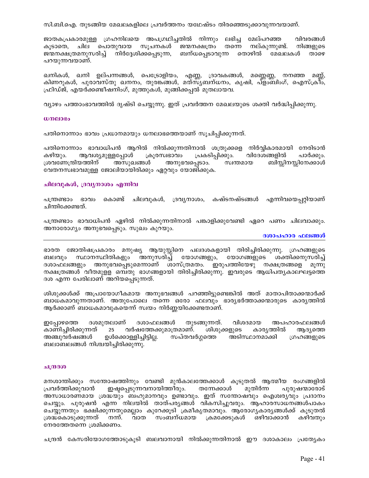സി.ബി.ഐ. തുടങ്ങിയ മേഖലകളിലെ പ്രവർത്തനം യഥേഷ്ടം തിരഞ്ഞെടുക്കാവുന്നവയാണ്.

ജാതകപ്രകാരമുള്ള ഗ്രഹനിലയെ അപഗ്രഥിച്ചതിൽ നിന്നും ലഭിച്ച മേല്പറഞ്ഞ വിവരങ്ങൾ കൂടാതെ, ചില പൊതുവായ സൂചനകൾ ജന്മനക്ഷത്രം തന്നെ നല്കുന്നുണ്ട്. നിങ്ങളുടെ ജന്മനക്ഷത്രമനുസരിച്ച് നിർദ്ദേശിക്കപ്പെടുന്ന, ബന്ധപ്പെടാവുന്ന തൊഴിൽ മേഖലകൾ താഴെ പറയുന്നവയാണ്.

ഖനികൾ, ഖനി ഉല്പന്നങ്ങൾ, പെട്രോളിയം, എണ്ണ, ദ്രാവകങ്ങൾ, മണ്ണെണ്ണ, നനഞ്ഞ മണ്ണ്, കിണറുകൾ, പുരാവസ്തു ഖനനം, തുരങ്കങ്ങൾ, മത്സ്യബന്ധനം, കൃഷി, പ്ളാബിംഗ്, ഐസ്ക്രീം, ഫ്രിഡ്ജ്, എയർക്കണ്ടീഷനിംഗ്, മുത്തുകൾ, മുങ്ങിക്കപ്പൽ മുതലായവ.

വ്യാഴം പത്താംഭാവത്തിൽ ദൃഷ്ടി ചെയ്യുന്നു. ഇത് പ്രവർത്തന മേഖലയുടെ ശക്തി വർദ്ധിപ്പിക്കുന്നു.

#### $w$ നലാഭം

പതിനൊന്നാം ഭാവം പ്രധാനമായും ധനലാഭത്തെയാണ് സുചിപ്പിക്കുന്നത്.

പതിനൊന്നാം ഭാവാധിപൻ ആറിൽ നിൽക്കുന്നതിനാൽ ശത്രുക്കളെ നിർവ്വികാരമായി നേരിടാൻ പ്രകടിപ്പിക്കും. വിദേശങ്ങളിൽ കഴിയും. ആവശ്യമുള്ളപ്പോൾ ക്രൂരസ്വഭാവം പാർക്കും. ശ്രവണേന്ദ്രിയത്തിന് അസുഖങ്ങൾ അനുഭവപ്പെടാം. സ്വന്തമായ ബിസ്റ്റിനസ്സിനേക്കാൾ വേതനസ്വഭാവമുള്ള ജോലിയായിരിക്കും ഏറ്റവും യോജിക്കുക.

## ചിലവുകൾ, ദ്രവൃനാശം എന്നിവ

പന്ത്രണ്ടാം ഭാവം കൊണ്ട് ചിലവുകൾ, ദ്രവൃനാശം, കഷ്ടനഷ്ടങ്ങൾ എന്നിവയെപ്പറ്റിയാണ് ചിന്തിക്കേണ്ടത്.

പന്ത്രണ്ടാം ഭാവാധിപൻ ഏഴിൽ നിൽക്കുന്നതിനാൽ പങ്കാളിക്കുവേണ്ടി ഏറെ പണം ചിലവാക്കും. അനാരോഗ്യം അനുഭവപ്പെടും. സുഖം കുറയും.

#### ദശാപഹാര ഫലങ്ങൾ

ഭാരത ജോതിഷപ്രകാരം മനുഷ്യ ആയുസ്സിനെ പലദശകളായി തിരിച്ചിരിക്കുന്നു. ഗ്രഹങ്ങളുടെ ബലവും സ്ഥാനസ്ഥിതികളും അനുസരിച്ച് യോഗങ്ങളും, യോഗങ്ങളുടെ ശക്തിക്കനുസരിച്ച് ദശാഫലങ്ങളും അനുഭവപ്പെടുമെന്നാണ് ശാസ്ത്രമതം. ഇരുപത്തിയേഴു നക്ഷത്രങ്ങളെ മൂന്നു നക്ഷത്രങ്ങൾ വീതമുളള ഒമ്പതു ഭാഗങ്ങളായി തിരിച്ചിരിക്കുന്നു. ഇവരുടെ ആധിപതൃകാലഘട്ടത്തെ ദശ എന്ന പേരിലാണ് അറിയപ്പെടുന്നത്.

ശിശുക്കൾക്ക് അപ്രായോഗീകമായ അനുഭവങ്ങൾ പറഞ്ഞിട്ടുണ്ടെങ്കിൽ അത് മാതാപിതാക്കന്മാർക്ക് ബാധകമാവുന്നതാണ്. അതുപോലെ തന്നെ ഒരോ ഫലവും ഭാര്യഭർത്താക്കന്മാരുടെ കാര്യത്തിൽ ആർക്കാണ് ബാധകമാവുകയെന്ന് സ്വയം നിർണ്ണയിക്കേണ്ടതാണ്.

ദശമുതലാണ് ദശാഫലങ്ങൾ തുടങ്ങുന്നത്. വിശദമായ അപഹാരഫലങ്ങൾ ഇപ്പോഴത്തെ കാണിച്ചിരിക്കുന്നത് 25 വർഷത്തേക്കുമാത്രമാണ്. ശിശുക്കളുടെ കാര്യത്തിൽ ആദ്യത്തെ അഞ്ചുവർഷങ്ങൾ ഉൾക്കൊള്ളിച്ചിട്ടില്ല. സപ്തവർഗ്ഗത്തെ അടിസ്ഥാനമാക്കി ഗ്രഹങ്ങളുടെ ബലാബലങ്ങൾ നിശ്ചയിച്ചിരിക്കുന്നു.

#### ചന്ദ്രദശ

മനശാന്തിക്കും സന്തോഷത്തിനും വേണ്ടി മുൻകാലത്തേക്കാൾ കൂടുതൽ ആത്മീയ രംഗങ്ങളിൽ ഇഷ്ടപ്പെടുന്നവനായിത്തീരും. തന്നേക്കാൾ പ്രവർത്തിക്കുവാൻ മുതിർന്ന പുരുഷന്മാരോട് അസാധാരണമായ ശ്രദ്ധയും ബഹുമാനവും ഉണ്ടാവും. ഇത് സന്തോഷവും ഐശ്വര്യവും പ്രദാനം ചെയ്യും. പുരുഷൻ എന്ന നിലയിൽ താത്പര്യങ്ങൾ വികസിച്ചുവരും. ആഹാരസാധനങ്ങൾപാകം ചെയ്യുന്നതും ഭക്ഷിക്കുന്നതുമെല്ലാം കുറേക്കൂടി ക്രമീകൃതമാവും. ആരോഗൃകാരൃങ്ങൾക്ക് കൂടുതൽ ശ്രദ്ധകൊടുക്കുന്നത് നന്. ്വാത സംബന്ധമായ ക്രമക്കേടുകൾ ഒഴിവാക്കാൻ കഴിവതും നേരത്തേതന്നെ ശ്രമിക്കണം.

ചന്ദ്രൻ കേസരിയോഗത്തോടുകൂടി ബലവാനായി നിൽക്കുന്നതിനാൽ ഈ ദശാകാലം പ്രത്യേകം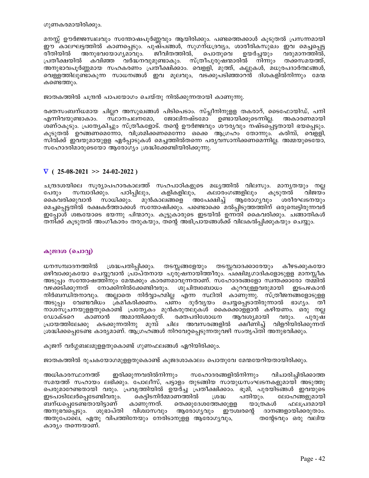ഗുണകരമായിരിക്കും.

മനസ്സ് ഊർജ്ജസ്ഥലവും സന്തോഷപൂർണ്ണവും ആയിരിക്കും. പണ്ടത്തെക്കാൾ കൂടുതൽ പ്രസന്നമായി ഈ കാലഘട്ടത്തിൽ കാണപ്പെടും. പുഷ്പങ്ങൾ, സുഗന്ധദ്രവ്യം, ശാരീരികസുഖം ഇവ മെച്ചപ്പെട്ട രീതിയിൽ അനുഭവയോഗ്യമാവും. ജീവിതത്തിൽ, പൊതുവെ ഉയർച്ചയും വരുമാനത്തിൽ, പ്രതീക്ഷയിൽ കവിഞ്ഞ വർദ്ധനവുമുണ്ടാകും. സ്ത്രീപുരുഷന്മാരിൽ നിന്നും തക്കസമയത്ത്, അനുഭാവപൂർണ്ണമായ സഹകരണം പ്രതീക്ഷിക്കാം. വെള്ളി, മുത്ത്, കല്ലുകൾ, മധുരപദാർത്ഥങ്ങൾ, വെള്ളത്തിലുണ്ടാകുന്ന സാധനങ്ങൾ ഇവ മൂലവും, വടക്കുപടിഞ്ഞാറൻ ദിശകളിൽനിന്നും മേന്മ കണ്ടെത്തും.

ജാതകത്തിൽ ചന്ദ്രൻ പാപയോഗം ചെയ്തു നിൽക്കുന്നതായി കാണുന്നു.

രക്തസംബന്ധമായ ചില്ലറ അസുഖങ്ങൾ പിടിപെടാം. സ്പ്ലീനിനുളള തകരാറ്, ടൈഫോയിഡ്, പനി സ്ഥാനചലനമോ, ജോലിനഷ്ടമോ ഉണ്ടായിക്കുടെന്നില്ല. എന്നിവയുണ്ടാകാം. അകാരണമായി ശണ്ഠകൂടും. പ്രത്യേകിച്ചും സ്ത്രീകളോട്. തന്റെ ഊർജ്ജവും ശൗര്യവും നഷ്ടപ്പെട്ടതായി ഭയപ്പെടും. കൂടുതൽ ഉറങ്ങണമെന്നോ, വിശ്രമിക്കണമെന്നോ ഒക്കെ ആഗ്രഹം തോന്നും. കരിമ്പ്, വെളളി, സിൽക്ക് ഇവയുമായുളള ഏർപ്പാടുകൾ മെച്ചത്തിൽതന്നെ പര്യവസാനിക്കണമെന്നില്ല. അമ്മയുടെയോ, സഹോദരിമാരുടെയോ ആരോഗ്യം ശ്രദ്ധിക്കേണ്ടിയിരിക്കുന്നു.

## $\nabla$  (25-08-2021 >> 24-02-2022)

ചന്ദ്രദശയിലെ സൂര്യാപഹാരകാലത്ത് സഹപാഠികളുടെ മധ്യത്തിൽ വിലസും. മാന്യതയും നല്ല സമ്പാദിക്കും. പഠിപ്പിലും, കളികളിലും, കലാരംഗങ്ങളിലും പേരും കൂടുതൽ വിജയം ആരോഗ്യവും മുൻകാലങ്ങളെ അപേക്ഷിച്ച് കൈവരിക്കുവാൻ സാധിക്കും. ശരീരഘടനയും മെച്ചപ്പെട്ടതിൽ രക്ഷകർത്താക്കൾ സന്തോഷിക്കും. പണ്ടൊക്കെ മൽപ്പിടുത്തത്തിന് ഒരുമ്പെട്ടിരുന്നവർ ഇപ്പോൾ ശങ്കയോടെ ഭയന്നു പിന്മാറും. കൂട്ടുകാരുടെ ഇടയിൽ ഉന്നതി കൈവരിക്കും. ചങ്ങാതികൾ തനിക്ക് കൂടുതൽ അംഗീകാരം തരുകയും, തന്റെ അഭിപ്രായങ്ങൾക്ക് വിലകൽപ്പിക്കുകയും ചെയ്യും.

## കുജദശ (ചൊവ്വ)

ധനസമ്പാദനത്തിൽ ശ്രദ്ധപതിപ്പിക്കും. തടസ്സങ്ങളേയും തടസ്സവാദക്കാരേയും കീഴടക്കുകയോ ഒഴിവാക്കുകയോ ചെയ്യുവാൻ പ്രാപ്തനായ പുരുഷനായിത്തീരും. പക്ഷിമൃഗാദികളോടുള്ള മാനസ്സീക അടുപ്പം സന്തോഷത്തിനും മേന്മക്കും കാരണമാവുന്നതാണ്. സഹോദരങ്ങളോ സ്വന്തക്കാരോ തമ്മിൽ വഴക്കടിക്കുന്നത് നോക്കിനിൽക്കേണ്ടിവരും. ശുചിത്വബോധം കുറവുള്ളവരുമായി ഇടപഴകാൻ നിർബന്ധിതനാവും. അല്ലാതെ നിർവ്വാഹമില്ല എന്ന സ്ഥിതി കാണുന്നു. സ്ത്രീജനങ്ങളോടുള്ള അടുപ്പം വേണ്ടവിധം ക്രമീകരിക്കണം. പണം ദുർവ്യയം ചെയ്യപ്പെടാതിരുന്നാൽ ഭാഗ്യം. തീ നാശസൂചനയുള്ളതുകൊണ്ട് പ്രത്യേകം മുൻകരുതലുകൾ കൈക്കൊള്ളാൻ കഴിയണം. ഒരു നല്ല കാണാൻ അമാന്തിക്കരുത്. ഡോക്ടറെ രക്തപരിശോധന ആവശ്യമായി വരും. പുരുഷ ചില അവസരങ്ങളിൽ ക്ഷീണിച്ച് വിളറിയിരിക്കുന്നത് പ്രായത്തിലേക്കു കടക്കുന്നതിനു മുമ്പ് ശ്രദ്ധിക്കപ്പെടേണ്ട കാര്യമാണ്. ആഗ്രഹങ്ങൾ നിറവേറ്റപ്പെടുന്നതുവഴി സംതൃപ്തി അനുഭവിക്കും.

കുജന് വർഗ്ഗബലമുള്ളതുകൊണ്ട് ഗുണഫലങ്ങൾ ഏറിയിരിക്കും.

ജാതകത്തിൽ രൂചകയോഗമുള്ളതുകൊണ്ട് കുജദശാകാലം പൊതുവേ മേന്മയേറിയതായിരിക്കും.

അധികാരസ്ഥാനത്ത് ഇരിക്കുന്നവരിൽനിന്നും സഹോദരങ്ങളിൽനിന്നും വിചാരിച്ചിരിക്കാത്ത സമയത്ത് സഹായം ലഭിക്കും. പോലീസ്, പട്ടാളം തുടങ്ങിയ സായുധസംഘടനകളുമായി അടുത്തു പെരുമാറേണ്ടതായി വരും. പ്രവൃത്തിയിൽ ഉയർച്ച പ്രതീക്ഷിക്കാം. ഭൂമി, പുരയിടങ്ങൾ ഇവയുടെ കെടിടനിർമ്മാണത്തിൽ ഇടപാടിലേർപ്പെടേണ്ടിവരും. ഗ്രദ്ധ പതിയും. ലോഹങ്ങളുമായി യാത്രകൾ ബന്ധപെടേണ്ടതായിട്ടാണ് കാണുന്നത്. തെക്കുദേശത്തേക്കുള്ള ഫലപ്രദമായി അനുഭവപ്പെടും. ശുഭാപ്തി വിശ്വാസവും ആരോഗൃവും ഈശ്വരന്റെ ദാനങ്ങളായിക്കരുതാം. അതുപോലെ, ഏതു വിപത്തിനേയും നേരിടാനുളള ആരോഗ്യവും, തന്റേടവും ഒരു വലിയ കാര്യം തന്നെയാണ്.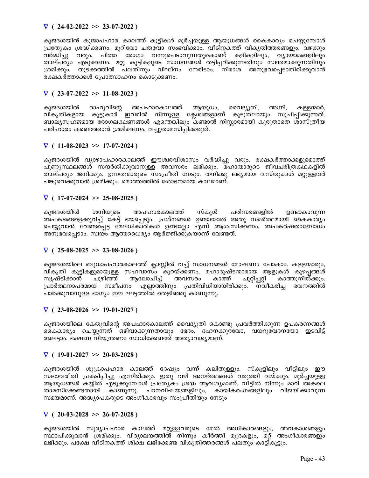## $\nabla$  ( 24-02-2022 >> 23-07-2022 )

കുജദശയിൽ കുജാപഹാര കാലത്ത് കുട്ടികൾ മുർച്ചയുള്ള ആയുധങ്ങൾ കൈകാര്യം ചെയ്യുമ്പോൾ പ്രത്യേകം ശ്രദ്ധിക്കണം. മുറിവോ ചതവോ സംഭവിക്കാം. വീടിനകത്ത് വികൃതിത്തരങ്ങളും, വഴക്കും വർദ്ധിച്ചു വരും. പിത്ത രോഗം വന്നുപെടാവുന്നതുകൊണ്ട് കളികളിലും, വ്യായാമങ്ങളിലും താല്പര്യം എടുക്കണം. മറ്റു കുട്ടികളുടെ സാധനങ്ങൾ തട്ടിപ്പറിക്കുന്നതിനും സ്വന്തമാക്കുന്നതിനും ്രശമിക്കും. തുടക്കത്തിൽ ്പലതിനും വിഘ്നം നേരിടാം. ്നിരാശ അനുഭവപ്പെടാതിരിക്കുവാൻ രക്ഷകർത്താക്കൾ പ്രോത്സാഹനം കൊടുക്കണം.

## $\nabla$  ( 23-07-2022 >> 11-08-2023)

കുജദശയിൽ രാഹുവിന്റെ അപഹാരകാലത്ത് ആയുധം, വൈദ്യുതി, അഗ്നി, കള്ളന്മാർ, ിനകൃതികളായ കൂട്ടുകാർ ഇവരിൽ നിന്നുള്ള ക്ലേശങ്ങളാണ് കൂടുതലായും സൂചിപ്പിക്കുന്നത്. ബാല്യസഹജമായ രോഗലക്ഷണങ്ങൾ എന്തെങ്കിലും കണ്ടാൽ നിസ്സാരമായി കുരുതാതെ ശാസ്ത്രീയ പരിഹാരം കണ്ടെത്താൻ ശ്രമിക്കണം, വച്ചുതാമസിപ്പിക്കരുത്.

## $\nabla$  ( 11-08-2023 >> 17-07-2024)

കുജദശയിൽ വ്യാഴാപഹാരകാലത്ത് ഈശ്വരവിശാസം വർദ്ധിച്ചു വരും. രക്ഷകർത്താക്കളുമൊത്ത് പുണ്യസ്ഥലങ്ങൾ സന്ദർശിക്കുവാനുള്ള അവസരം ലഭിക്കും. മഹാന്മാരുടെ ജീവചരിത്രകഥകളിൽ താല്പര്യം ജനിക്കും. ഉന്നതന്മാരുടെ സംപ്രീതി നേടും. തനിക്കു ലഭ്യമായ വസ്തുക്കൾ മറ്റുള്ളവർ പങ്കുവെക്കുവാൻ ശ്രമിക്കും. മൊത്തത്തിൽ ശോഭനമായ കാലമാണ്.

## $\nabla$  ( 17-07-2024 >> 25-08-2025)

കുജദശയിൽ ശനിയുടെ അപഹാരകാലത്ത് സ്കൂൾ പരിസരങ്ങളിൽ ഉണ്ടാകാവുന്ന അപകടങ്ങളെക്കുറിച്ച് കേട്ട് ഭയപ്പെടും. പ്രശ്നങ്ങൾ ഉണ്ടായാൽ അതു സമർത്ഥമായി കൈകാര്യം ചെയ്യുവാൻ വേണ്ടപ്പെട്ട മേലധികാരികൾ ഉണ്ടല്ലോ എന്ന് ആശ്വസിക്കണം. അപകർഷതാബോധം അനുഭവപ്പെടാം. സ്വയം ആത്മധൈര്യം ആർജ്ജിക്കുകയാണ് വേണ്ടത്.

# $\nabla$  ( 25-08-2025 >> 23-08-2026)

കുജദശയിലെ ബുധാപഹാരകാലത്ത് ക്ലാസ്സിൽ വച്ച് സാധനങ്ങൾ മോഷണം പോകാം. കള്ളന്മാരും, വികൃതി കുട്ടികളുമായുള്ള സഹവാസ്ം കുറയ്ക്കണം. മഹാദുഷ്ടന്മാരായ ആളുകൾ കുഴപ്പങ്ങൾ<br>സൃഷ്ടിക്കാൻ ചുഴിഞ്ഞ് ആലോചിച്ച് അവസരം കാത്ത് ചുറ്റിപ്പറ്റി കാത്തുനിൽക്കും. കാത്തുനിൽക്കും. പ്രാർത്ഥനാപരമായ സമീപനം എല്ലാത്തിനും പ്രതിവിധിയായിരിക്കും. നവീകരിച്ച ഭവനത്തിൽ പാർക്കുവാനുള്ള ഭാഗ്യം ഈ ഘട്ടത്തിൽ തെളിഞ്ഞു കാണുന്നു.

# $\nabla$  ( 23-08-2026 >> 19-01-2027)

കുജദശയിലെ കേതുവിന്റെ അപഹാരകാലത്ത് വൈദ്യുതി കൊണ്ടു പ്രവർത്തിക്കുന്ന ഉപകരണങ്ങൾ കൈകാര്യം ചെയ്യുന്നത് ഒഴിവാക്കുന്നതാവും ഭേദം. ദഹനക്കുറവോ, വയറുവേദനയോ ഇടവിട്ട് അലട്ടാം. ഭക്ഷണ നിയന്ത്രണം സാധിക്കേണ്ടത് അത്യാവശ്യമാണ്.

## $\nabla$  ( 19-01-2027 >> 20-03-2028)

കുജദശയിൽ ശുക്രാപഹാര കാലത്ത് ദേഷ്യം വന്ന് കലിതുള്ളും. സ്കൂളിലും വീട്ടിലും ഈ സ്വഭാവരീതി പ്രകടിപ്പിച്ചു എന്നിരിക്കും. ഇതു വഴി അനർത്ഥങ്ങൾ വരുത്തി വയ്ക്കും. മൂർച്ചയുള്ള ആയുധങ്ങൾ കയ്യിൽ എടുക്കുമ്പോൾ പ്രത്യേകം ശ്രദ്ധ ആവശ്യമാണ്. വീട്ടിൽ നിന്നും മാറി അകലെ താമസിക്കേണ്ടതായി കാണുന്നു. പഠനവിഷയങ്ങളിലും, കായികരംഗങ്ങളിലും വിജയിക്കാവുന്ന സമയമാണ്. അദ്ധ്യാപകരുടെ അംഗീകാരവും സംപ്രീതിയും നേടും

## $\nabla$  ( 20-03-2028 >> 26-07-2028 )

കുജദശയിൽ സൂര്യാപഹാര കാലത്ത് മറ്റുള്ളവരുടെ മേൽ അധികാരങ്ങളും, അവകാശങ്ങളും സ്ഥാപിക്കുവാൻ ശ്രമിക്കും. വിദ്യാലയത്തിൽ നിന്നും കീർത്തി മുദ്രകളും, മറ്റ് അംഗീകാരങ്ങളും ലഭിക്കും. പക്ഷേ വീടിനകത്ത് ശിക്ഷ ലഭിക്കേണ്ട വികൃതിത്തരങ്ങൾ പലതും കാട്ടികൂട്ടും.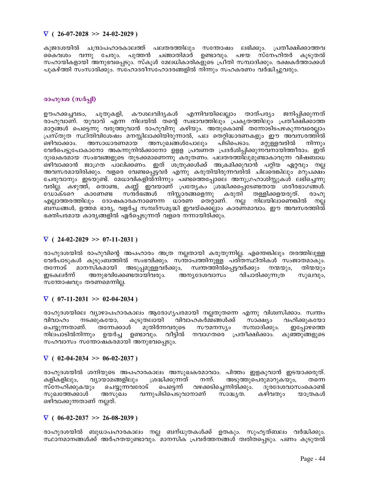## $\nabla$  (26-07-2028 >> 24-02-2029)

കുജദശയിൽ ചന്ദ്രാപഹാരകാലത്ത് പലതരത്തിലും സന്തോഷം ലഭിക്കും. പ്രതീക്ഷിക്കാത്തവ കൈവശം വന്നു ചേരും. പുത്തൻ ചങ്ങാതിമാർ ഉണ്ടാവും. പഴയ സ്നേഹിതർ കൂടുതൽ സഹായികളായി അനുഭവപ്പെടും. സ്കൂൾ മേലധികാരികളുടെ പ്രീതി സമ്പാദിക്കും. രക്ഷകർത്താക്കൾ പുകഴ്ത്തി സംസാരിക്കും. സഹോദരീസഹോദരങ്ങളിൽ നിന്നും സഹകരണം വർദ്ധിച്ചുവരും.

## രാഹുദശ (സർപ്പി)

കൗശലവിദൃകൾ എന്നിവയിലെല്ലാം താത്പര്യം ജനിപ്പിക്കുന്നത് ഊഹക്കച്ചവടം, ചൂതുകളി, രാഹുവാണ്. യുവാവ് എന്ന നിലയിൽ തന്റെ സ്വഭാവത്തിലും പ്രകൃതത്തിലും പ്രതീക്ഷിക്കാത്ത മാറ്റങ്ങൾ പെട്ടെന്നു വരുത്തുവാൻ രാഹുവിനു കഴിയും. അതുകൊണ്ട് തന്നോടിടപഴകുന്നവരെല്ലാം പ്രസ്തുത സ്ഥിതിവിശേഷം മനസ്സിലാക്കിയിരുന്നാൽ, പല തെറ്റിദ്ധാരണകളും ഈ അവസരത്തിൽ മറ്റുള്ളവരിൽ അസാധാരണമായ അസുഖങ്ങൾപോലും പിടിപെടാം. ഒഴിവാക്കാം. നിന്നും വേർപെട്ടുപോകാനോ അകന്നുനിൽക്കാനോ ഉള്ള പ്രവണത പ്രദർശിപിക്കുന്നവനായിത്തീരാം. ഇത് ദുഃഖകരമായ സംഭവങ്ങളുടെ തുടക്കമാണെന്നു കരുതണം. പലതരത്തിലുമുണ്ടാകാവുന്ന വിഷബാധ ഒഴിവാക്കാൻ ജാഗ്രത പാലിക്കണം. ഇത് ശത്രുക്കൾക്ക് അക്രമിക്കുവാൻ പറ്റിയ ഏറ്റവും നല്ല അവസരമായിരിക്കും. വളരെ വേണ്ടപ്പെട്ടവർ എന്നു കരുതിയിരുന്നവരിൽ ചിലരെങ്കിലും മറുപക്ഷം ചേരുവാനും ഇടയുണ്ട്. മേധാവികളിൽ്നിന്നും പണ്ടത്തെപ്പോലെ അനുഗ്രഹാശിസ്റ്റുകൾ ലഭിച്ചെന്നു വരില്ല. കഴുത്ത്, തൊണ്ട, കണ്ണ് ഇവയാണ് പ്രത്യേകം ശ്രദ്ധിക്കപ്പെടേണ്ടതായ ശരീരഭാഗങ്ങൾ. നിസ്കാരങ്ങളെന്നു കരുതി ഡോക്ടറെ കാണേണ്ട സന്ദർഭങ്ങൾ തള്ളിക്കളയരുത്.  $(0000)$ എല്ലാത്തരത്തിലും ദോഷകാരകനാണെന്ന ധാരണ തെറാണ്. നല്ല നിലയിലാണെങ്കിൽ നല്ല ബന്ധങ്ങൾ, ഉത്തമ ഭാര്യ, വളർച്ച സമ്പദ്സമൃദ്ധി ഇവയ്ക്കെല്ലാം കാരണമാവാം. ഈ അവസരത്തിൽ ഭക്തിപരമായ കാര്യങ്ങളിൽ ഏർപ്പെടുന്നത് വളരെ നന്നായിരിക്കും.

# $\nabla$  (24-02-2029 >> 07-11-2031)

രാഹുദശയിൽ രാഹുവിന്റെ അപഹാരം അത്ര നല്ലതായി കരുതുന്നില്ല. എന്തെങ്കിലും തരത്തിലുള്ള വേർപാടുകൾ കുടുംബത്തിൽ സംഭവിക്കും. സന്താപത്തിനുള്ള പരിതസ്ഥിതികൾ സംജാതമാകും. തന്നോട് മാനസികമായി അടുപ്പമുള്ളവർക്കും, സ്വന്തത്തിൽപ്പെട്ടവർക്കും നന്മയും, തിന്മയും അനുഭവിക്കേണ്ടതായിവരും. അനൃദേശവാസം ഇടകലർന്ന് വിചാരിക്കുന്നത്ര സുഖവും, സതോഷവും തരണമെന്നില്ല.

# $\nabla$  ( 07-11-2031 >> 02-04-2034)

രാഹുദശയിലെ വ്യാഴാപഹാരകാലം ആരോഗ്യപരമായി നല്ലതുതന്നെ എന്നു വിശ്വസിക്കാം. സ്വന്തം വിവാഹം നടക്കുകയോ. കുടുതലായി വിവാഹകർമ്മങ്ങൾക്ക് സാക്ഷ്യം വഹിക്കുകയോ തന്നേക്കാൾ ചെയ്യുന്നതാണ്. മുതിർന്നവരുടെ സൗമനസ്യം സമ്പാദിക്കും. ഇപ്പോഴത്തെ നിലപാടിൽനിന്നും ഉയർച്ച ഉണ്ടാവും. വീട്ടിൽ നവാഗതരെ പ്രതീക്ഷിക്കാം. കുഞ്ഞുങ്ങളുടെ സഹവാസം സന്തോഷകരമായി അനുഭവപ്പെടും.

# $\nabla$  ( 02-04-2034 >> 06-02-2037)

രാഹുദശയിൽ ശനിയുടെ അപഹാരകാലം അസുഖകരമാവാം. പിത്തം ഇളകുവാൻ ഇടയാക്കരുത്. കളികളിലും, വ്യായാമങ്ങളിലും ശ്രദ്ധിക്കുന്നത് നന്. അടുത്തുപെരുമാറുകയും, തന്നെ സ്നേഹിക്കുകയും ചെയ്യുന്നവരോട് പെടെന്ന് വഴക്കടിച്ചെന്നിരിക്കും. ദുരദേശവാസംകൊണ്ട് സുഖത്തേക്കാൾ വന്നുപിടിപെടുവാനാണ് സാദ്ധ്യത. കഴിവതും യാത്രകൾ അസുഖം ഒഴിവാക്കുന്നതാണ് നല്ലത്.

## $\nabla$  ( 06-02-2037 >> 26-08-2039)

രാഹുദശയിൽ ബുധാപഹാരകാലം നല്ല ബന്ധുതകൾക്ക് ഉതകും. സുഹൃത്ബലം വർദ്ധിക്കും. സ്ഥാനമാനങ്ങൾക്ക് അർഹതയുണ്ടാവും. മാനസിക പ്രവർത്തനങ്ങൾ ത്വരിതപ്പെടും. പണം കുടുതൽ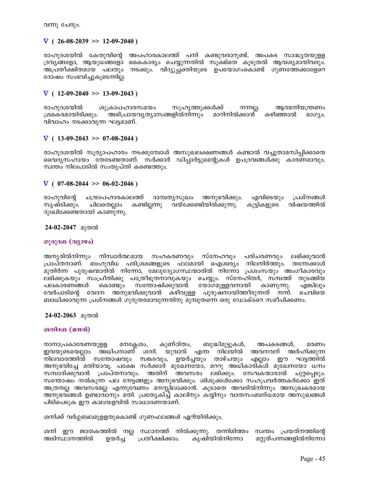വന്നു ചേരും.

## $\nabla$  (26-08-2039 >> 12-09-2040)

രാഹുദശയിൽ കേതുവിന്റെ അപഹാരകാലത്ത് പനി കണ്ടുവരാറുണ്ട്. അപകട സാദ്ധ്യതയുള്ള ദ്രവ്യങ്ങളോ, ആയുധങ്ങളോ കൈകാര്യം ചെയ്യുന്നതിൽ സൂക്ഷ്മത കൂടുതൽ ആവശ്യമായിവരും. അപ്രതീക്ഷിതമായ പലതും നടക്കും. വിദ്യുച്ഛക്തിയുടെ ഉപയോഗംകൊണ്ട് ഗുണത്തേക്കാളേറെ ദോഷം സംഭവിച്ചുകൂടെന്നില്ല.

## $\nabla$  ( 12-09-2040 >> 13-09-2043)

രാഹുദശയിൽ ശുക്രാപഹാരസമയം സുഹൃത്തുക്കൾക്ക് നന്നല്ല. ആത്മനിയന്ത്രണം ശ്രമകരമായിരിക്കും. അഭിപ്രായവ്യത്യാസങ്ങളിൽനിന്നും മാറിനിൽക്കാൻ കഴിഞ്ഞാൽ  $B00$ jo. വിവാഹം നടക്കാവുന്ന ഘട്ടമാണ്.

## $\nabla$  ( 13-09-2043 >> 07-08-2044)

രാഹുദശയിൽ സൂര്യാപഹാരം നടക്കുമ്പോൾ അസുഖലക്ഷണങ്ങൾ കണ്ടാൽ വച്ചുതാമസിപ്പിക്കാതെ വൈദ്യസഹായം തേടേണ്ടതാണ്. സർക്കാർ ഡിപ്പാർട്ടുമെന്റുകൾ ഉപദ്രവങ്ങൾക്കു കാരണമാവും. സ്വന്തം നിലപാടിൽ സംതൃപ്തി കണ്ടെത്തും.

## $\nabla$  ( 07-08-2044 >> 06-02-2046)

രാഹുവിന്റെ ചന്ദ്രാപഹാരകാലത്ത് ദാമ്പതൃസുഖം അനുഭവിക്കും. എവിടെയും പ്രശ്നങ്ങൾ കണ്ടില്ലന്നു വയ്ക്കേണ്ടിയിരിക്കുന്നു. കുട്ടികളുടെ വിഷയത്തിൽ സൃഷ്ടിക്കും. ചിലതെല്ലാം ദുഃഖിക്കേണ്ടതായി കാണുന്നു.

24-02-2047 മുതൽ

## ഗുരുദശ (വ്യാഴം)

അനൃരിൽനിന്നും നിസ്വാർത്ഥമായ സഹകരണവും സ്നേഹവും പരിചരണവും ലഭിക്കുവാൻ പ്രാപ്തനാണ്. ബഹുവിധ പരിശ്രമങ്ങളുടെ ഫലമായി ഐശ്വര്യം നിലനിർത്തും. തന്നേക്കാൾ മുതിർന്ന പുരുഷന്മാരിൽ നിന്നോ, മേലുദ്യോഗസ്ഥന്മാരിൽ നിന്നോ പ്രശംസയും അംഗീകാരവും ലഭിക്കുകയും സംപ്രീതിക്കു പാത്രീഭുതനാവുകയും ചെയ്യും. സ്നേഹിതർ, സമ്പത്ത് തുടങ്ങിയ യോഗമുള്ളവനായി കൊണ്ടും സതോഷിക്കുവാൻ കാണുന്നു. പലകാരണങ്ങൾ എങ്കിലും വേർപാടിന്റെ വേദന അനുഭവിക്കുവാൻ കഴിവുള്ള പുരുഷനായിത്തീരുന്നത് നന്ന്. ചെവിയെ ബാധിക്കാവുന്ന പ്രശ്നങ്ങൾ ഗുരുതരമാവുന്നതിനു മുമ്പുതന്നെ ഒരു ഡോക്ടറെ സമീപിക്കണം.

24-02-2063 മുതൽ

## ശനിദശ (മന്ദൻ)

നാനാപ്രകാരേണയുളള കുണ്ഠിതം, ബുദ്ധിമുട്ടുകൾ, മനക്ലേശം, അപകടങ്ങൾ, മരണം ഇവയുടെയെല്ലാം അധിപനാണ് ശനി. യുവാവ് എന്ന നിലയിൽ അവനവന് അർഹിക്കുന്ന നിലവാരത്തിൽ സന്തോഷവും സങ്കടവും, ഉയർച്ചയും താഴ്ചയും ഈ ഘട്ടത്തിൽ എല്ലാം അനുഭവിച്ചേ മതിയാവൂ. പക്ഷേ സർക്കാർ മുഖേനയോ, മററു അധികാരിക്ൾ മുഖേനയോ ധനം സമ്പാദിക്കുവാൻ പ്രാപ്തനാവും. അതിന് അവസരം ലഭിക്കും. സേവകന്മാരാൽ ചുറ്റപ്പെടും. സന്തോഷം നൽകുന്ന പല നേട്ടങ്ങളും അനുഭവിക്കും. ശിശുക്കൾക്കോ സഹപ്രവർത്തകർക്കോ ഈത് അത്രനല്ല അവസരമല്ല എന്നുവേണം മനസ്സിലാക്കാൻ. കൂടാതെ അവരിൽനിന്നും അസുഖകരമായ അനുഭവ്ങ്ങൾ ഉണ്ടാവാനും മതി. പ്രത്യേകിച്ച് കാലിനും കയ്യിനും വാതസംബന്ധമായ അസുഖങ്ങൾ പിടിപെടുക ഈ കാലയളവിൽ സാധാരണയാണ്.

ശനിക്ക് വർഗ്ഗബലമുള്ളതുകൊണ്ട് ഗുണഫലങ്ങൾ ഏറിയിരിക്കും.

ശനി ഈ ജാതകത്തിൽ നല്ല സ്ഥാനത്ത് നിൽക്കുന്നു. തന്നിമിത്തം സ്വന്തം പ്രയത്നത്തിന്റെ അടിസ്ഥാനത്തിൽ ഉയർച്ച പ്രതീക്ഷിക്കാം. കൃഷിയിൽനിന്നോ മറ്റുത്പന്നങ്ങളിൽനിന്നോ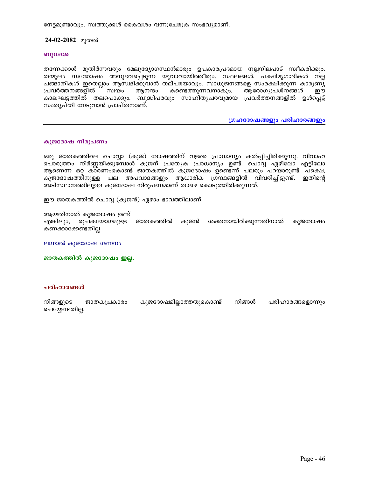നേട്ടമുണ്ടാവും. സ്വത്തുക്കൾ കൈവശം വന്നുചേരുക സംഭവ്യമാണ്.

## 24-02-2082 മുതൽ

#### ബുധദശ

തന്നേക്കാൾ മുതിർന്നവരും മേലുദ്യോഗസ്ഥൻമാരും ഉപകാരപ്രദമായ നല്ലനിലപാട് സ്വീകരിക്കും. തന്മൂലം സന്തോഷം അനുഭവപ്പെടുന്ന യുവാവായിത്തീരും. സ്ഥലങ്ങൾ,് പക്ഷിമൃഗാദികൾ നല്ല ചങ്ങാതികൾ ഇതെല്ലാം ആസ്വദിക്കുവാൻ തല്പരയാവും. സാധുജനങ്ങളെ സംരക്ഷിക്കുന്ന കാരുണ്യ് പ്രവർത്തനങ്ങളിൽ സ്വയം ആനന്ദം കണ്ടെത്തുന്നവനാകും. ആരോഗ്യപ്രശ്നങ്ങൾ ഈ കാലഘട്ടത്തിൽ തലപൊക്കും. ബുദ്ധിപരവും സാഹിതൃപരവുമായ പ്രവർത്തനങ്ങളിൽ ഉൾപ്പെട്ട് സംതൃപ്തി നേടുവാൻ പ്രാപ്തനാണ്.

ഗ്രഹദോഷങ്ങളും പരിഹാരങ്ങളും

### കുജദോഷ നിരൂപണം

ഒരു ജാതകത്തിലെ ചൊവ്വാ (കുജ) ദോഷത്തിന് വളരെ പ്രാധാന്യം കൽപ്പിച്ചിരിക്കുന്നു. വിവാഹ പൊരുത്തം നിർണ്ണയിക്കുമ്പോൾ കുജന് പ്രത്യേക പ്രാധാന്യം ഉണ്ട്. ചൊവ്വ ഏഴിലോ എട്ടിലോ ആണെന്ന ഒറ്റ കാരണാകൊണ്ട് ജാതകത്തിൽ കുജദോഷം ഉണ്ടെന്ന് പലരും പറയാറുണ്ട്. പക്ഷെ, കുജദോഷത്തിനുള്ള പല അപവാദങ്ങളും ആധാരിക ഗ്രന്ഥങ്ങളിൽ വിവരിച്ചിട്ടുണ്ട്. ഇതിന്റെ അടിസ്ഥാനത്തിലുള്ള കുജദോഷ നിരൂപണമാണ് താഴെ കൊടുത്തിരിക്കുന്നത്.

ഈ ജാതകത്തിൽ ചൊവ്വ (കുജൻ) ഏഴാം ഭാവത്തിലാണ്.

ആയതിനാൽ കുജദോഷം ഉണ്ട്

എങ്കിലും, രുചകയോഗമുള്ള ജാതകത്തിൽ കുജൻ ശക്തനായിരിക്കുന്നതിനാൽ കുജദോഷം കണക്കാക്കേണ്ടതില്ല

ലഗ്നാൽ കുജദോഷ ഗണനം

ജാതകത്തിൽ കുജദോഷം ഇല്ല.

#### പരിഹാരങ്ങൾ

| നിങ്ങളുടെ       | ജാതകപ്രകാരം | കുജദോഷമില്ലാത്തതുകൊണ്ട് | നിങ്ങൾ | പരിഹാരങ്ങളൊന്നും |
|-----------------|-------------|-------------------------|--------|------------------|
| ചെയ്യേണ്ടതില്ല. |             |                         |        |                  |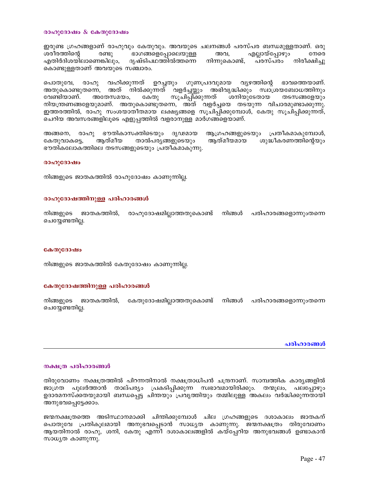#### രാഹുദോഷം  $\&$  കേതുദോഷം

ഇരുണ്ട ഗ്രഹങ്ങളാണ് രാഹുവും കേതുവും. അവയുടെ ചലനങ്ങൾ പരസ്പര ബന്ധമുള്ളതാണ്. ഒരു ശരീരത്തിന്റെ രണ്ടു ഭാഗങ്ങളെപ്പോലെയുള്ള അവ, എല്ലായ്പ്പോഴും നേരെ എതിർദിശയിലാണെങ്കിലും, ദൃഷ്ടിപഥത്തിൽത്തന്നെ നിന്നുകൊണ്ട്, പരസ്പരം നിരീക്ഷിച്ചു കൊണ്ടുള്ളതാണ് അവയുടെ സഞ്ചാരം.

വഹിക്കുന്നത് ഉറച്ചതും ഗുണപ്രദവുമായ വ്യഴത്തിന്റെ ഭാവത്തെയാണ്. പൊതുവേ, രാഹു അതുകൊണ്ടുതന്നെ, അത് നിൽക്കുന്നത് വളർച്ചയ്ക്കും അഭിവൃദ്ധിക്കും സ്വാശ്രയബോധത്തിനും അതേസമയം, സൂചിപ്പിക്കുന്നത് ശനിയുടേതായ വേണ്ടിയാണ്. കേതു തടസങ്ങളേയും നിയന്ത്രണങ്ങളേയുമാണ്. അതുകൊണ്ടുതന്നെ, അത് വളർച്ചയെ തടയുന്ന വിചാരമുണ്ടാക്കുന്നു. ഇത്തരത്തിൽ, രാഹു സംശയാതീതമായ ലക്ഷ്യങ്ങളെ സൂചിപ്പിക്കുമ്പോൾ, കേതു സൂചിപ്പിക്കുന്നത്, ചെറിയ അവസരങ്ങളിലൂടെ എളുപ്പത്തിൽ വളരാനുള്ള മാർഗങ്ങളെയാണ്.

അങ്ങനെ, രാഹു ഭൗതികാസക്തിടെയും ദൃഢമായ ആഗ്രഹങ്ങളുടെയും പ്രതീകമാകുമ്പോൾ, ആത്മീയ താൽപര്യങ്ങളുടെയും ആത്മീയമായ ശുദ്ധീകരണത്തിന്റെയും കേതുവാകട്ടെ, ഭൗതികലോകത്തിലെ തടസങ്ങളുടെയും പ്രതീകമാകുന്നു.

#### രാഹുദോഷം

നിങ്ങളുടെ ജാതകത്തിൽ രാഹുദോഷം കാണുന്നില്ല.

#### രാഹുദോഷത്തിനുള്ള പരിഹാരങ്ങൾ

ജാതകത്തിൽ, രാഹുദോഷമില്ലാത്തതുകൊണ്ട് നിങ്ങൾ പരിഹാരങ്ങളൊന്നുംതന്നെ നിങ്ങളുടെ ചെയ്യേണ്ടതില്ല.

#### കേതുദോഷം

നിങ്ങളുടെ ജാതകത്തിൽ കേതുദോഷം കാണുന്നില്ല.

#### കേതുദോഷത്തിനുള്ള പരിഹാരങ്ങൾ

നിങ്ങളുടെ ജാതകത്തിൽ, കേതുദോഷമില്ലാത്തതുകൊണ്ട് നിങ്ങൾ പരിഹാരങ്ങളൊന്നുംതന്നെ ചെയ്യേണ്ടതില്ല.

#### പരിഹാരങ്ങൾ

#### നക്ഷത്ര പരിഹാരങ്ങൾ

തിരുവോണം നക്ഷത്രത്തിൽ പിറന്നതിനാൽ നക്ഷത്രാധിപൻ ചന്ദ്രനാണ്. സാമ്പത്തിക കാര്യങ്ങളിൽ ജാഗ്രത പുലർത്താൻ താല്പര്യം പ്രകടിപ്പിക്കുന്ന സ്വഭാവമായിരിക്കും. തന്മൂലം, പലപ്പോഴും ഉദാരമനസ്ക്കതയുമായി ബന്ധപ്പെട്ട ചിന്തയും പ്രവൃത്തിയും തമ്മിലുള്ള അകലം വർദ്ധിക്കുന്നതായി അനുഭവപെട്ടേക്കാം.

ജന്മനക്ഷത്രത്തെ അടിസ്ഥാനമാക്കി ചിന്തിക്കുമ്പോൾ ചില ഗ്രഹങ്ങളുടെ ദശാകാലം ജാതകന് പൊതുവേ പ്രതികൂലമായി അനുഭവപ്പെടാൻ സാധ്യത കാണുന്നു. ജന്മനക്ഷത്രം തിരുവോണം ആയതിനാൽ രാഹു, ശനി, കേതു എന്നീ ദശാകാലങ്ങളിൽ കയ്പ്പേറിയ അനുഭവങ്ങൾ ഉണ്ടാകാൻ സാധ്യത കാണുന്നു.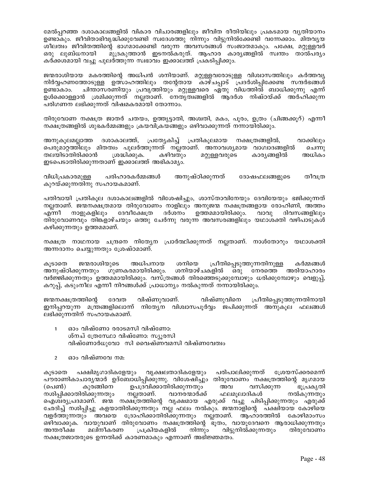മേൽപ്പറഞ്ഞ ദശാകാലങ്ങളിൽ വികാര വിചാരങ്ങളിലും ജീവിത രീതിയിലും പ്രകടമായ വൃതിയാനം ഉണ്ടാകും. ജീവിതാഭിവൃദ്ധിക്കുവേണ്ടി സ്വദേശത്തു നിന്നും വിട്ടുനിൽക്കേണ്ടി വന്നേക്കാം. മിതവൃയ ശീലത്വം ജീവിതത്തിന്റെ ഭാഗമാക്കേണ്ടി വരുന്ന അവസരങ്ങൾ സംജാതമാകും. പക്ഷേ, മറ്റുള്ളവർ മുദ്രകുത്താൻ ഇടനൽകരുത്. ആഹാര കാരൃങ്ങളിൽ സ്വന്തം താൽപര്യം ഒരു ലുബ്ധനായി കർക്കശമായി വച്ചു പുലർത്തുന്ന സ്വഭാവം ഇക്കാലത്ത് പ്രകടിപ്പിക്കും.

ജന്മരാശിയായ മകരത്തിന്റെ അധിപൻ ശനിയാണ്. മറ്റുള്ളവരോടുള്ള വിശ്വാസത്തിലും കർത്തവൃ നിർവ്വഹണത്തോടുള്ള ഉത്സാഹത്തിലും തന്റേതായ കാഴ്ചപ്പാട് പ്രദർശിപ്പിക്കേണ്ട സന്ദർഭങ്ങൾ ചിന്താസരണിയും പ്രവൃത്തിയും മറ്റുള്ളവരെ ഏതു വിധത്തിൽ ബാധിക്കുന്നു എന്ന് ഉണ്ടാകാം. ഉൾക്കൊള്ളാൻ ശ്രമിക്കുന്നത് നല്ലതാണ്. നേതൃത്വങ്ങളിൽ ആദർശ നിഷ്ഠയ്ക്ക് അർഹിക്കുന്ന പരിഗണന ലഭിക്കുന്നത് വിഷമകരമായി തോന്നാം.

തിരുവോണ നക്ഷത്ര ജാതർ ചതയം, ഉത്ത്യട്ടാതി, അശ്വതി, മകം, പൂരം, ഉത്രം (ചിങ്ങക്കൂറ്) എന്നീ നക്ഷത്രങ്ങളിൽ ശുഭകർമ്മങ്ങളും ക്രയവിക്രയങ്ങളും ഒഴിവാക്കുന്നത് നന്നായിരിക്കും.

ദശാകാലത്ത്, പ്രത്യേകിച്ച് പ്രതികൂലമായ നക്ഷത്രങ്ങളിൽ, വാക്കിലും അനുകൂലമല്ലാത്ത പെരുമാറ്റത്തിലും മിതത്വം പുലർത്തുന്നത് നല്ലതാണ്. അനാവശ്യമായ വാഗ്വാദങ്ങളിൽ ചെന്നു തലയിടാതിരിക്കാൻ ശ്രദ്ധിക്കുക. കഴിവതും മറ്റുള്ളവരുടെ കാര്യങ്ങളിൽ അധികം ഇടപെടാതിരിക്കുന്നതാണ് ഇക്കാലത്ത് അഭികാമൃം.

പരിഹാരകർമ്മങ്ങൾ അനുഷ്ഠിക്കുന്നത് ദോഷഫലങ്ങളുടെ തീവത്ര വിധിപ്രകാരമുള്ള കുറയ്ക്കുന്നതിനു സഹായകമാണ്.

പതിവായി പ്രതികൂല ദശാകാലങ്ങളിൽ വിശേഷിച്ചും, ശാസ്താവിനേയും ദേവിയേയും ഭജിക്കുന്നത് നല്ലതാണ്. ജന്മനക്ഷത്രമായ തിരുവോണം നാളിലും അനുജന്മ നക്ഷത്രങ്ങളായ രോഹിണി, അത്തം ദർശനം ഉത്തമമായിരിക്കും. നാളുകളിലും ദേവീക്ഷേത്ര വാവു ദിവസങ്ങളിലും എന്നീ തിരുവോണവും തിങ്കളാഴ്ചയും ഒത്തു ചേർന്നു വരുന്ന അവസരങ്ങളിലും യഥാശക്തി വഴിപാടുകൾ കഴിക്കുന്നതും ഉത്തമമാണ്.

നക്ഷത്ര നാഥനായ ചന്ദ്രനെ നിത്യേന പ്രാർത്ഥിക്കുന്നത് നല്ലതാണ്. നാൾതോറും യഥാശക്തി അന്നദാനം ചെയ്യുന്നതും ശ്രേഷ്ഠമാണ്.

പ്രീതിപ്പെടുത്തുന്നതിനുള്ള ജന്മരാശിയുടെ അധിപനായ കൂടാതെ ശനിയെ കർമ്മങ്ങൾ ശനിയാഴ്ചകളിൽ അനുഷ്ഠിക്കുന്നതും ഗുണകരമായിരിക്കും. ഒരു നേരത്തെ അരിയാഹാരം വർജ്ജിക്കുന്നതും ഉത്തമമായിരിക്കും. വസ്ത്രങ്ങൾ തിരഞ്ഞെടുക്കുമ്പോഴും ധരിക്കുമ്പോഴും വെളുപ്പ്, കറുപ്പ്, കടുംനീല എന്നീ നിറങ്ങൾക്ക് പ്രാധാന്യം നൽകുന്നത് നന്നായിരിക്കും.

വിഷ്ണുവാണ്. വിഷ്ണുവിനെ ജന്മനക്ഷത്രത്തിന്റെ ദേവത പ്രീതിപ്പെടുത്തുന്നതിനായി ഇനിപ്പറയുന്ന മന്ത്രങ്ങളിലൊന്ന് നിത്യേന വിശ്വാസപൂർവ്വം ജപിക്കുന്നത് അനുകൂല ഫലങ്ങൾ ലഭിക്കുന്നതിന് സഹായകമാണ്.

- ഓം വിഷ്ണോ രരാടമസി വിഷ്ണോ:  $\mathbf{1}$ ശ്നച് ത്രേസ്ഥോ വിഷ്ണോ: സ്യുരസി വിഷ്ണോർധുവോ സി വൈഷ്ണവമസി വിഷ്ണവേത്വം
- ഓം വിഷ്ണവേ നമ:  $\mathfrak{p}$

പക്ഷിമൃഗാദികളേയും വൃക്ഷലതാദികളേയും പരിപാലിക്കുന്നത് ശ്രേയസ്ക്കരമെന്ന് കൂടാതെ പൗരാണികാചാര്യന്മാർ ഉദ്ബോധിപ്പിക്കുന്നു. വിശേഷിച്ചും തിരുവോണം നക്ഷത്രത്തിന്റെ മൃഗമായ ഉപദ്രവിക്കാതിരിക്കുന്നതും അവ വസിക്കുന്ന (പെൺ) കുരങ്ങിനെ ഭുപ്രകൃതി നശിപ്പിക്കാതിരിക്കുന്നതും നല്ലതാണ്. വാനരന്മാർക്ക് ഫലമൂലാദികൾ നൽകുന്നതും ഐശ്വര്യപ്രദമാണ്. ജന്മ നക്ഷത്രത്തിന്റെ വൃക്ഷമായ എരുക്ക് വച്ചു പിടിപ്പിക്കുന്നതും എരുക്ക് ഛേദിച്ച് നശിപ്പിച്ചു കളയാതിരിക്കുന്നതും നല്ല ഫലം നൽകും. ജന്മനാളിന്റെ പക്ഷിയായ കോഴിയെ വളർത്തുന്നതും അവയെ ദ്രോഹിക്കാതിരിക്കുന്നതും നല്ലതാണ്. ആഹാരത്തിൽ കോഴിമാംസം ഒഴിവാക്കുക. വായുവാണ് തിരുവോണം നക്ഷത്രത്തിന്റെ ഭൂതം, വായൂദേവനെ ആരാധിക്കുന്നതും അന്തരീക്ഷ മലിനീകരണ പ്രക്രിയകളിൽ നിന്നും വിട്ടുനിൽക്കുന്നതും തിരുവോണം നക്ഷത്രജാതരുടെ ഉന്നതിക്ക് കാരണമാകും എന്നാണ് അഭിജ്ഞമതം.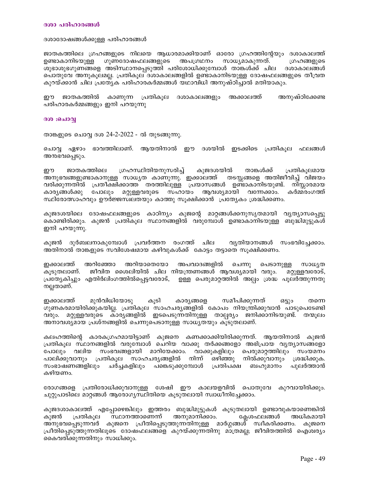#### ദശാദോഷങ്ങൾക്കുള്ള പരിഹാരങ്ങൾ

ജാതകത്തിലെ ഗ്രഹങ്ങളുടെ നിലയെ ആധാരമാക്കിയാണ് ഓരോ ഗ്രഹത്തിന്റേയും ദശാകാലത്ത് ഉണ്ടാകാനിടയുള്ള ഗുണദോഷഫലങ്ങളുടെ അപഗ്രഥനം സാധ്യമാകുന്നത്. ഗ്രഹങ്ങളുടെ ശുഭാശുഭഗുണങ്ങളെ അടിസ്ഥാനപ്പെടുത്തി പരിശോധിക്കുമ്പോൾ താങ്കൾക്ക് ചില ദശാകാലങ്ങൾ പൊതുവേ അനുകൂലമല്ല. പ്രതികൂല ദശാകാലങ്ങളിൽ ഉണ്ടാകാനിടയുള്ള ദോഷഫലങ്ങളുടെ തീവ്രത കുറയ്ക്കാൻ ചില പ്രത്യേക പരിഹാരകർമ്മങ്ങൾ യഥാവിധി അനുഷ്ഠിച്ചാൽ മതിയാകും.

ഈ ജാതകത്തിൽ കാണുന്ന പ്രതികൂല ദശാകാലങ്ങളും അക്കാലത്ത് അനുഷ്ഠിക്കേണ്ട പരിഹാരകർമ്മങ്ങളും ഇനി പറയുന്നു

#### ദശ :ചൊവ്വ

താങ്കളുടെ ചൊവ്വ ദശ 24-2-2022 - ൽ തുടങ്ങുന്നു.

ചൊവ്വ ഏഴാം ഭാവത്തിലാണ്. ആയതിനാൽ ഈ ദശയിൽ ഇടക്കിടെ പ്രതികൂല ഫലങ്ങൾ അനഭവപ്പെടും.

ശ്രഹസ്ഥിതിയനുസരിച്ച് കുജദശയിൽ താങ്കൾക്ക് ഈ ജാതകത്തിലെ പ്രതികൂലമായ അനുഭവങ്ങളുണ്ടാകാനുള്ള സാധൃത കാണുന്നു. ഇക്കാലത്ത് തടസ്കങ്ങളെ അതിജീവിച്ച് വിജയം വരിക്കുന്നതിൽ പ്രതീക്ഷിക്കാത്ത് തരത്തിലുള്ള പ്രയാസങ്ങൾ ഉണ്ടാകാനിടയുണ്ട്. നിസ്സാരമായ കാര്യങ്ങൾക്കു പോലും മറ്റുള്ളവരുടെ സഹായം ആവശ്യമായി വന്നേക്കാം. കർമ്മരംഗത്ത് സ്ഥിരോത്സാഹവും ഊർജ്ജസിലതയും കാത്തു സൂക്ഷിക്കാൻ പ്രത്യേകം ശ്രദ്ധിക്കണം.

കുജദശയിലെ ദോഷഫലങ്ങളുടെ കാഠിന്യം കുജന്റെ മാറ്റങ്ങൾക്കനുസൃതമായി വ്യത്യാസപ്പെട്ടു കൊണ്ടിരിക്കും. കുജൻ പ്രതികുല സ്ഥാനങ്ങളിൽ വരുമ്പോൾ ഉണ്ടാകാനിടയുള്ള ബുദ്ധിമുട്ടുകൾ ഇനി പറയുന്നു.

കുജൻ ദുർബലനാകുമ്പോൾ പ്രവർത്തന രംഗത്ത് ചില വ്യതിയാനങ്ങൾ സംഭവിച്ചേക്കാം. അതിനാൽ താങ്കളുടെ സവിശേഷമായ കഴിവുകൾക്ക് കോട്ടം തട്ടാതെ സുക്ഷിക്കണം.

ഇക്കാലത്ത് അറിഞ്ഞോ അറിയാതെയോ അപവാദങ്ങളിൽ ചെന്നു പെടാനുള്ള സാധ്യത കൂടുതലാണ്. ജീവിത ശൈലിയിൽ ചില നിയന്ത്രണങ്ങൾ ആവശ്യമായി വരും. മറ്റുള്ളവരോട്, പ്രത്യേകിച്ചും എതിർലിംഗത്തിൽപ്പെട്ടവരോട്, ഉള്ള പെരുമാറ്റത്തിൽ അല്പം ശ്രദ്ധ പൂലർത്തുന്നതു നല്ലതാണ്.

ഇക്കാലത്ത് മുൻവിധിയോടു കുടി കാര്യങ്ങളെ സമീപിക്കുന്നത് ഒട്ടും തന്നെ ഗുണകരമായിരിക്കുകയില്ല. പ്രതികൂല സാഹചര്യങ്ങളിൽ കോപം നിയന്ത്രിക്കുവാൻ പാടുപെടേണ്ടി വരും. മറ്റുള്ളവരുടെ കാരൃങ്ങളിൽ ഇടപെടുന്നതിനുള്ള താല്പര്യം ജനിക്കാനിടയുണ്ട്. തന്മൂലം അനാവശ്യമായ പ്രശ്നങ്ങളിൽ ചെന്നുപെടാനുള്ള സാധ്യതയും കൂടുതലാണ്.

കലഹത്തിന്റെ കാരകഗ്രഹമായിട്ടാണ് കുജനെ കണക്കാക്കിയിരിക്കുന്നത്. ആയതിനാൽ കുജൻ പ്രതികൂല സ്ഥാനങ്ങളിൽ വരുമ്പോൾ ചെറിയ വാക്കു തർക്കങ്ങളോ അഭിപ്രായ വൃത്യാസങ്ങളോ പോലും വലിയ സംഭവങ്ങളായി മാറിയേക്കാം. വാക്കുകളിലും പെരുമാറ്റത്തിലും സംയമനം പാലിക്കുവാനും പ്രതികൂല സാഹചര്യങ്ങളിൽ നിന്ന് ഒഴിഞ്ഞു നിൽക്കുവാനും ശ്രദ്ധിക്കുക. സംഭാഷണങ്ങളിലും ചർച്ചകളിലും പങ്കെടുക്കുമ്പോൾ പ്രതിപക്ഷ ബഹുമാനം പുലർത്താൻ കഴിയണം.

രോഗങ്ങളെ പ്രതിരോധിക്കുവാനുള്ള ശേഷി ഈ കാലയളവിൽ പൊതുവേ കുറവായിരിക്കും. ചുറ്റുപാടിലെ മാറ്റങ്ങൾ ആരോഗ്യസ്ഥിതിയെ കൂടുതലായി സ്വാധീനിച്ചേക്കാം.

കുജദശാകാലത്ത് എപ്പോഴെങ്കിലും ഇത്തരം ബുദ്ധിമുട്ടുകൾ കൂടുതലായി ഉണ്ടാവുകയാണെങ്കിൽ സ്ഥാനത്താണെന്ന് അനുമാനിക്കാം. കുജൻ പ്രതികുല ക്ലേശഫലങ്ങൾ അധികമായി അനുഭവപ്പെടുന്നവർ കുജനെ പ്രീതിപ്പെടുത്തുന്നതിനുള്ള മാർഗ്ഗങ്ങൾ സ്വീകരിക്കണം. കുജനെ പ്രീതിപ്പെടുത്തുന്നതിലൂടെ ദോഷഫലങ്ങളെ കുറയ്ക്കുന്നതിനു മാത്രമല്ല; ജീവിതത്തിൽ ഐശ്വര്യം കൈവരിക്കുന്നതിനും സാധിക്കും.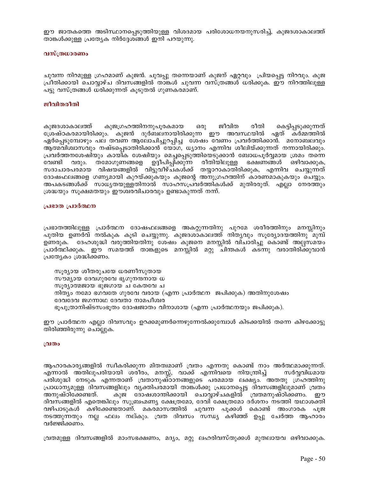ഈ ജാതകത്തെ അടിസ്ഥാനപ്പെടുത്തിയുള്ള വിശദമായ പരിശോധനയനുസരിച്ച്, കുജദശാകാലത്ത് താങ്കൾക്കുള്ള പ്രത്യേക നിർദ്ദേശങ്ങൾ ഇനി പറയുന്നു.

## വസ്ത്രധാരണം

ചുവന്ന നിറമുള്ള ഗ്രഹമാണ് കുജൻ. ചുവപ്പു തന്നെയാണ് കുജന് ഏറ്റവും പ്രിയപ്പെട്ട നിറവും. കുജ പ്രീതിക്കായി ചൊവ്വാഴ്ച ദിവസങ്ങളിൽ താങ്കൾ ചുവന്ന വസ്ത്രങ്ങൾ ധരിക്കുക. ഈ നിറത്തിലുള്ള പട്ടു വസ്ത്രങ്ങൾ ധരിക്കുന്നത് കൂടുതൽ ഗുണകരമാണ്.

## ജീവിതരീതി

കുജഗ്രഹത്തിനനുപൂരകമായ ജീവിത രീതി കെട്ടിപ്പടുക്കുന്നത് കുജദശാകാലത്ത് ഒരു ശ്രേഷ്ഠകരമായിരിക്കും. കുജൻ ദുർബലനായിരിക്കുന്ന ഈ അവസ്ഥയിൽ ഏത് കർമ്മത്തിൽ ഏർപ്പെടുമ്പോഴും പല തവണ ആലോചിച്ചുറപ്പിച്ച ശേഷം വേണം പ്രവർത്തിക്കാൻ. മനോബലവും ആത്മവിശ്വാസവും നഷ്ടപ്പെടാതിരിക്കാൻ യോഗ, ധ്യാനം എന്നിവ ശീലിയ്ക്കുന്നത് നന്നായിരിക്കും. പ്രവർത്തനശേഷിയും കായിക ശേഷിയും മെച്ചപ്പെടുത്തിയെടുക്കാൻ ബോധപൂർവ്വമായ ശ്രമം തന്നെ ഭക്ഷണങ്ങൾ ഒഴിവാക്കുക, വേണ്ടി വരും. തമോഗുണങ്ങളെ ഉദ്ദീപിപ്പിക്കുന്ന രീതിയിലുള്ള സദാചാരപരമായ വിഷയങ്ങളിൽ വിട്ടുവീഴ്ചകൾക്ക് തയ്യാറാകാതിരിക്കുക, എന്നിവ ചെയ്യുന്നത് ദോഷഫലങ്ങളെ ഗണ്യമായി കുറയ്ക്കുകയും കുജന്റെ അനുഗ്രഹത്തിന് കാരണമാകുകയും ചെയ്യും. അപകടങ്ങൾക്ക് സാധ്യതയുള്ളതിനാൽ സാഹസപ്രവർത്തികൾക്ക് മുതിരരുത്. എല്ലാ നേരത്തും ശ്രദ്ധയും സൂക്ഷമതയും ഈശ്വരവിചാരവും ഉണ്ടാകുന്നത് നന്ന്.

#### പ്രഭാത പ്രാർത്ഥന

പ്രഭാതത്തിലുള്ള പ്രാർത്ഥന ദോഷഫലങ്ങളെ അകറ്റുന്നതിനു പുറമേ ശരീരത്തിനും മനസ്സിനും പുതിയ ഉണർവ് നൽകുക കൂടി ചെയ്യുന്നു. കുജദശാകാലത്ത് നിത്യവും സൂര്യോദയത്തിനു മുമ്പ് ഉണരുക. ദേഹശുദ്ധി വരുത്തിയതിനു ശേഷം കുജനെ മനസ്സിൽ വിചാരിച്ചു കൊണ്ട് അല്പസമയം പ്രാർത്ഥിക്കുക. ഈ സമയത്ത് താങ്കളുടെ മനസ്സിൽ മറ്റു ചിന്തകൾ കടന്നു വരാതിരിക്കുവാൻ പ്രത്യേകം ശ്രദ്ധിക്കണം.

സൂര്യായ ശീതരുചയേ ധരണീസുതായ സൗമൃായ ദേവഗുരവേ ഭൃഗുനന്ദനായ ധ സൂര്യാത്മജായ ഭുജഗായ ച കേതവേ ച നിത്യം നമോ ഭഗവതേ ഗുരവേ വരായ (എന്ന പ്രാർത്ഥന ജപിക്കുക) അതിനുശേഷം ദേവദേവ ജഗന്നാഥ ദേവതാ നാമപീശ്വര ഭൂപുത്രാനിഷ്ടസംഭൂതം ദോഷജാതം വിനാശായ (എന്ന പ്രാർത്ഥനയും ജപിക്കുക).

ഈ പ്രാർത്ഥന എല്ലാ ദിവസവും ഉറക്കമുണർന്നെഴുന്നേൽക്കുമ്പോൾ കിടക്കയിൽ തന്നെ കിഴക്കോട്ടു തിരിഞ്ഞിരുന്നു ചൊല്ലുക.

#### വ്രതം

ആഹാരകാര്യങ്ങളിൽ സ്വീകരിക്കുന്ന മിതത്വമാണ് വ്രതം എന്നതു കൊണ്ട് നാം അർത്ഥമാക്കുന്നത്. എന്നാൽ അതിലുപരിയായി ശരീരം, മനസ്സ്, വാക്ക് എന്നിവയെ നിയന്ത്രിച്ച് സർവ്വവിധമായ പരിശുദ്ധി നേടുക എന്നതാണ് വ്രതാനുഷ്ഠാനങ്ങളുടെ പരമമായ ലക്ഷ്യം. അതതു ശ്രഹത്തിനു പ്രാധാന്യമുള്ള ദിവസങ്ങളിലും വൃക്തിപരമായി താങ്കൾക്കു പ്രധാനപ്പെട്ട ദിവസങ്ങളിലുമാണ് വ്രതം കുജ് ദോഷശാന്തിക്കായി ചൊവ്വാഴ്ചകളിൽ വ്രതമനുഷ്ഠിക്കണം. അനുഷ്ഠിക്കേണ്ടത്. ഈ ദിവസങ്ങളിൽ എതെങ്കിലും സുബ്രഹ്മണ്യ ക്ഷേത്രമോ, ദേവി ക്ഷേത്രമോ ദർശനം നടത്തി യഥാശക്തി വഴിപാടുകൾ കഴിക്കേണ്ടതാണ്. മകരമാസത്തിൽ ചുവന്ന പൂക്കൾ കൊണ്ട് അംഗാരക പൂജ നടത്തുന്നതും നല്ല ഫലം നല്കും. വ്രത ദിവസം സന്ധ്യ കഴിഞ്ഞ് ഉപ്പു ചേർത്ത ആഹാരം വർജ്ജിക്കണം.

വ്രതമുള്ള ദിവസങ്ങളിൽ മാംസഭക്ഷണം, മദ്യം, മറ്റു ലഹരിവസ്തുക്കൾ മുതലായവ ഒഴിവാക്കുക.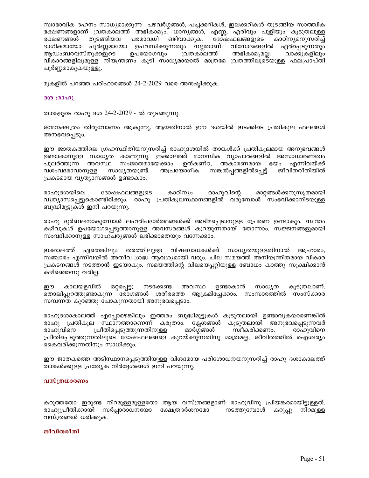സ്വാഭാവിക ദഹനം സാധ്യമാക്കുന്ന പഴവർഗ്ഗങ്ങൾ, പച്ചക്കറികൾ, ഇലക്കറികൾ തുടങ്ങിയ സാത്ത്വിക ഭക്ഷണങ്ങളാണ് വ്രതകാലത്ത് അഭികാമ്യം. ധാന്യങ്ങൾ, എണ്ണ, എരിവും പുളിയും കൂടുതലുള്ള ഭക്ഷണങ്ങൾ തുടങ്ങിയവ പരമാവധി ഒഴിവാക്കുക. ദോഷഫലങ്ങളുടെ കാഠിനൃമനുസരിച്ച് ഭാഗികമായോ പൂർണ്ണമായോ ഉപവസിക്കുന്നതും നല്ലതാണ്. വിനോദങ്ങളിൽ ഏർപ്പെടുന്നതും വ്രതകാലത്ത് അഭികാമ്യമല്ല. ആഡംബരവസ്തുക്കളുടെ ഉപയോഗവും വാക്കുകളിലും വികാരങ്ങളിലുമുള്ള നിയന്ത്രണം കൂടി സാധ്യമായാൽ മാത്രമേ വ്രതത്തിലൂടെയുള്ള ഫലപ്രാപ്തി പൂർണ്ണമാകുകയുള്ളൂ.

മുകളിൽ പറഞ്ഞ പരിഹാരങ്ങൾ 24-2-2029 വരെ അനംഷ്പിക്കുക.

#### ദശ: രാഹു

താങ്കളുടെ രാഹു ദശ 24-2-2029 - ൽ തുടങ്ങുന്നു.

ജന്മനക്ഷത്രം തിരുവോണം ആകുന്നു. ആയതിനാൽ ഈ ദശയിൽ ഇടക്കിടെ പ്രതികുല ഫലങ്ങൾ അനഭവപ്പെടും.

ഈ ജാതകത്തിലെ ഗ്രഹസ്ഥിതിയനുസരിച്ച് രാഹുദശയിൽ താങ്കൾക്ക് പ്രതികൂലമായ അനുഭവങ്ങൾ ഉണ്ടാകാനുള്ള സാധൃത കാണുന്നു. ഇക്കാലത്ത് മാനസിക വ്യാപാരങ്ങളിൽ അസാധാരണത്വം പുലർത്തുന്ന അവസ്ഥ സംജാതമായേക്കാം. ഉത്കണ്ഠ, അകാരണമായ ഭയം എന്നിവയ്ക്ക് വശംവദരാവാനുള്ള സാധ്യതയുണ്ട്. അപ്രയോഗിക സങ്കൽപങ്ങളിൽപെട്ട് ജീവിതരീതിയിൽ പ്രകടമായ വ്യത്യാസങ്ങൾ ഉണ്ടാകാം.

രാഹുദശയിലെ കാഠിന്യം രാഹുവിന്റെ മാറ്റങ്ങൾക്കനുസൃതമായി ദോഷഫലങ്ങളുടെ വ്യത്യാസപെട്ടുകൊണ്ടിരിക്കും. രാഹു പ്രതികുലസ്ഥാനങ്ങളിൽ വരുമ്പോൾ സംഭവിക്കാനിടയുള്ള ബുദ്ധിമുട്ടുകൾ ഇനി പറയുന്നു.

രാഹു ദുർബലനാകുമ്പോൾ ലഹരിപദാർത്ഥങ്ങൾക്ക് അടിമപ്പെടാനുള്ള പ്രേരണ ഉണ്ടാകും. സ്വന്തം കഴിവുകൾ ഉപയോഗപ്പെടുത്താനുള്ള അവസരങ്ങൾ കുറയുന്നതായി തോന്നാം. സജ്ജനങ്ങളുമായി സംവദിക്കാനുള്ള സാഹചര്യങ്ങൾ ലഭിക്കാതെയും വന്നേക്കാം.

ഇക്കാലത്ത് ഏതെങ്കിലും തരത്തിലുള്ള വിഷബാധകൾക്ക് സാധ്യതയുള്ളതിനാൽ ആഹാരം, സഞ്ചാരം എന്നിവയിൽ അതീവ ശ്രദ്ധ ആവശ്യമായി വരും. ചില സമയത്ത് അനിയന്ത്രിതമായ വികാര പ്രകടനങ്ങൾ നടത്താൻ ഇടയാകും. സമയത്തിന്റെ വിലയെപ്പറ്റിയുള്ള ബോധം കാത്തു സൂക്ഷിക്കാൻ കഴിഞ്ഞെന്നു വരില്ല.

കാലയളവിൽ സാധ്യത ഈ ഒറ്റപ്പെട്ടു നടക്കേണ്ട അവസ്ഥ ഉണ്ടാകാൻ കുടുതലാണ്. തൊലിപ്പുറത്തുണ്ടാകുന്ന രോഗങ്ങൾ ശരീരത്തെ ആക്രമിച്ചേക്കാം. സംസാരത്തിൽ സംസ്ക്കാര സമ്പന്നത കുറഞ്ഞു പോകുന്നതായി അനുഭവപ്പെടാം.

രാഹുദശാകാലത്ത് എപ്പോഴെങ്കിലും ഇത്തരം ബുദ്ധിമുട്ടുകൾ കൂടുതലായി ഉണ്ടാവുകയാണെങ്കിൽ രാഹു പ്രതികുല സ്ഥാനത്താണെന്ന് കരുതാം. കേശങ്ങൾ കൂടുതലായി അനുഭവപ്പെടുന്നവർ രാഹുവിനെ പ്രീതിപെടുത്തുന്നതിനുള്ള മാർഗ്ഗങ്ങൾ സ്വീകരിക്കണം. രാഹുവിനെ ഫ്രീതിപെടുത്തുന്നതിലൂടെ ദോഷഫലങ്ങളെ കുറയ്ക്കുന്നതിനു മാത്രമല്ല, ജീവിതത്തിൽ ഐശ്വര്യം കൈവരിക്കുന്നതിനും സാധിക്കും.

ഈ ജാതകത്തെ അടിസ്ഥാനപ്പെടുത്തിയുള്ള വിശദമായ പരിശോധനയനുസരിച്ച് രാഹു ദശാകാലത്ത് താങ്കൾക്കുള്ള പ്രത്യേക നിർദ്ദേശങ്ങൾ ഇനി പറയുന്നു.

## വസ്ത്രധാരണം

കറുത്തതോ ഇരുണ്ട നിറമുള്ളമുള്ളതോ ആയ വസ്ത്രങ്ങളാണ് രാഹുവിനു പ്രിയങ്കരമായിട്ടുള്ളത്. രാഹുപ്രീതിക്കായി സർപ്പാരാധനയോ ക്ഷേത്രദർശനമോ നടത്തുമ്പോൾ കറുപ്പു നിറമുള്ള വസ്ത്രങ്ങൾ ധരിക്കുക.

#### ജീവിതരീതി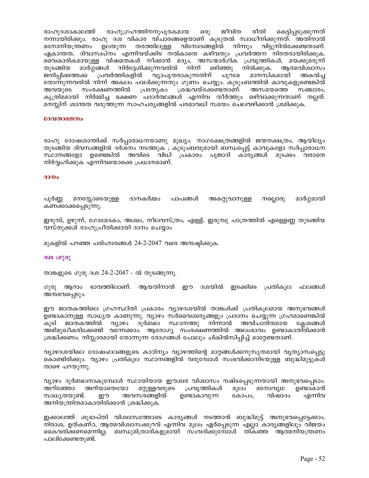രാഹുഗ്രഹത്തിനനുപൂരകമായ ജീവിത രീതി രാഹുദശാകാലത്ത് ഒരു കെട്ടിപ്പടുക്കുന്നത് നന്നായിരിക്കും. രാഹു ദശ വികാര വിചാരങ്ങളെയാണ് കൂടുതൽ സ്വാധീനിക്കുന്നത്. അതിനാൽ മനോനിയന്ത്രണം ഉലയുന്ന തരത്തിലുള്ള വിനോദങ്ങളിൽ നിന്നും വിട്ടുനിൽക്കേണ്ടതാണ്. ഏകാന്തത, ദിവാസ്വപ്നം എന്നിവയ്ക്കിട നൽകാതെ കഴിവതും പ്രവർത്തന നിരതരായിരിക്കുക. വൈകാരികമായുള്ള വിഷമതകൾ നീക്കാൻ മദൃം, അസന്മാർഗിക പ്രവൃത്തികൾ, മയക്കുമരുന്ന് മാർഗ്ഗങ്ങൾ നിർദ്ദേശിക്കുന്നവരിൽ നിന്ന് ഒഴിഞ്ഞു നിൽക്കുക. ആത്മവിശ്വാസം തുടങ്ങിയ ജനിപ്പിക്കത്തക്ക പ്രവർത്തികളിൽ വ്യാപൃതരാകുന്നതിന് പുറമേ മാനസികമായി അകൽച്ച തോന്നുന്നവരിൽ നിന്ന് അകലം പാലിക്കുന്നതും ഗുണം ചെയ്യും. കുടുംബത്തിൽ കാവുകളുണ്ടെങ്കിൽ സംരക്ഷണത്തിൽ പ്രത്യേകം ശ്രദ്ധവയ്ക്കേണ്ടതാണ്. അസമയത്തെ അവയുടെ സഞ്ചാരം, കൃത്രിമമായി നിർമ്മിച്ച ഭക്ഷണ പദാർത്ഥങ്ങൾ എന്നിവ തീർത്തും ഒഴിവാക്കുന്നതാണ് നല്ലത്. മനസ്സിന് ശാന്തത വരുത്തുന്ന സാഹചര്യങ്ങളിൽ പരമാവധി സമയം ചെലവഴിക്കാൻ ശ്രമിക്കുക.

#### ദേവതാഭജനം

രാഹു ദോഷശാന്തിക്ക് സർപ്പാരാധനയാണു മുഖ്യം. നാഗക്ഷേത്രങ്ങളിൽ ജന്മനക്ഷത്രം, ആയില്യം തുടങ്ങിയ ദിവസങ്ങളിൽ ദർശനം നടത്തുക ; കൂടുംബവുമായി ബന്ധപ്പെട്ട് കാവുകളോ സർപ്പാരാധന സ്ഥാനങ്ങളോ ഉണ്ടെങ്കിൽ അവിടെ വിധി പ്രകാരം പൂജാദി കാര്യങ്ങൾ മുടക്കം വരാതെ നിർവ്വഹിക്കുക എന്നിവയൊക്കെ പ്രധാനമാണ്.

#### $3000$

പൂർണ്ണ മനസ്സോടെയുള്ള ദാനകർമ്മം പാപങ്ങൾ അകറ്റുവാനുള്ള നല്ലൊരു മാർഗ്ഗമായി കണക്കാക്കപ്പെടുന്നു.

ഇരുമ്പ്, ഉഴുന്ന്, ഗോമേദകം, അശ്വം, നീലവസ്ത്രം, എള്ള്, ഇരുമ്പു പാത്രത്തിൽ എള്ളെണ്ണ തുടങ്ങിയ വസ്തുക്കൾ രാഹുപ്രീതിക്കായി ദാനം ചെയ്യാം

മുകളിൽ പറഞ്ഞ പരിഹാരങ്ങൾ 24-2-2047 വരെ അന്മഷ്ഠിക്കുക.

#### ദശ :ഗുരു

താങ്കളുടെ ഗുരു ദശ 24-2-2047 - ൽ തുടങ്ങുന്നു.

ഗുരു ആറാം ഭാവത്തിലാണ്. ആയതിനാൽ ഈ ദശയിൽ ഇടക്കിടെ പ്രതികൂല ഫലങ്ങൾ അനഭവപ്പെടും.

ഈ ജാതകത്തിലെ ഗ്രഹസ്ഥിതി പ്രകാരം വ്യാഴദശയിൽ താങ്കൾക്ക് പ്രതികൂലമായ അനുഭവങ്ങൾ ഉണ്ടാകാനുള്ള സാധ്യത കാണുന്നു. വ്യാഴം സർവൈശ്വങ്ങളും പ്രദാനം ചെയ്യുന്ന ഗ്രഹമാണെങ്കിൽ വുാഴം കൂടി ജാതകത്തിൽ ദുർബല സ്ഥാനത്തു നിന്നാൽ അവിചാരിതമായ കേശങ്ങൾ അഭിമുഖീകരിക്കേണ്ടി വന്നേക്കാം. ആരോഗ്യ സംരക്ഷണത്തിൽ അലംഭാവം ഉണ്ടാകാതിരിക്കാൻ ശ്രദ്ധിക്കണം. നിസ്സാരമായി തോന്നുന്ന രോഗങ്ങൾ പോലും ചികിൽസിപ്പിച്ച് മാറ്റേണ്ടതാണ്.

വ്യാഴദശയിലെ ദോഷഫലങ്ങളുടെ കാഠിന്യം വ്യാഴത്തിന്റെ മാറ്റങ്ങൾക്കനുസൃതമായി വ്യത്യാസപ്പെട്ടു കൊണ്ടിരിക്കും. വ്യാഴം പ്രതികൂല സ്ഥാനങ്ങളിൽ വരുമ്പോൾ സംഭവിക്കാനിടയുള്ള ബുദ്ധിമുട്ടുകൾ താഴെ പറയുന്നു.

വ്യാഴം ദുർബലനാകുമ്പോൾ സ്ഥായിയായ ഈശ്വര വിശ്വാസം നഷ്ടപ്പെടുന്നതായി അനുഭവപ്പെടാം. അറിഞ്ഞോ അറിയാതെയോ മറ്റുള്ളവരുടെ പ്രവൃത്തികൾ മൂലം മനോവൃഥ ഉണ്ടാകാൻ സാധ്യതയുണ്ട്. ഈ അവസരങ്ങളിൽ ഉണ്ടാകാവുന്ന കോപം, വിഷാദം എന്നിവ അനിയന്ത്രിതമാകാതിരിക്കാൻ ശ്രദ്ധിക്കുക.

ഇക്കാലത്ത് ശുഭാപ്തി വിശ്വാസത്തോടെ കാര്യങ്ങൾ നടത്താൻ ബുദ്ധിമുട്ട് അനുഭവപ്പെട്ടേക്കാം. നിരാശ, ഉത്കണ്ഠ, ആത്മവിശ്വാസക്കുറവ് എന്നിവ മൂലം ഏർപ്പെടുന്ന എല്ലാ കാര്യങ്ങളിലും വിജയം കൈവരിക്കണമെന്നില്ല. ബന്ധുമിത്രാദികളുമായി സംവദിക്കുമ്പോൾ തികഞ്ഞ ആത്മനിയന്ത്രണം പാലിക്കേണ്ടതുണ്ട്.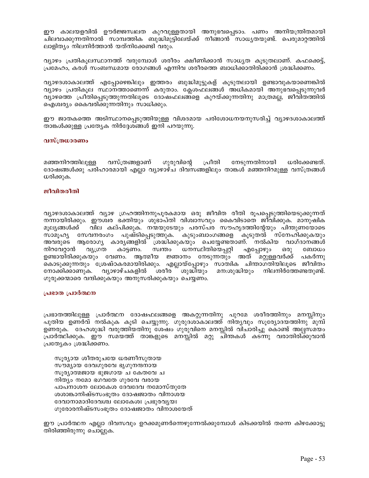ഈ കാലയളവിൽ ഊർജ്ജസ്വലത കുറവുള്ളതായി അനുഭവപ്പെടാം. പണം അനിയന്ത്രിതമായി ചിലവാക്കുന്നതിനാൽ സാമ്പത്തിക ബുദ്ധിമുട്ടിലേയ്ക്ക് നീങ്ങാൻ സാധ്യതയുണ്ട്. പെരുമാറ്റത്തിൽ ലാളിത്യം നിലനിർത്താൻ യത്നിക്കേണ്ടി വരും.

വ്യാഴം പ്രതികൂലസ്ഥാനത്ത് വരുമ്പോൾ ശരീരം ക്ഷീണിക്കാൻ സാധ്യത കൂടുതലാണ്. കഫക്കെട്ട്, പ്രമേഹം, കരൾ സംബന്ധമായ രോഗങ്ങൾ എന്നിവ ശരീരത്തെ ബാധിക്കാതിരിക്കാൻ ശ്രദ്ധിക്കണം.

വ്യാഴദശാകാലത്ത് എപ്പോഴെങ്കിലും ഇത്തരം ബുദ്ധിമുട്ടുകള് കൂടുതലായി ഉണ്ടാവുകയാണെങ്കിൽ വ്യാഴം പ്രതികൂല സ്ഥാനത്താണെന്ന് കരുതാം. ക്ലേശഫലങ്ങൾ അധികമായി അനുഭവപ്പെടുന്നുവർ വ്യാഴത്തെ പ്രീതിപ്പെടുത്തുന്നതിലൂടെ ദോഷഫലങ്ങളെ കുറയ്ക്കുന്നതിനു മാത്രമല്ല, ജീവിതത്തിൽ ഐശ്വര്യം കൈവരിക്കുന്നതിനും സാധിക്കും.

ഈ ജാതകത്തെ അടിസ്ഥാനപ്പെടുത്തിയുള്ള വിശദമായ പരിശോധനയനുസരിച്ച് വ്യാഴദശാകാലത്ത് താങ്കൾക്കുള്ള പ്രത്യേക നിർദ്ദേശങ്ങൾ ഇനി പറയുന്നു.

## വസ്ത്രധാരണം

വസ്ത്രങ്ങളാണ് മഞ്ഞനിറത്തിലുള്ള ഗുരുവിന്റെ പ്രീതി നേടുന്നതിനായി ധരിക്കേണ്ടത്. ദോഷങ്ങൾക്കു പരിഹാരമായി എല്ലാ വ്യാഴാഴ്ച ദിവസങ്ങളിലും താങ്കൾ മഞ്ഞനിറമുള്ള വസ്ത്രങ്ങൾ ധരിക്കുക.

## ജീവിതരീതി

വ്യാഴദശാകാലത്ത് വ്യാഴ ഗ്രഹത്തിനനുപുരകമായ ഒരു ജീവിത രീതി രൂപപ്പെടുത്തിയെടുക്കുന്നത് നന്നായിരിക്കും. ഈശ്വര ഭക്തിയും ശുഭാപ്തി വിശ്വാസവും കൈവിടാതെ ജീവിക്കുക. മാനുഷിക മുല്യങ്ങൾക്ക് വില കല്പിക്കുക. നന്മയുടേയും പരസ്പര സൗഹൃദത്തിന്റേയും പിന്തുണയോടെ സാമൂഹ്യ സേവനരംഗം പുഷ്ടിപ്പെടുത്തുക. കുടുംബാംഗങ്ങളെ കൂടുതൽ സ്നേഹിക്കുകയും അവരുടെ ആരോഗ്യ കാര്യങ്ങളിൽ ശ്രദ്ധിക്കുകയും ചെയ്യേണ്ടതാണ്. നൽകിയ വാഗ്ദാനങ്ങൾ വ്യശ്രത ധനസ്ഥിതിയെപ്പറ്റി നിറവേറ്റാൻ കാട്ടണം. സ്വന്തം എപ്പോഴും ഒരു ബോധം ഉണ്ടായിരിക്കുകയും വേണം. ആത്മീയ ജ്ഞാനം നേടുന്നതും അത് മറ്റുള്ളവർക്ക് പകർന്നു കൊടുക്കുന്നതും ശ്രേഷ്ഠകരമായിരിക്കും. എല്ലായ്പ്പോഴും സാത്വിക ചിന്താഗതിയിലൂടെ ജീവിതം ശരീര നോക്കിക്കാണുക. വ്യാഴാഴ്ചകളിൽ ശുദ്ധിയും മന:ശുദ്ധിയും നിലനിർത്തേണ്ടതുണ്ട്. ഗുരുക്കന്മാരെ വന്ദിക്കുകയും അനുസരിക്കുകയും ചെയ്യണം.

#### പ്രഭാത പ്രാർത്ഥന

പ്രഭാതത്തിലുള്ള പ്രാർത്ഥന ദോഷഫലങ്ങളെ അകറ്റുന്നതിനു പുറമേ ശരീരത്തിനും മനസ്സിനും പുതിയ ഉണർവ് നൽകുക കൂടി ചെയ്യുന്നു. ഗുരുദശാകാലത്ത് നിതൃവും സൂര്യോദയത്തിനു മുമ്പ് ഉണരുക. ദേഹശുദ്ധി വരുത്തിയതിനു ശേഷം ഗുരുവിനെ മനസ്സിൽ വിചാരിച്ചു കൊണ്ട് അല്പസമയം പ്രാർത്ഥിക്കുക. ഈ സമയത്ത് താങ്കളുടെ മനസ്സിൽ മറ്റു ചിന്തകൾ കടന്നു വരാതിരിക്കുവാൻ പ്രത്യേകം ശ്രദ്ധിക്കണം.

സൂര്യായ ശീതരുചയേ ധരണീസുതായ സൗമ്യായ ദേവഗുരവേ ഭൃഗുനന്ദനായ സൂര്യാത്മജായ ഭുജഗായ ച കേതവേ ച നിത്യം നമോ ഭഗവതേ ഗുരവേ വരായ പാപനാശന ലോകേശ ദേവദേവ നമോസ്തുതേ ശശാങ്കാനിഷ്ടസംഭൂതം ദോഷജാതം വിനാശയ ദേവാനാമാദിദേവശ്ച ലോകേശഃ പ്രഭുരവൃയഃ ഗുരോരനിഷ്ടസംഭൂതം ദോഷജാതം വിനാശയേത്

ഈ പ്രാർത്ഥന എല്ലാ ദിവസവും ഉറക്കമുണർന്നെഴുന്നേൽക്കുമ്പോൾ കിടക്കയിൽ തന്നെ കിഴക്കോട്ടു തിരിഞ്ഞിരുന്നു ചൊല്ലുക.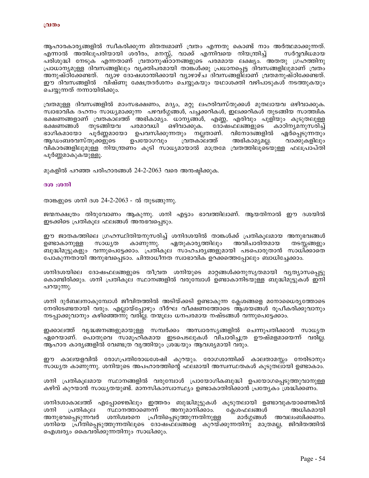ആഹാരകാര്യങ്ങളിൽ സ്വീകരിക്കുന്ന മിതത്വമാണ് വ്രതം എന്നതു കൊണ്ട് നാം അർത്ഥമാക്കുന്നത്. എന്നാൽ അതിലുപരിയായി ശരീരം, മനസ്സ്, വാക്ക് എന്നിവയെ നിയന്ത്രിച്ച് സർവവിധമായ പരിശുദ്ധി നേടുക എന്നതാണ് വ്രതാനുഷ്ഠാനങ്ങളുടെ പരമമായ ലക്ഷ്യം. അതതു ഗ്രഹത്തിനു പ്രാധാന്യമുള്ള ദിവസങ്ങളിലും വ്യക്തിപരമായി താങ്കൾക്കു പ്രധാനപ്പെട്ട ദിവസങ്ങളിലുമാണ് വ്രതം അനുഷ്ഠിക്കേണ്ടത്. വ്യാഴ ദോഷശാന്തിക്കായി വ്യാഴാഴ്ച ദിവസങ്ങളിലാണ് വ്രതമനുഷ്ഠിക്കേണ്ടത്. ഈ ദിവസങ്ങളിൽ വിഷ്ണു ക്ഷേത്രദർശനം ചെയ്യുകയും യഥാശക്തി വഴിപാടുകൾ നടത്തുകയും ചെയ്യുന്നത് നന്നായിരിക്കും.

വ്രതമുള്ള ദിവസങ്ങളിൽ മാംസഭക്ഷണം, മദ്യം, മറ്റു ലഹരിവസ്തുക്കൾ മുതലായവ ഒഴിവാക്കുക. സ്വാഭാവിക ദഹനം സാധ്യമാക്കുന്ന പഴവർഗ്ഗങ്ങൾ, പച്ചക്കറികൾ, ഇലക്കറികൾ തുടങ്ങിയ സാത്ത്വിക ഭക്ഷണങ്ങളാണ് വ്രതകാലത്ത് അഭികാമ്യം. ധാന്യങ്ങൾ, എണ്ണ, എരിവും പുളിയും കൂടുതലുള്ള ഭക്ഷണങ്ങൾ തുടങ്ങിയവ പരമാവധി ഒഴിവാക്കുക. ദോഷഫലങ്ങളുടെ കാഠിനൃമനുസരിച്ച് പൂർണ്ണമായോ ഉപവസിക്കുന്നതും നല്ലതാണ്. വിനോദങ്ങളിൽ ഏർപ്പെടുന്നതും ഭാഗികമായോ ആഡംബരവസ്തുക്കളുടെ ഉപയോഗവും വ്രതകാലത്ത് അഭികാമൃമല്ല. വാക്കുകളിലും വികാരങ്ങളിലുമുള്ള നിയന്ത്രണം കൂടി സാധ്യമായാൽ മാത്രമേ വ്രതത്തിലൂടെയുള്ള ഫലപ്രാപ്തി പൂർണ്ണമാകുകയുള്ളൂ.

മുകളിൽ പറഞ്ഞ പരിഹാരങ്ങൾ 24-2-2063 വരെ അന്ദഷിക്കുക.

#### ദശ :ശനി

താങ്കളുടെ ശനി ദശ 24-2-2063 - ൽ തുടങ്ങുന്നു.

ജന്മനക്ഷത്രം തിരുവോണം ആകുന്നു. ശനി എട്ടാം ഭാവത്തിലാണ്. ആയതിനാൽ ഈ ദശയിൽ ഇടക്കിടെ പ്രതികൂല ഫലങ്ങൾ അനുഭവപ്പെടും.

ഈ ജാതകത്തിലെ ഗ്രഹസ്ഥിതിയനുസരിച്ച് ശനിദശയിൽ താങ്കൾക്ക് പ്രതികൂലമായ അനുഭവങ്ങൾ ഉണ്ടാകാനുള്ള സാധ്യത കാണുന്നു. ഏതുകാര്യത്തിലും അവിചാരിതമായ തടസ്സങ്ങളും ബുദ്ധിമുട്ടുകളും വന്നുപെട്ടേക്കാം. പ്രതികൂല സാഹചര്യങ്ങളുമായി പടപൊരുതാൻ സാധിക്കാതെ പോകുന്നതായി അനുഭവപ്പെടാം. ചിന്താധീനത സ്വാഭാവിക ഉറക്കത്തെപ്പോലും ബാധിച്ചേക്കാം.

ശനിദശയിലെ ദോഷഫലങ്ങളുടെ തീവ്രത ശനിയുടെ മാറ്റങ്ങൾക്കനുസൃതമായി വ്യത്യാസപ്പെട്ടു കൊണ്ടിരിക്കും. ശനി പ്രതികൂല സ്ഥാനങ്ങളിൽ വരുമ്പോൾ ഉണ്ടാകാനിടയുള്ള ബുദ്ധിമുട്ടുകൾ ഇനി പറയുന്നു.

ശനി ദുർബലനാകുമ്പോൾ ജീവിതത്തിൽ അടിയ്ക്കടി ഉണ്ടാകുന്ന ക്ലേശങ്ങളെ മനോധൈര്യത്തോടെ നേരിടേണ്ടതായി വരും. എല്ലായ്പ്പോഴും ദീർഘ വീക്ഷണത്തോടെ ആശയങ്ങൾ രൂപീകരിക്കുവാനും നടപ്പാക്കുവാനും കഴിഞ്ഞെന്നു വരില്ല. തന്മൂലം ധനപരമായ നഷ്ടങ്ങൾ വന്നുപെട്ടേക്കാം.

ഇക്കാലത്ത് വൃദ്ധജനങ്ങളുമായുള്ള സമ്പർക്കം അസ്വാരസ്യങ്ങളിൽ ചെന്നുപതിക്കാൻ സാധ്യത ഏറെയാണ്. പൊതുവെ സാമൂഹികമായ ഇടപെടലുകൾ വിചാരിച്ചത്ര ഊഷ്മളമായെന്ന് വരില്ല. ആഹാര കാര്യങ്ങളിൽ വേണ്ടത്ര വൃത്തിയും ശ്രദ്ധയും ആവശ്യമായി വരും.

ഈ കാലയളവിൽ രോഗപ്രതിരോധശേഷി കുറയും. രോഗശാന്തിക്ക് കാലതാമസ്സം നേരിടാനും സാധ്യത കാണുന്നു. ശനിയുടെ അപഹാരത്തിന്റെ ഫലമായി അസ്വസ്ഥതകൾ കൂടുതലായി ഉണ്ടാകാം.

ശനി പ്രതികൂലമായ സ്ഥാനങ്ങളിൽ വരുമ്പോൾ പ്രായോഗികബുദ്ധി ഉപയോഗപ്പെടുത്തുവാനുള്ള കഴിവ് കുറയാൻ സാധ്യതയുണ്ട്. മാനസികാസ്വാസ്ഥ്യം ഉണ്ടാകാതിരിക്കാൻ പ്രത്യേകം ശ്രദ്ധിക്കണം.

ശനിദശാകാലത്ത് എപ്പോഴെങ്കിലും ഇത്തരം ബുദ്ധിമുട്ടുകൾ കൂടുതലായി ഉണ്ടാവുകയാണെങ്കിൽ ശനി സ്ഥാനത്താണെന്ന് അനുമാനിക്കാം. ക്ലേശഫലങ്ങൾ അധികമായി പ്രതികൂല അനുഭവപ്പെടുന്നവർ ശനിശ്വരനെ പ്രീതിപ്പെടുത്തുന്നതിനുള്ള മാർഗ്ഗങ്ങൾ അവലംബിക്കണം. ശനിയെ പ്രീതിപ്പെടുത്തുന്നതിലൂടെ ദോഷഫലങ്ങളെ കുറയ്ക്കുന്നതിനു മാത്രമല്ല, ജിവിതത്തിൽ ഐശ്വര്യം കൈവരിക്കുന്നതിനും സാധിക്കും.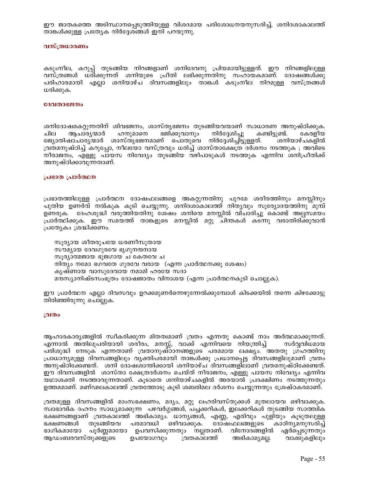ഈ ജാതകത്തെ അടിസ്ഥാനപ്പെടുത്തിയുള്ള വിശദമായ പരിശോധനയനുസരിച്ച്, ശനിദശാകാലത്ത് താങ്കൾക്കുള്ള പ്രത്യേക നിർദ്ദേശങ്ങൾ ഇനി പറയുന്നു.

## വസ്ത്രധാരണം

കടുംനീല, കറുപ്പ് തുടങ്ങിയ നിറങ്ങളാണ് ശനിദേവനു പ്രിയമായിട്ടുള്ളത്. ഈ നിറങ്ങളിലുള്ള വസ്ത്രങ്ങൾ ധരിക്കുന്നത് ശനിയുടെ പ്രീതി ലഭിക്കുന്നതിനു സഹായകമാണ്. ദോഷങ്ങൾക്കു പരിഹാരമായി എല്ലാ ശനിയാഴ്ച ദിവസങ്ങളിലും താങ്കൾ കടുംനീല നിറമുള്ള വസ്ത്രങ്ങൾ ധരിക്കുക.

#### ദേവതാഭജനം

ശനിദോഷമകറ്റുന്നതിന് ശിവഭജനം, ശാസ്തൃഭജനം തുടങ്ങിയവയാണ് സാധാരണ അനുഷ്ഠിക്കുക. ആചാര്യന്മാർ ഹനുമാനെ ഭജിക്കുവാനും നിർദേശിച്ചു കണ്ടിട്ടുണ്ട്. ചില കേരളീയ ജ്യോതിഷാചാര്യന്മാർ ശാസ്ത്യഭജനമാണ് പൊതുവെ നിർദ്ദേശിച്ചിട്ടുള്ളത്. ശനിയാഴ്ചകളിൽ വ്രതമനുഷ്ഠിച്ച് കറുപ്പോ, നീലയോ വസ്ത്രവും ധരിച്ച് ശാസ്താക്ഷേത്ര ദർശനം നടത്തുക ; അവിടെ നീരാജനം, എള്ളു പായസ നിവേദ്യം തുടങ്ങിയ വഴിപാടുകൾ നടത്തുക എന്നിവ ശനിപ്രീതിക്ക് അനുഷ്ഠിക്കാവുന്നതാണ്.

#### പ്രഭാത പ്രാർത്ഥന

പ്രഭാതത്തിലുള്ള പ്രാർത്ഥന ദോഷഫലങ്ങളെ അകറ്റുന്നതിനു പുറമേ ശരീരത്തിനും മനസ്സിനും പുതിയ ഉണർവ് നൽകുക കൂടി ചെയ്യുന്നു. ശനിദശാകാലത്ത് നിതൃവും സൂര്യോദയത്തിനു`്മുമ്പ് ഉണരുക. ദേഹശുദ്ധി വരുത്തിയതിനു ശേഷം ശനിയെ മനസ്സിൽ വിചാരിച്ചു കൊണ്ട് അല്പസമയം പ്രാർത്ഥിക്കുക. ഈ സമയത്ത് താങ്കളുടെ മനസ്സിൽ മറ്റു ചിന്തകൾ കടന്നു വരാതിരിക്കുവാൻ പ്രത്യേകം ശ്രദ്ധിക്കണം.

സൂര്യായ ശീതരുചയേ ധരണീസുതായ സൗമൃായ ദേവഗുരവേ ഭൃഗുനന്ദനായ സൂര്യാത്മജായ ഭുജഗായ ച കേതവേ ച നിത്യം നമോ ഭഗവതേ ഗുരവേ വരായ (എന്ന പ്രാർത്ഥനക്കു ശേഷം) കൃഷ്ണായ വാസുദേവായ നമാമി ഹരയേ സദാ മന്ദസ്യാനിഷ്ടസംഭൂതം ദോഷജാതം വിനാശയ (എന്ന പ്രാർത്ഥനകൂടി ചൊല്ലുക).

ഈ പ്രാർത്ഥന എല്ലാ ദിവസവും ഉറക്കമുണർന്നെഴുന്നേൽക്കുമ്പോൾ കിടക്കയിൽ തന്നെ കിഴക്കോട്ടു തിരിഞ്ഞിരുന്നു ചൊല്ലുക.

#### വ്രതം

ആഹാരകാര്യങ്ങളിൽ സ്വീകരിക്കുന്ന മിതത്വമാണ് വ്രതം എന്നതു കൊണ്ട് നാം അർത്ഥമാക്കുന്നത്. എന്നാൽ അ്തിലുപരിയായി ശരീരം, മനസ്സ്, വാക്ക് എന്നിവയെ നിയന്ത്രിച്ച് സർവവിധമായ പരിശുദ്ധി നേടുക എന്നതാണ് വ്രതാനുഷ്ഠാനങ്ങളുടെ പരമമായ ലക്ഷ്യം. അതതു ഗ്രഹത്തിനു പ്രാധാന്യമുള്ള ദിവസങ്ങളിലും വ്യക്തിപരമായി താങ്കൾക്കു പ്രധാനപ്പെട്ട ദിവസങ്ങളിലുമാണ് വ്രതം അനുഷ്ഠിക്കേണ്ടത്. ശനി ദോഷശാന്തിക്കായി ശനിയാഴ്ച ദിവസങ്ങളിലാണ് വ്രതമനുഷ്ഠിക്കേണ്ടത്. ഈ ദിവസങ്ങളിൽ ശാസ്താ ക്ഷേത്രദർശനം ചെയ്ത് നീരാജനം, എള്ളു പായസ നിവേദ്യം എന്നിവ യഥാശക്തി നടത്താവുന്നതാണ്. കൂടാതെ ശനിയാഴ്ചകളിൽ അരയാൽ പ്രദക്ഷിണം നടത്തുന്നതും ഉത്തമമാണ്. മണ്ഢലകാലത്ത് വ്രതത്തോടു കൂടി ശബരിമല ദർശനം ചെയ്യുന്നതും ശ്രേഷ്ഠകരമാണ്.

വ്രതമുള്ള ദിവസങ്ങളിൽ മാംസഭക്ഷണം, മദ്യം, മറ്റു ലഹരിവസ്തുക്കൾ മുതലായവ ഒഴിവാക്കുക. സ്വാഭാവിക ദഹനം സാധ്യമാക്കുന്ന പഴവർഗ്ഗങ്ങൾ, പച്ചക്കറികൾ, ഇലക്കറികൾ തുടങ്ങിയ സാത്ത്വിക ഭക്ഷണങ്ങളാണ് വ്രതകാലത്ത് അഭികാമ്യം. ധാനൃങ്ങൾ, എണ്ണ, എരിവും പുളിയും കൂടുതലുള്ള തുടങ്ങിയവ പരമാവധി ഒഴിവാക്കുക. ദോഷഫലങ്ങളുടെ ഭക്ഷണങ്ങൾ കാഠിന്യമനുസരിച്ച് ഭാഗികമായോ പൂർണ്ണമായോ ഉപവസിക്കുന്നതും നല്ലതാണ്. വിനോദങ്ങളിൽ ഏർപ്പെടുന്നതും ആഡംബരവസ്തുക്കളുടെ ഉപയോഗവും വ്രതകാലത്ത് അഭികാമ്യമല്ല. വാക്കുകളിലും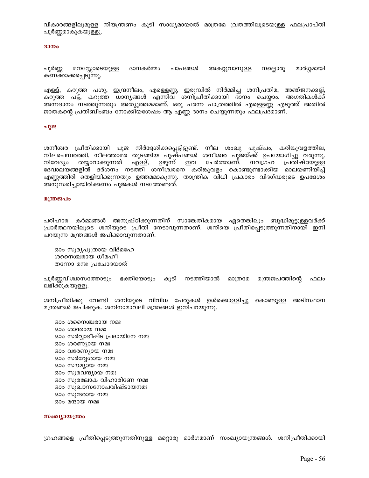വികാരങ്ങളിലുമുള്ള നിയന്ത്രണം കൂടി സാധ്യമായാൽ മാത്രമേ വ്രതത്തിലൂടെയുള്ള ഫലപ്രാപ്തി പൂർണ്ണമാകുകയുള്ളൂ.

#### ദാനം

പൂർണ്ണ മനസ്സോടെയുള്ള ദാനകർമ്മം പാപങ്ങൾ അകറ്റുവാനുള്ള നല്ലൊരു മാർഗ്ഗമായി കണക്കാക്കപ്പെടുന്നു.

എള്ള്, കറുത്ത പശു, ഇന്ദ്രനീലം, എള്ളെണ്ണ, ഇരുമ്പിൽ നിർമ്മിച്ച ശനിപ്രതിമ, അഞ്ജനക്കല്ല്, കറുത്ത പട്ട്, കറുത്ത ധാനൃങ്ങൾ എന്നിവ് ശനിപ്രീതിക്കായി ദാനം ചെയ്യാം. അഗതികൾക്ക് അന്നദാനം നടത്തുന്നതും അത്യുത്തമമാണ്. ഒരു പരന്ന പാത്രത്തിൽ എള്ളെണ്ണ എടുത്ത് അതിൽ ജാതകന്റെ പ്രതിബിംബം നോക്കിയശേഷം ആ എണ്ണ ദാനം ചെയ്യുന്നതും ഫലപ്രദമാണ്.

#### പൂജ

ശനീശ്വര പ്രീതിക്കായി പൂജ നിർദ്ദേശിക്കപ്പെട്ടിട്ടുണ്ട്. നീല ശംഖു പുഷ്പം, കരിങ്കൂവളത്തില, നീലചെമ്പരത്തി, നീലത്താമര തുടങ്ങിയ പുഷ്പങ്ങൾ ശനീശ്വര പൂജയ്ക്ക് ഉപയോഗിച്ചു വരുന്നു. നിവേദ്യം തയ്യാറാക്കുന്നത് എള്ള്, ഉഴുന്ന് ഇവ ചേർത്താണ്. നവഗ്രഹ പ്രതിഷ്ഠയുള്ള ദേവാലയങ്ങളിൽ ദർശനം നടത്തി ശനീശ്വരനെ കരിങ്കുവളം കൊണ്ടുണ്ടാക്കിയ മാലയണിയിച്ച് എണ്ണത്തിരി തെളിയിക്കുന്നതും ഉത്തമമാകുന്നു. താന്ത്രിക വിധി പ്രകാരം വിദഗ്ദ്ധരുടെ ഉപദേശം അനുസരിച്ചായിരിക്കണം പൂജകൾ നടത്തേണ്ടത്.

#### മന്ത്രജപം

പരിഹാര കർമ്മങ്ങൾ അനുഷ്ഠിക്കുന്നതിന് സാങ്കേതികമായ ഏതെങ്കിലും ബുദ്ധിമുട്ടുള്ളവർക്ക് പ്രാർത്ഥനയിലൂടെ ശനിയുടെ പ്രീതി നേടാവുന്നതാണ്. ശനിയെ പ്രീതിപ്പെടുത്തുന്നതിനായി ഇനി പറയുന്ന മന്ത്രങ്ങൾ ജപിക്കാവുന്നതാണ്.

ഓം സൂര്യപുത്രായ വിദ്മഹേ ശസൈ്വരായ ധീമഹീ തന്നോ മന്ദഃ പ്രചോദയാത്

പൂർണ്ണവിശ്വാസത്തോടും ഭക്തിയോടും കൂടി നടത്തിയാൽ മാത്രമേ മന്ത്രജപത്തിന്റെ ഫലം ലഭിക്കുകയുള്ളൂ.

ശനിപ്രീതിക്കു വേണ്ടി ശനിയുടെ വിവിധ പേരുകൾ ഉൾക്കൊള്ളിച്ചു കൊണ്ടുള്ള അടിസ്ഥാന മന്ത്രങ്ങൾ ജപിക്കുക. ശനിനാമാവലി മന്ത്രങ്ങൾ ഇനിപറയുന്നു.

ഓം ശനൈശ്ചരായ നമഃ ഓം ശാന്തായ നമഃ ഓം സർവ്വാഭീഷ്ട പ്രദായിനേ നമഃ ഓം ശരണ്യായ നമഃ ഓം വരേണ്യായ നമഃ ഓം സർവ്വേശായ നമഃ ഓം സൗമൃായ നമഃ ഓം സുരവന്ദ്യായ നമഃ ഓം സുരലോക വിഹാരിണേ നമഃ ഓം സുഖാസനോപവിഷ്ടായനമഃ ഓം സുന്ദരായ നമഃ ഓം മന്ദായ നമഃ

#### സംഖ്യായന്ത്രം

ഗ്രഹങ്ങളെ പ്രീതിപ്പെടുത്തുന്നതിനുള്ള മറ്റൊരു മാർഗമാണ് സംഖ്യായന്ത്രങ്ങൾ. ശനിപ്രീതിക്കായി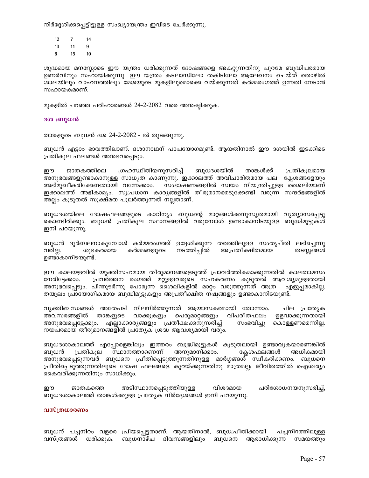നിർദ്ദേശിക്കപ്പെട്ടിട്ടുള്ള സംഖ്യായന്ത്രം ഇവിടെ ചേർക്കുന്നു.

- $12$  $7 -$ 14 13  $11 \qquad 9$
- 8  $15$  $10$

ശുദ്ധമായ മനസ്സോടെ ഈ യന്ത്രം ധരിക്കുന്നത് ദോഷങ്ങളെ അകറ്റുന്നതിനു പുറമേ ബുദ്ധിപരമായ ഉണർവിനും സഹായിക്കുന്നു. ഈ യന്ത്രം കടലാസിലോ തകിടിലോ ആലേഖനം ചെയ്ത് തൊഴിൽ ശാലയിലും വാഹനത്തിലും മേശയുടെ മുകളിലുമൊക്കെ വയ്ക്കുന്നത് കർമ്മരംഗത്ത് ഉന്നതി നേടാൻ സഹായകമാണ്.

മുകളിൽ പറഞ്ഞ പരിഹാരങ്ങൾ 24-2-2082 വരെ അനഷ്ടിക്കുക.

## ദശ :ബുധൻ

താങ്കളുടെ ബുധൻ ദശ 24-2-2082 - ൽ തുടങ്ങുന്നു.

ബുധൻ എട്ടാം ഭാവത്തിലാണ്. ദശാനാഥന് പാപയോഗമുണ്ട്. ആയതിനാൽ ഈ ദശയിൽ ഇടക്കിടെ പ്രതികൂല ഫലങ്ങൾ അനഭവപ്പെടും.

ഗ്രഹസ്ഥിതിയനുസരിച്ച് ബുധദശയിൽ ഈ ജാതകത്തിലെ താങ്കൾക്ക് പ്രതികുലമായ അനുഭവങ്ങളുണ്ടാകാനുള്ള സാധ്യത കാണുന്നു. ഇക്കാലത്ത് അവിചാരിതമായ പല ക്ലേശങ്ങളേയും അഭിമുഖീകരിക്കേണ്ടതായി വന്നേക്കാം. സംഭാഷണങ്ങളിൽ സ്വയം നിയന്ത്രിച്ചുള്ള ശൈലിയാണ് ഇക്കാലത്ത് അഭികാമ്യം. സുപ്രധാന കാര്യങ്ങളിൽ തീരുമാനമെടുക്കേണ്ടി വരുന്ന സന്ദർഭങ്ങളിൽ അലം കൂടുതൽ സുക്ഷ്മത പുലർത്തുന്നത് നല്ലതാണ്.

ബുധദശയിലെ ദോഷഫലങ്ങളുടെ കാഠിന്യം ബുധന്റെ മാറ്റങ്ങൾക്കനുസൃതമായി വ്യത്യാസപ്പെട്ടു കൊണ്ടിരിക്കും. ബുധൻ പ്രതികൂല സ്ഥാനങ്ങളിൽ വരുമ്പോൾ ഉണ്ടാകാനിടയുള്ള ബുദ്ധിമുട്ടുകൾ ഇനി പറയുന്നു.

ബുധൻ ദുർബലനാകുമ്പോൾ കർമ്മരംഗത്ത് ഉദ്ദേശിക്കുന്ന തരത്തിലുള്ള സംതൃപ്തി ലഭിച്ചെന്നു കർമ്മങ്ങളുടെ നടത്തിപ്പിൽ അപ്രതീക്ഷിതമായ വരില്ല. ശുഭകരമായ തടസ്സങ്ങൾ ഉണ്ടാകാനിടയുണ്ട്.

ഈ കാലയളവിൽ യുക്തിസഹമായ തീരുമാനങ്ങളെടുത്ത് പ്രാവർത്തികമാക്കുന്നതിൽ കാലതാമസം പ്രവർത്തന രംഗത്ത് മറ്റുള്ളവരുടെ സഹകരണം കുടുതൽ ആവശ്യമുള്ളതായി നേരിട്ടേക്കാം. അനുഭവപ്പെടും. പിന്തുടർന്നു പോരുന്ന ശൈലികളിൽ മാറ്റം വരുത്തുന്നത് അത്ര എളുപ്പമാകില്ല. തന്മൂലം പ്രായോഗികമായ ബുദ്ധിമുട്ടുകളും അപ്രതീക്ഷിത നഷ്ടങ്ങളും ഉണ്ടാകാനിടയുണ്ട്.

വൃക്തിബന്ധങ്ങൾ അതേപടി നിലനിർത്തുന്നത് ആയാസകരമായി തോന്നാം. ചില പ്രത്യേക പെരുമാറ്റങ്ങളും വിപരീതഫലം ഉളവാക്കുന്നതായി അവസരങ്ങളിൽ താങ്കളുടെ വാക്കുകളും അനുഭവപ്പെട്ടേക്കും. എല്ലാക്കാര്യങ്ങളും പ്രതീക്ഷക്കനുസരിച്ച് സംഭവിച്ചു കൊള്ളണമെന്നില്ല. നയപരമായ തീരുമാനങ്ങളിൽ പ്രത്യേക ശ്രദ്ധ ആവശ്യമായി വരും.

ബുധദശാകാലത്ത് എപ്പോളെങ്കിലും ഇത്തരം ബുദ്ധിമുട്ടുകൾ കൂടുതലായി ഉണ്ടാവുകയാണെങ്കിൽ പ്രതികുല സ്ഥാനത്താണെന്ന് അനുമാനിക്കാം. ക്ലേശഫലങ്ങൾ അധികമായി ബുധൻ അനുഭവപ്പെടുന്നവർ ബുധനെ പ്രീതിപ്പെടുത്തുന്നതിനുള്ള മാർഗ്ഗങ്ങൾ് സ്വീകരിക്കണം. ബുധനെ പ്രീതിപ്പെടുത്തുന്നതിലൂടെ ദോഷ ഫലങ്ങളെ കുറയ്ക്കുന്നതിനു മാത്രമല്ല; ജീവിതത്തിൽ ഐശ്വര്യം കൈവരിക്കുന്നതിനും സാധിക്കും.

അടിസ്ഥാനപ്പെടുത്തിയുള്ള പരിശോധനയനുസരിച്ച്, ഈ വിശദമായ ജാതകത്തെ ബുധദശാകാലത്ത് താങ്കൾക്കുള്ള പ്രത്യേക നിർദ്ദേശങ്ങൾ ഇനി പറയുന്നു.

## വസ്ത്രധാരണം

ബുധന് പച്ചനിറം വളരെ പ്രിയപ്പെട്ടതാണ്. ആയതിനാൽ, ബുധപ്രീതിക്കായി പച്ചനിറത്തിലുള്ള വസ്ത്രങ്ങൾ ധരിക്കുക. ബുധനാഴ്ച ദിവസങ്ങളിലും ബുധനെ ആരാധിക്കുന്ന സമയത്തും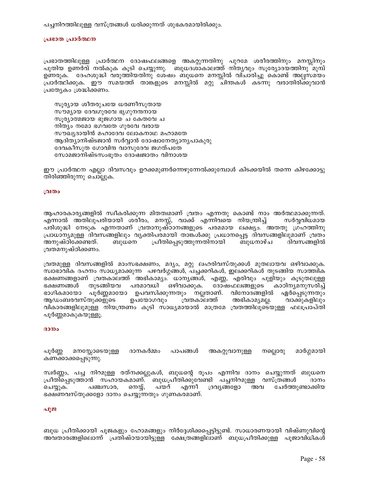പച്ചനിറത്തിലുള്ള വസ്ത്രങ്ങൾ ധരിക്കുന്നത് ശുഭകരമായിരിക്കും.

## പ്രഭാത പ്രാർത്ഥന

പ്രഭാതത്തിലുള്ള പ്രാർത്ഥന ദോഷഫലങ്ങളെ അകറ്റുന്നതിനു പുറമേ ശരീരത്തിനും മനസ്സിനും പുതിയ ഉണർവ് നൽകുക കൂടി ചെയ്യുന്നു. ബുധദശാകാലത്ത് നിത്യവും സൂര്യോദയത്തിനു മുമ്പ് ഉണരുക. ദേഹശുദ്ധി വരുത്തിയതിനു ശേഷം ബുധനെ മനസ്സിൽ വിചാരിച്ചു കൊണ്ട് അല്പസമയം പ്രാർത്ഥിക്കുക. ഈ സമയത്ത് താങ്കളുടെ മനസ്സിൽ മറ്റു ചിന്തകൾ കടന്നു വരാതിരിക്കുവാൻ പ്രത്യേകം ശ്രദ്ധിക്കണം.

സൂര്യായ ശീതരുചയേ ധരണീസുതായ സൗമ്യായ ദേവഗുരവേ ഭൃഗുനന്ദനായ സൂര്യാത്മജായ ഭുജഗായ ച കേതവേ ച നിത്യം നമോ ഭഗവതേ ഗുരവേ വരായ സൗഖ്യദായിൻ മഹാദേവ ലോകനാഥ മഹാമതേ ആദിത്യാനിഷ്ടജാൻ സർവ്വാൻ ദോഷാനേത്യാന്യപാകുരു ദേവകീസുത ഗോവിന്ദ വാസുദേവ ജഗത്പതേ സോമജാനിഷ്ടസംഭൂതം ദോഷജാതം വിനാശയ

ഈ പ്രാർത്ഥന എല്ലാ ദിവസവും ഉറക്കമുണർന്നെഴുന്നേൽക്കുമ്പോൾ കിടക്കയിൽ തന്നെ കിഴക്കോട്ടു തിരിഞ്ഞിരുന്നു ചൊല്ലുക.

## വ്രതം

ആഹാരകാര്യങ്ങളിൽ സ്വീകരിക്കുന്ന മിതത്വമാണ് വ്രതം എന്നതു കൊണ്ട് നാം അർത്ഥമാക്കുന്നത്. എന്നാൽ അതിലുപരിയായി ശരീരം, മനസ്സ്, വാക്ക് എന്നിവയെ നിയന്ത്രിച്ച് സർവ്വവിധമായ പരിശുദ്ധി നേടുക എന്നതാണ് വ്രതാനുഷ്ഠാനങ്ങളുടെ പരമമായ ലക്ഷ്യം. അതതു ഗ്രഹത്തിനു പ്രാധാന്യമുള്ള ദിവസങ്ങളിലും വ്യക്തിപരമായി താങ്കൾക്കു പ്രധാനപ്പെട്ട ദിവസങ്ങളിലുമാണ് വ്രതം അനുഷ്ഠിക്കേണ്ടത്. ബുധനെ പ്രീതിപ്പെടുത്തുന്നതിനായി ബുധനാഴ്ച ദിവസങ്ങളിൽ വ്രതമനുഷ്ഠിക്കണം.

വ്രതമുള്ള ദിവസങ്ങളിൽ മാംസഭക്ഷണം, മദ്യം, മറ്റു ലഹരിവസ്തുക്കൾ മുതലായവ ഒഴിവാക്കുക. സ്വാഭാവിക ദഹനം സാധ്യമാക്കുന്ന പഴവർഗ്ഗങ്ങൾ, പച്ചക്കറികൾ, ഇലക്കറികൾ തുടങ്ങിയ സാത്ത്വിക ഭക്ഷണങ്ങളാണ് വ്രതകാലത്ത് അഭികാമ്യം. ധാന്യങ്ങൾ, എണ്ണ, എരിവും പുളിയും കൂടുതലുള്ള പരമാവധി ഒഴിവാക്കുക. ഭക്ഷണങ്ങൾ തുടങ്ങിയവ ദോഷഫലങ്ങളുടെ കാഠിന്യമനുസരിച്ച് ഭാഗികമായോ പൂർണ്ണമായോ ഉപവസിക്കുന്നതും നല്ലതാണ്. വിനോദങ്ങളിൽ ഏർപ്പെടുന്നതും ഉപയോഗവും അഭികാമൃമല്ല. ആഡംബരവസ്തുക്കളുടെ വ്രതകാലത്ത് വാക്കുകളിലും വികാരങ്ങളിലുമുള്ള നിയന്ത്രണം കൂടി സാധ്യമായാൽ മാത്രമേ വ്രതത്തിലൂടെയുള്ള ഫലപ്രാപ്തി പൂർണ്ണമാകുകയുള്ളൂ.

#### ദാനം

മനസ്സോടെയുള്ള ദാനകർമ്മം പാപങ്ങൾ മാർഗ്ഗമായി പൂർണ്ണ അകറ്റുവാനുള്ള നല്ലൊരു കണക്കാക്കപ്പെടുന്നു.

സ്വർണ്ണം, പച്ച നിറമുള്ള രത്നക്കല്ലുകൾ, ബുധന്റെ രൂപം എന്നിവ ദാനം ചെയ്യുന്നത് ബുധനെ പ്രീതിപ്പെടുത്താൻ സഹായകമാണ്. ബുധപ്രീതിക്കുവേണ്ടി പച്ചനിറമുള്ള വസ്ത്രങ്ങൾ ദാനം എന്നീ ചെയ്യുക. പഞ്ചസാര, നെയ്യ്, പയറ് ദ്രവ്യങ്ങളോ ചേർത്തുണ്ടാക്കിയ അവ ഭക്ഷണവസ്തുക്കളോ ദാനം ചെയ്യുന്നതും ഗുണകരമാണ്.

## പൂജ

ബുധ പ്രീതിക്കായി പൂജകളും ഹോമങ്ങളും നിർദ്ദേശിക്കപ്പെട്ടിട്ടുണ്ട്. സാധാരണയായി വിഷ്ണുവിന്റെ അവതാരങ്ങളിലൊന്ന് പ്രതിഷ്ഠയായിട്ടുള്ള ക്ഷേത്രങ്ങളിലാണ് ബുധപ്രീതിക്കുള്ള പൂജാവിധികൾ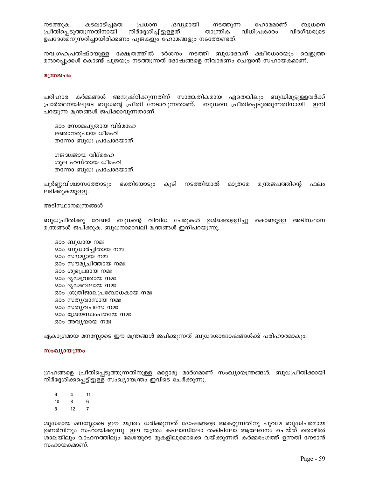നടത്തുക. കടലാടിച്ചമത പ്രധാന ദ്രവ്യമായി നടത്തുന്ന ഹോമമാണ് ബുധനെ നിർദ്ദേശിച്ചിട്ടുള്ളത്. പ്രീതിപ്പെടുത്തുന്നതിനായി താന്ത്രിക വിധിപ്രകാരം വിദഗ്ദ്ധരുടെ ഉപദേശമനുസരിച്ചായിരിക്കണം പൂജകളും ഹോമങ്ങളും നടത്തേണ്ടത്.

നവഗ്രഹപ്രതിഷ്ഠയുള്ള ക്ഷേത്രത്തിൽ ദർശനം നടത്തി ബുധദേവന് ക്ഷീരധാരയും വെളുത്ത മന്ദാരപ്പുക്കൾ കൊണ്ട് പൂജയും നടത്തുന്നത് ദോഷങ്ങളെ നിവാരണം ചെയ്യാൻ സഹായകമാണ്.

#### മന്ത്രജപം

പരിഹാര കർമ്മങ്ങൾ അനുഷ്ഠിക്കുന്നതിന് സാങ്കേതികമായ ഏതെങ്കിലും ബുദ്ധിമുട്ടുള്ളവർക്ക് പ്രാർത്ഥനയിലൂടെ ബുധന്റെ പ്രീതി നേടാവുന്നതാണ്. ബുധനെ പ്രീതിപ്പെടുത്തുന്നതിനായി ഇനി പറയുന്ന മന്ത്രങ്ങൾ ജപിക്കാവുന്നതാണ്.

ഓം സോമപുത്രായ വിദ്മഹേ ജ്ഞാനരൂപായ ധീമഹി തന്നോ ബുധഃ പ്രചോദയാത്.

ഗജദ്ധ്വജായ വിദ്മഹേ ശുല ഹസ്തായ ധീമഹി തന്നോ ബുധഃ പ്രചോദയാത്.

പൂർണ്ണവിശ്വാസത്തോടും ഭക്തിയോടും കൂടി നടത്തിയാൽ മാത്രമേ മന്ത്രജപത്തിന്റെ ഫലം ലഭിക്കുകയുള്ളൂ.

അടിസ്ഥാനമന്ത്രങ്ങൾ

ബുധപ്രീതിക്കു വേണ്ടി ബുധന്റെ വിവിധ പേരുകൾ ഉൾക്കൊള്ളിച്ചു കൊണ്ടുള്ള അടിസ്ഥാന മന്ത്രങ്ങൾ ജപിക്കുക. ബുധനാമാവലി മന്ത്രങ്ങൾ ഇനിപറയുന്നു.

ഓം ബുധായ നമഃ ഓം ബുധാർച്ചിതായ നമഃ ഓം സൗമൃായ നമഃ ഓം സൗമൃചിത്തായ നമഃ ഓം ശുഭപ്രദായ നമഃ ഓം ദൃഢവ്രതായ നമഃ ഓം ദൃഢബലായ നമഃ ഓം ശ്രുതിജാലപ്രബോധകായ നമഃ ഓം സതൃവാസായ നമഃ ഓം സതൃവചസേ നമഃ ഓം ശ്രേയസാംപതയേ നമഃ ഓം അവൃയായ നമഃ

ഏകാഗ്രമായ മനസ്സോടെ ഈ മന്ത്രങ്ങൾ ജപിക്കുന്നത് ബുധദശാദോഷങ്ങൾക്ക് പരിഹാരമാകും.

#### സംഖ്യായന്ത്രം

ഗ്രഹങ്ങളെ പ്രീതിപ്പെടുത്തുന്നതിനുള്ള മറ്റൊരു മാർഗമാണ് സംഖ്യായന്ത്രങ്ങൾ. ബുധപ്രീതിക്കായി നിർദ്ദേശിക്കപ്പെട്ടിട്ടുള്ള സംഖ്യായന്ത്രം ഇവിടെ ചേർക്കുന്നു.

9  $11$  $\overline{\mathbf{4}}$  $10$ 8 6

5  $12<sup>12</sup>$  $\overline{7}$ 

ശുദ്ധമായ മനസ്സോടെ ഈ യന്ത്രം ധരിക്കുന്നത് ദോഷങ്ങളെ അകറ്റുന്നതിനു പുറമേ ബുദ്ധിപരമായ ഉണർവിനും സഹായിക്കുന്നു. ഈ യന്ത്രം കടലാസിലോ തകിടിലോ ആലേഖനം ചെയ്ത് തൊഴിൽ ശാലയിലും വാഹനത്തിലും മേശയുടെ മുകളിലുമൊക്കെ വയ്ക്കുന്നത് കർമ്മരംഗത്ത് ഉന്നതി നേടാൻ സഹായകമാണ്.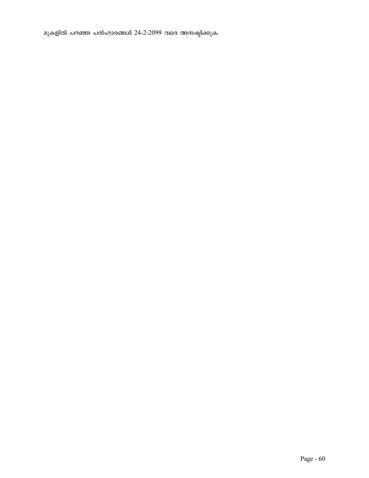മുകളിൽ പറഞ്ഞ പരിഹാരങ്ങൾ 24-2-2099 വരെ അനഷ്ടിക്കുക.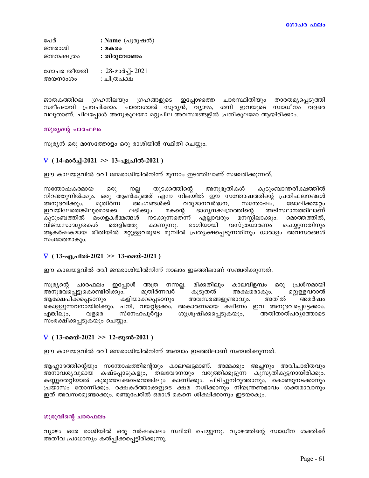| പേര്         | : Name $(\Delta\lambda)$ രുഷൻ $(\Delta\lambda)$ |
|--------------|-------------------------------------------------|
| ജന്മരാശി     | : മകരം                                          |
| ജന്മനക്ഷത്രം | : തിരുവോണം                                      |
| ഗോചര തീയതി   | : 28-മാർച്ച്- 2021                              |
| അയനാംശം      | : ചിത്രപക്ഷ                                     |

ജാതകത്തിലെ ഗ്രഹനിലയും ഗ്രഹങ്ങളുടെ ഇപ്പോഴത്തെ ചാരസ്ഥിതിയും താരതമൃപ്പെടുത്തി സമീപഭാവി പ്രവചിക്കാം. ചാരവശാൽ സൂര്യൻ, വ്യാഴം, ശനി ഇവയുടെ സ്വാധീനം വളരെ വലുതാണ്. ചിലപ്പോൾ അനുകൂലമോ മറ്റുചില അവസരങ്ങളിൽ പ്രതികൂലമോ ആയിരിക്കാം.

## സൂര്യന്റെ ചാരഫലം

സൂര്യൻ ഒരു മാസത്തോളം ഒരു രാശിയിൽ സ്ഥിതി ചെയ്യും.

## $\nabla$  ( 14-മാർച്ച്-2021 >> 13-ഏപ്രിൽ-2021 )

ഈ കാലയളവിൽ രവി ജന്മരാശിയിൽനിന്ന് മുന്നാം ഇടത്തിലാണ് സഞ്ചരിക്കുന്നത്.

തുടക്കത്തിന്റെ അനുഭൂതികൾ കുടുംബാന്തരീക്ഷത്തിൽ സന്തോഷകരമായ ഒരു നല്ല നിറഞ്ഞുനിൽക്കും. ഒരു ആൺകുഞ്ഞ് എന്ന നിലയിൽ ഈ സന്തോഷത്തിന്റെ പ്രതിഫലനങ്ങൾ അംഗങ്ങൾക്ക് വരുമാനവർദ്ധന, സന്തോഷം. അനുഭവിക്കും. മുതിർന്ന ജോലിക്കയറ്റം ഇവയിലേതെങ്കിലുമൊക്കെ ലഭിക്കും. ഭാഗ്യനക്ഷത്രത്തിന്റെ അടിസ്ഥാനത്തിലാണ് മകന്റെ കുടുംബത്തിൽ മംഗളകർമ്മങ്ങൾ നടക്കുന്നതെന്ന് എല്ലാവരും മനസ്സിലാക്കും. മൊത്തത്തിൽ, തെളിഞ്ഞു ഭംഗിയായി വസ്ത്രധാരണം വിജയസാദ്ധ്യതകൾ കാണുന്നു. ചെയ്യുന്നതിനും ആകർഷകമായ രീതിയിൽ മറ്റുള്ളവരുടെ മുമ്പിൽ പ്രത്യക്ഷപ്പെടുന്നതിനും ധാരാളം അവസരങ്ങൾ സംജാതമാകും.

## $\nabla$  ( 13-ഏപ്രിൽ-2021 >> 13-മെയ്-2021 )

ഈ കാലയളവിൽ രവി ജന്മരാശിയിൽനിന്ന് നാലാം ഇടത്തിലാണ് സഞ്ചരിക്കുന്നത്.

സൂര്യന്റെ ചാരഫലം ഇപ്പോൾ അത്ര നന്നല്ല. മിക്കതിലും കാലവിളമ്പം ഒരു പ്രശ്നമായി മുതിർന്നവർ അനുഭവപ്പെട്ടുകൊണ്ടിരിക്കും. കൂടുതൽ അക്ഷമരാകും. മറ്റുള്ളവരാൽ ആക്ഷേപിക്കപ്പെടാനും കളിയാക്കപ്പെടാനും അവസരങ്ങളുണ്ടാവും. അതിൽ അമർഷം കൊള്ളുന്നവനായിരിക്കും. പനി, വയറ്റിളക്കം, അകാരണമായ ക്ഷീണം ഇവ അനുഭവപ്പെട്ടേക്കാം. എങ്കിലും, വളരെ സ്നേഹപൂർവ്വം ശുശ്രൂഷിക്കപ്പെടുകയും, അതിതാത്പര്യത്തോടെ സംരക്ഷിക്കപ്പടുകയും ചെയ്യും.

## $\nabla$  ( 13-മെയ്-2021 >> 12-ജൂൺ-2021 )

ഈ കാലയളവിൽ രവി ജന്മരാശിയിൽനിന്ന് അഞ്ചാം ഇടത്തിലാണ് സഞ്ചരിക്കുന്നത്.

ആഹ്ലാദത്തിന്റെയും സന്തോഷത്തിന്റെയും കാലഘട്ടമാണ്. അമ്മക്കും അച്ചനും അവിചാരിതവും അനാവശ്യവുമായ കഷ്ടപ്പാടുകളും, തലവേദനയും വരുത്തിക്കൂട്ടുന്ന കുസൃതികുട്ടനായിരിക്കും. കണ്ണുതെറ്റിയാൽ കുരുത്തക്കേടെന്തെങ്കിലും കാണിക്കും. പിടിച്ചുനിറുത്താനും, കൊണ്ടുനടക്കാനും പ്രയാസം തോന്നിക്കും. രക്ഷകർത്താക്കളുടെ ക്ഷമ നശിക്കാനും നിയന്ത്രണഭാവം ശക്തമാവാനും ഇത് അവസരമുണ്ടാക്കും. രണ്ടുപേരിൽ ഒരാൾ മകനെ ശിക്ഷിക്കാനും ഇടയാകും.

## ഗുരുവിന്റെ ചാരഫലം

വ്യാഴം ഒരേ രാശിയിൽ ഒരു വർഷകാലം സ്ഥിതി ചെയ്യുന്നു. വ്യാഴത്തിന്റെ സ്വാധീന ശക്തിക്ക് അതീവ പ്രാധാന്യം കൽപ്പിക്കപ്പെട്ടിരിക്കുന്നു.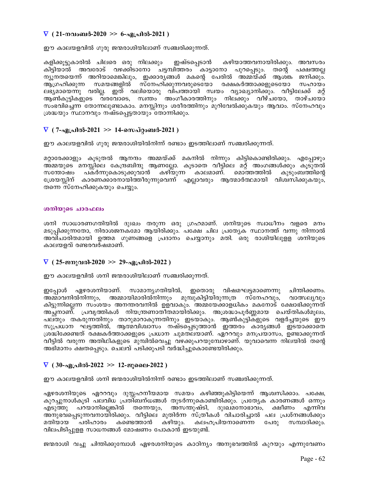## $\nabla$  (21-നവംബർ-2020 >> 6-ഏപ്രിൽ-2021 )

ഈ കാലയളവിൽ ഗുരു ജന്മരാശിയിലാണ് സഞ്ചരിക്കുന്നത്.

കളിക്കുട്ടുകാരിൽ ചിലരെ ഒരു നിലക്കും ഇഷ്ടപ്പെടാൻ കഴിയാത്തവനായിരിക്കും. അവസരം കിട്ടിയാൽ അവരോട് വഴക്കിടാനോ ചട്ടമ്പിത്തരം കാട്ടാനോ പുറപ്പെടും. തന്റെ പക്ഷത്തല്ല ന്യൂനതയെന്ന് അറിയാമെങ്കിലും, ഇക്കാര്യങ്ങൾ മകന്റെ പേരിൽ അമ്മയ്ക്ക് ആശ്ങ്ക ജനിക്കും്. ആഗ്രഹിക്കുന്ന സമയങ്ങളിൽ സ്നേഹിക്കുന്നവരുടെയോ രക്ഷകർത്താക്കളുടെയോ സഹായം ലഭ്യമായെന്നു വരില്ല. ഇത് വലിയൊരു വിപത്തായി സ്വയം വ്യാഖ്യാനിക്കും. വീട്ടിലേക്ക് മറ്റ് ആൺകുട്ടികളുടെ വരവോടെ, സ്വന്തം അംഗീകാരത്തിനും നിലക്കും വീഴ്ചയോ, താഴ്ചയോ സംഭവിച്ചെന്ന തോന്നലുണ്ടാകാം. മനസ്സിനും ശരീരത്തിനും മുറിവേൽക്കുകയും ആവാം. സ്നേഹവും ശ്രദ്ധയും സ്ഥാനവും നഷ്ടപ്പെട്ടതായും തോന്നിക്കും.

## $\nabla$  ( 7-ഏപ്രിൽ-2021 >> 14-സെപ്റ്റംബർ-2021 )

ഈ കാലയളവിൽ ഗുരു ജന്മരാശിയിൽനിന്ന് രണ്ടാം ഇടത്തിലാണ് സഞ്ചരിക്കുന്നത്.

മറ്റാരേക്കാളും കൂടുതൽ ആനന്ദം അമ്മയ്ക്ക് മകനിൽ നിന്നും കിട്ടികൊണ്ടിരിക്കും. എപ്പോഴും അമ്മയുടെ മനസ്സിലെ കേന്ദ്രബിന്ദു ആണല്ലോ. കൂടാതെ വീട്ടിലെ മറ്റ് അംഗങ്ങൾക്കും കൂടുതൽ സന്തോഷം പകർന്നുകൊടുക്കുവാൻ കഴിയുന്ന കാലമാണ്. മൊത്തത്തിൽ കുടുംബത്തിന്റെ ശ്രേയസ്സിന് കാരണക്കാരനായിത്തീരുന്നുവെന്ന് എല്ലാവരും ആത്മാർത്ഥമായി വിശ്വസിക്കുകയും, തന്നെ സ്നേഹിക്കുകയും ചെയ്യും.

## ശനിയുടെ ചാരഫലം

ശനി സാധാരണഗതിയിൽ ദുഃഖം തരുന്ന ഒരു ഗ്രഹമാണ്. ശനിയുടെ സ്വാധീനം വളരെ മനം മടുപ്പിക്കുന്നതോ, നിരാശജനകമോ ആയിരിക്കും. പക്ഷേ ചില പ്രത്യേക സ്ഥാനത്ത് വന്നു നിന്നാൽ അവിചാരിതമായി ഉത്തമ ഗുണങ്ങളെ പ്രദാനം ചെയ്യാനും മതി. ഒരു രാശിയിലുള്ള ശനിയുടെ കാലയളവ് രണ്ടരവർഷമാണ്.

## $\nabla$  ( 25-ജനുവരി-2020 >> 29-ഏപ്രിൽ-2022 )

ഈ കാലയളവിൽ ശനി ജന്മരാശിയിലാണ് സഞ്ചരിക്കുന്നത്.

ഏഴരശനിയാണ്. സാമാനൃഗതിയിൽ, ഇതൊരു വിഷമഘട്ടമാണെന്നു ചിന്തിക്കണം. ഇപ്പോൾ അമ്മാവനിൽനിന്നും, അമ്മായിമാരിൽനിന്നും മുമ്പുകിട്ടിയിരുന്നത്ര സ്നേഹവും, വാത്സല്യവും കിട്ടുന്നില്ലെന്ന സംശയം അനന്തരവനിൽ ഉളവാകും. അമ്മയേക്കാളധികം മകനോട് ക്ഷോഭിക്കുന്നത് അച്ഛനാണ്. പ്രവൃത്തികൾ നിയന്ത്രണാതീതമായിരിക്കും. അശ്രദ്ധാപൂർണ്ണമായ ചെയ്തികൾമൂലം, പല്തും തകരുന്നതിനും താറുമാറാകുന്നതിനും ഇടയാകും. ആൺകുട്ടികളുടെ വളർച്ചയുടെ ഈ സുപ്രധാന ഘട്ടത്തിൽ, ആത്മവിശ്വാസം നഷ്ടപ്പെടുത്താൻ ഇത്തരം കാര്യങ്ങൾ ഇടയാക്കാതെ ശ്രദ്ധിക്കേണ്ടത് രക്ഷകർത്താക്കളുടെ പ്രധാന ചുമതലയാണ്. ഏററവും മനപ്രയാസം, ഉണ്ടാക്കുന്നത് വീട്ടിൽ വരുന്ന അതിഥികളുടെ മുമ്പിൽവെച്ചു വഴക്കുപറയുമ്പോഴാണ്. യുവാവെന്ന നിലയിൽ തന്റെ അഭിമാനം ക്ഷതപ്പെടും. ചെലവ് പടിക്കുപടി വർദ്ധിച്ചുകൊണ്ടേയിരിക്കും.

## $\nabla$  ( 30-ഏപ്രിൽ-2022 >> 12-ജൂലൈ-2022 )

ഈ കാലയളവിൽ ശനി ജന്മരാശിയിൽനിന്ന് രണ്ടാം ഇടത്തിലാണ് സഞ്ചരിക്കുന്നത്.

ഏഴരശനിയുടെ ഏററവും ദുസ്സഹനീയമായ സമയം കഴിഞ്ഞുകിട്ടിയെന്ന് ആശ്വസിക്കാം. പക്ഷേ, കുറച്ചുനാൾകൂടി പലവിധ പ്രതിബന്ധങ്ങൾ തുടർന്നുകൊണ്ടിരിക്കും. പ്രത്യേക കാരണങ്ങൾ ഒന്നും പറയാനില്ലെങ്കിൽ തന്നെയും, അസന്തുഷ്ടി, ദുഃഖമനോഭാവം, ക്ഷീണം എന്നിവ ഫല് ഞ്ഞു അനുഭവപ്പെടുന്നവനായിരിക്കും. വീട്ടിലെ മുതിർന്ന സ്ത്രീകൾ വിചാരിച്ചാൽ പല പ്രശ്നങ്ങൾക്കും മതിയായ പരിഹാരം കണ്ടെത്താൻ കഴിയും. കലഹപ്രിയനാണെന്ന പേരു സമ്പാദിക്കും. വിലപിടിപ്പുള്ള സാധനങ്ങൾ മോഷണം പോകാൻ ഇടയുണ്ട്.

ജന്മരാശി വച്ചു ചിന്തിക്കുമ്പോൾ ഏഴരശനിയുടെ കാഠിന്യം അനുഭവത്തിൽ കുറയും എന്നുവേണം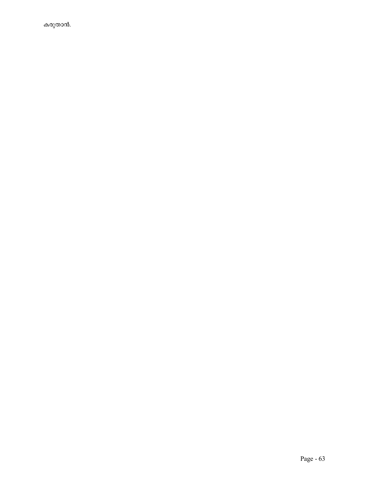കരുതാൻ.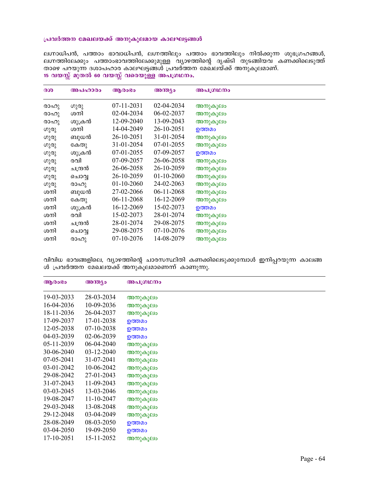## പ്രവർത്തന മേഖലയക്ക് അനുകൂലമായ കാലഘട്ടങ്ങൾ

ലഗ്നാധിപൻ, പത്താം ഭാവാധിപൻ, ലഗ്നത്തിലും പത്താം ഭാവത്തിലും നിൽക്കുന്ന ശുഭഗ്രഹങ്ങൾ, ലഗ്നത്തിലേക്കും പത്താംഭാവത്തിലേക്കുമുള്ള വ്യാഴത്തിന്റെ ദൃഷ്ടി തുടങ്ങിയവ കണ്ക്കിലെടുത്ത് താഴെ പറയുന്ന ദശാപഹാര കാലഘട്ടങ്ങൾ പ്രവര്ത്തന മേഖലയ്ക്ക് അനുകൂലമാണ്. 15 വയസ്സ് മുതൽ 60 വയസ്സ് വരെയുള്ള അപഗ്രഥനം.

| 300  | അപഹാരം  | ആരാഭാ      | അന്ത്യം      | അപഗ്രഥനം |
|------|---------|------------|--------------|----------|
| രാഹു | ഗുരു    | 07-11-2031 | 02-04-2034   | അനുകൂലം  |
| രാഹു | ശനി     | 02-04-2034 | 06-02-2037   | അനുകൂലം  |
| രാഹു | ശുക്രൻ  | 12-09-2040 | 13-09-2043   | അനുകൂലം  |
| ഗുരു | ശനി     | 14-04-2049 | 26-10-2051   | ഉത്തമം   |
| ഗുരു | ബുധൻ    | 26-10-2051 | 31-01-2054   | അനുകൂലം  |
| ഗുരു | കേതു    | 31-01-2054 | 07-01-2055   | അനുകൂലം  |
| ഗുരു | ശുക്രൻ  | 07-01-2055 | 07-09-2057   | ഉത്തമം   |
| ഗുരു | രവി     | 07-09-2057 | 26-06-2058   | അനുകൂലം  |
| ഗുരു | ചന്ദ്രൻ | 26-06-2058 | 26-10-2059   | അനുകൂലം  |
| ഗുരു | ചൊവൃ    | 26-10-2059 | $01-10-2060$ | അനുകൂലം  |
| ഗുരു | രാഹു    | 01-10-2060 | 24-02-2063   | അനുകൂലം  |
| ശനി  | ബുധൻ    | 27-02-2066 | 06-11-2068   | അനുകൂലം  |
| ശനി  | കേതു    | 06-11-2068 | 16-12-2069   | അനുകൂലം  |
| ശനി  | ശുക്രൻ  | 16-12-2069 | 15-02-2073   | ഉത്തമം   |
| ശനി  | രവി     | 15-02-2073 | 28-01-2074   | അനുകൂലം  |
| ശനി  | ചന്ദ്രൻ | 28-01-2074 | 29-08-2075   | അനുകൂലം  |
| ശനി  | ചൊവൃ    | 29-08-2075 | 07-10-2076   | അനുകൂലം  |
| ശനി  | രാഹു    | 07-10-2076 | 14-08-2079   | അനുകൂലം  |

വിവിധ ഭാവങ്ങളിലെ, വ്യാഴത്തിന്റെ ചാരസസ്ഥിതി കണക്കിലെടുക്കുമ്പോൾ ഇനിപ്പറയുന്ന കാലങ്ങ ൾ പ്രവർത്തന മേഖലയ്ക്ക് അനുകൂലമാണെന്ന് കാണുന്നു.

| ആരാഭാ        | അന്ത്യം    | അപഗ്രഥനം |
|--------------|------------|----------|
| 19-03-2033   | 28-03-2034 | അനുകൂലം  |
| 16-04-2036   | 10-09-2036 | അനുകൂലം  |
| 18-11-2036   | 26-04-2037 | അനുകൂലം  |
| 17-09-2037   | 17-01-2038 | ഉത്തമം   |
| 12-05-2038   | 07-10-2038 | ഉത്തമം   |
| 04-03-2039   | 02-06-2039 | ഉത്തമം   |
| $05-11-2039$ | 06-04-2040 | അനുകൂലം  |
| 30-06-2040   | 03-12-2040 | അനുകൂലം  |
| $07-05-2041$ | 31-07-2041 | അനുകൂലം  |
| 03-01-2042   | 10-06-2042 | അനുകൂലം  |
| 29-08-2042   | 27-01-2043 | അനുകൂലം  |
| 31-07-2043   | 11-09-2043 | അനുകൂലം  |
| $03-03-2045$ | 13-03-2046 | അനുകൂലം  |
| 19-08-2047   | 11-10-2047 | അനുകൂലം  |
| 29-03-2048   | 13-08-2048 | അനുകൂലം  |
| 29-12-2048   | 03-04-2049 | അനുകൂലം  |
| 28-08-2049   | 08-03-2050 | ഉത്തമം   |
| 03-04-2050   | 19-09-2050 | ഉത്തമം   |
| 17-10-2051   | 15-11-2052 | അനുകൂലം  |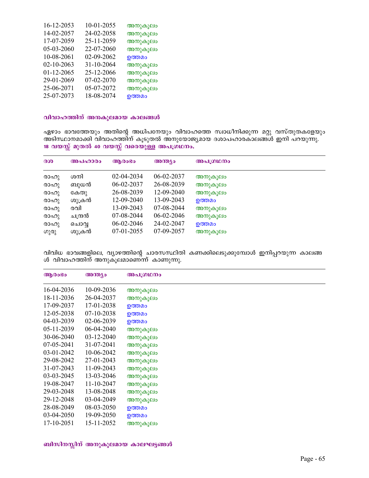| 16-12-2053 | 10-01-2055 | അനുകൂലം |
|------------|------------|---------|
| 14-02-2057 | 24-02-2058 | അനുകൂലം |
| 17-07-2059 | 25-11-2059 | അനുകൂലം |
| 05-03-2060 | 22-07-2060 | അനുകൂലം |
| 10-08-2061 | 02-09-2062 | ഉത്തമം  |
| 02-10-2063 | 31-10-2064 | അനുകൂലം |
| 01-12-2065 | 25-12-2066 | അനുകൂലം |
| 29-01-2069 | 07-02-2070 | അനുകൂലം |
| 25-06-2071 | 05-07-2072 | അനുകൂലം |
| 25-07-2073 | 18-08-2074 | ഉത്തമം  |
|            |            |         |

## വിവാഹത്തിന് അനകൂലമായ കാലങ്ങൾ

ഏഴാം ഭാവത്തേയും അതിന്റെ അധിപനേയും വിവാഹത്തെ സ്വാധീനിക്കുന്ന മറ്റു വസ്തുതകളേയും അടിസ്ഥാനമാക്കി വിവാഹത്തിന് കൂടുതൽ അനുയോജ്യമായ ദശാപഹാരകാലങ്ങൾ ഇനി പറയുന്നു. 18 വയസ്സ് മുതൽ 40 വയസ്സ് വരെയുള്ള അപഗ്രഥനം.

| 300  | അപഹാരം  | ആരാഭം      | അന്ത്യം    | അപഗ്രഥനം |
|------|---------|------------|------------|----------|
| രാഹു | ശനി     | 02-04-2034 | 06-02-2037 | അനുകൂലം  |
| രാഹു | ബുധൻ    | 06-02-2037 | 26-08-2039 | അനുകൂലം  |
| രാഹു | കേതു    | 26-08-2039 | 12-09-2040 | അനുകൂലം  |
| രാഹു | ശുക്രൻ  | 12-09-2040 | 13-09-2043 | ഉത്തമം   |
| രാഹു | രവി     | 13-09-2043 | 07-08-2044 | അനുകൂലം  |
| രാഹു | ചന്ദ്രൻ | 07-08-2044 | 06-02-2046 | അനുകൂലം  |
| രാഹു | ചൊവ്വ   | 06-02-2046 | 24-02-2047 | ഉത്തമം   |
| ഗുരു | ശുക്രൻ  | 07-01-2055 | 07-09-2057 | അനുകൂലം  |

വിവിധ ഭാവങ്ങളിലെ, വ്യാഴത്തിന്റെ ചാരസസ്ഥിതി കണക്കിലെടുക്കുമ്പോൾ ഇനിപ്പറയുന്ന കാലങ്ങ ൾ വിവാഹത്തിന് അനുകൂലമാണെന്ന് കാണുന്നു.

| ആരാഭാ        | അന്ത്യം    | അപഗ്രഥനം |
|--------------|------------|----------|
| 16-04-2036   | 10-09-2036 | അനുകൂലം  |
| 18-11-2036   | 26-04-2037 | അനുകൂലം  |
| 17-09-2037   | 17-01-2038 | ഉത്തമം   |
| 12-05-2038   | 07-10-2038 | ഉത്തമം   |
| 04-03-2039   | 02-06-2039 | ഉത്തമം   |
| 05-11-2039   | 06-04-2040 | അനുകൂലം  |
| 30-06-2040   | 03-12-2040 | അനുകൂലം  |
| $07-05-2041$ | 31-07-2041 | അനുകൂലം  |
| 03-01-2042   | 10-06-2042 | അനുകൂലം  |
| 29-08-2042   | 27-01-2043 | അനുകൂലം  |
| 31-07-2043   | 11-09-2043 | അനുകൂലം  |
| 03-03-2045   | 13-03-2046 | അനുകൂലം  |
| 19-08-2047   | 11-10-2047 | അനുകൂലം  |
| 29-03-2048   | 13-08-2048 | അനുകൂലം  |
| 29-12-2048   | 03-04-2049 | അനുകൂലം  |
| 28-08-2049   | 08-03-2050 | ഉത്തമം   |
| 03-04-2050   | 19-09-2050 | ഉത്തമം   |
| 17-10-2051   | 15-11-2052 | അനുകൂലം  |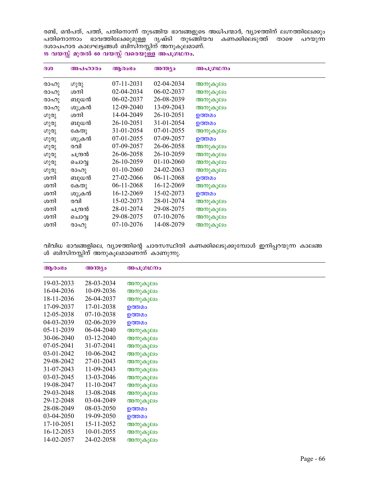രണ്ട്, ഒൻപത്, പത്ത്, പതിനൊന്ന് തുടങ്ങിയ ഭാവങ്ങളുടെ അധിപന്മാർ, വ്യാഴത്തിന് ലഗ്നത്തിലേക്കും പതിനൊന്നാം ഭാവത്തിലേക്കുമുള്ള ദൃഷ്ടി തുടങ്ങിയവ കണക്കിലെ്ടുത്ത് താഴെ പറയുന്ന ദശാപഹാര കാലഘട്ടങ്ങൾ ബിസിനസ്സിന് അനുകൂലമാണ്.  $15$  വയസ്സ് മുതൽ 60 വയസ്സ് വരെയുള്ള അപഗ്രഥനം.

| 300  | അപഹാരം  | ആരാഭാ            | അന്ത്യം      | അപഗ്രഥനം |
|------|---------|------------------|--------------|----------|
| രാഹു | ഗുരു    | $07 - 11 - 2031$ | 02-04-2034   | അനുകൂലം  |
| രാഹു | ശനി     | 02-04-2034       | 06-02-2037   | അനുകൂലം  |
| രാഹു | ബുധൻ    | 06-02-2037       | 26-08-2039   | അനുകൂലം  |
| രാഹു | ശുക്രൻ  | 12-09-2040       | 13-09-2043   | അനുകൂലം  |
| ഗുരു | ശനി     | 14-04-2049       | 26-10-2051   | ഉത്തമം   |
| ഗുരു | ബുധൻ    | 26-10-2051       | 31-01-2054   | ഉത്തമം   |
| ഗുരു | കേതു    | 31-01-2054       | 07-01-2055   | അനുകൂലം  |
| ഗുരു | ശുക്രൻ  | 07-01-2055       | 07-09-2057   | ഉത്തമം   |
| ഗുരു | രവി     | 07-09-2057       | 26-06-2058   | അനുകൂലം  |
| ഗുരു | ചന്ദ്രൻ | 26-06-2058       | 26-10-2059   | അനുകൂലം  |
| ഗുരു | ചൊവ്വ   | 26-10-2059       | $01-10-2060$ | അനുകൂലം  |
| ഗുരു | രാഹു    | $01-10-2060$     | 24-02-2063   | അനുകൂലം  |
| ശനി  | ബുധൻ    | 27-02-2066       | 06-11-2068   | ഉത്തമം   |
| ശനി  | കേതു    | 06-11-2068       | 16-12-2069   | അനുകൂലം  |
| ശനി  | ശുക്രൻ  | 16-12-2069       | 15-02-2073   | ഉത്തമം   |
| ശനി  | രവി     | 15-02-2073       | 28-01-2074   | അനുകൂലം  |
| ശനി  | ചന്ദ്രൻ | 28-01-2074       | 29-08-2075   | അനുകൂലം  |
| ശനി  | ചൊവൃ    | 29-08-2075       | 07-10-2076   | അനുകൂലം  |
| ശനി  | രാഹു    | 07-10-2076       | 14-08-2079   | അനുകൂലം  |

വിവിധ ഭാവങ്ങളിലെ, വ്യാഴത്തിന്റെ ചാരസസ്ഥിതി കണക്കിലെടുക്കുമ്പോൾ ഇനിപ്പറയുന്ന കാലങ്ങ ൾ ബിസിനസ്സിന് അനുകൂലമാണെന്ന് കാണുന്നു.

| ആരാഭാ      | അന്ത്യം    | അപഗ്രഥനം |
|------------|------------|----------|
| 19-03-2033 | 28-03-2034 | അനുകൂലം  |
| 16-04-2036 | 10-09-2036 | അനുകൂലം  |
| 18-11-2036 | 26-04-2037 | അനുകൂലം  |
| 17-09-2037 | 17-01-2038 | ഉത്തമം   |
| 12-05-2038 | 07-10-2038 | ഉത്തമം   |
| 04-03-2039 | 02-06-2039 | ഉത്തമം   |
| 05-11-2039 | 06-04-2040 | അനുകൂലം  |
| 30-06-2040 | 03-12-2040 | അനുകൂലം  |
| 07-05-2041 | 31-07-2041 | അനുകൂലം  |
| 03-01-2042 | 10-06-2042 | അനുകൂലം  |
| 29-08-2042 | 27-01-2043 | അനുകൂലം  |
| 31-07-2043 | 11-09-2043 | അനുകൂലം  |
| 03-03-2045 | 13-03-2046 | അനുകൂലം  |
| 19-08-2047 | 11-10-2047 | അനുകൂലം  |
| 29-03-2048 | 13-08-2048 | അനുകൂലം  |
| 29-12-2048 | 03-04-2049 | അനുകൂലം  |
| 28-08-2049 | 08-03-2050 | ഉത്തമം   |
| 03-04-2050 | 19-09-2050 | ഉത്തമം   |
| 17-10-2051 | 15-11-2052 | അനുകൂലം  |
| 16-12-2053 | 10-01-2055 | അനുകൂലം  |
| 14-02-2057 | 24-02-2058 | അനുകൂലം  |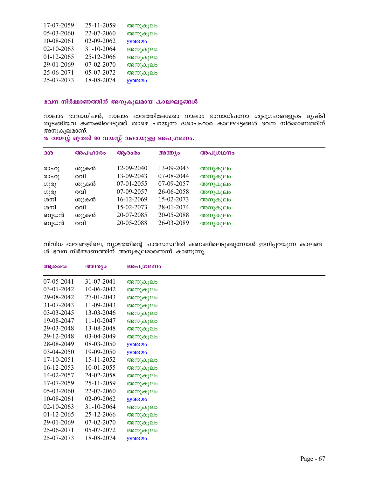| 17-07-2059 | 25-11-2059 | അനുകൂലം |
|------------|------------|---------|
| 05-03-2060 | 22-07-2060 | അനുകൂലം |
| 10-08-2061 | 02-09-2062 | ഉത്തമം  |
| 02-10-2063 | 31-10-2064 | അനുകൂലം |
| 01-12-2065 | 25-12-2066 | അനുകൂലം |
| 29-01-2069 | 07-02-2070 | അനുകൂലം |
| 25-06-2071 | 05-07-2072 | അനുകൂലം |
| 25-07-2073 | 18-08-2074 | ഉത്തമം  |

## ഭവന നിർമ്മാണത്തിന് അനുകൂലമായ കാലഘട്ടങ്ങൾ

നാലാം ഭാവാധിപൻ, നാലാം ഭാവത്തിലേക്കോ നാലാം ഭാവാധിപനോ ശുഭഗ്രഹങ്ങളുടെ ദൃഷ്ടി തുടങ്ങിയവ കണക്കിലെടുത്ത് താഴെ പറയുന്ന ദശാപഹാര കാലഘട്ടങ്ങൾ ഭവന നിര്മ്മാണത്തിന് അനുകൂലമാണ്.

| 300  | അപഹാരം | ആരാഭാ      | അന്ത്യം    | അപഗ്രഥനം |
|------|--------|------------|------------|----------|
| രാഹു | ശുക്രൻ | 12-09-2040 | 13-09-2043 | അനുകൂലം  |
| രാഹു | രവി    | 13-09-2043 | 07-08-2044 | അനുകൂലം  |
| ഗുരു | ശുക്രൻ | 07-01-2055 | 07-09-2057 | അനുകൂലം  |
| ഗുരു | രവി    | 07-09-2057 | 26-06-2058 | അനുകൂലം  |
| ശനി  | ശുക്രൻ | 16-12-2069 | 15-02-2073 | അനുകൂലം  |
| ശനി  | രവി    | 15-02-2073 | 28-01-2074 | അനുകൂലം  |
| ബുധൻ | ശുക്രൻ | 20-07-2085 | 20-05-2088 | അനുകൂലം  |
| ബുധൻ | രവി    | 20-05-2088 | 26-03-2089 | അനുകൂലം  |

 $15$  വയസ്സ് മുതൽ 80 വയസ്സ് വരെയുള്ള അപഗ്രഥനം.

വിവിധ ഭാവങ്ങളിലെ, വ്യാഴത്തിന്റെ ചാരസസ്ഥിതി കണക്കിലെടുക്കുമ്പോൾ ഇനിപ്പറയുന്ന കാലങ്ങ ൾ ഭവന നിർമ്മാണത്തിന് അനുകൂലമാണെന്ന് കാണുന്നു.

| ആരാഭാ            | അന്ത്യം    | അപഗ്രഥനം |  |
|------------------|------------|----------|--|
| 07-05-2041       | 31-07-2041 | അനുകൂലം  |  |
| 03-01-2042       | 10-06-2042 | അനുകൂലം  |  |
| 29-08-2042       | 27-01-2043 | അനുകൂലം  |  |
| 31-07-2043       | 11-09-2043 | അനുകൂലം  |  |
| 03-03-2045       | 13-03-2046 | അനുകൂലം  |  |
| 19-08-2047       | 11-10-2047 | അനുകൂലം  |  |
| 29-03-2048       | 13-08-2048 | അനുകൂലം  |  |
| 29-12-2048       | 03-04-2049 | അനുകൂലം  |  |
| 28-08-2049       | 08-03-2050 | ഉത്തമം   |  |
| 03-04-2050       | 19-09-2050 | ഉത്തമം   |  |
| 17-10-2051       | 15-11-2052 | അനുകൂലം  |  |
| 16-12-2053       | 10-01-2055 | അനുകൂലം  |  |
| 14-02-2057       | 24-02-2058 | അനുകൂലം  |  |
| 17-07-2059       | 25-11-2059 | അനുകൂലം  |  |
| 05-03-2060       | 22-07-2060 | അനുകൂലം  |  |
| 10-08-2061       | 02-09-2062 | ഉത്തമം   |  |
| $02 - 10 - 2063$ | 31-10-2064 | അനുകൂലം  |  |
| $01-12-2065$     | 25-12-2066 | അനുകൂലം  |  |
| 29-01-2069       | 07-02-2070 | അനുകൂലം  |  |
| 25-06-2071       | 05-07-2072 | അനുകൂലം  |  |
| 25-07-2073       | 18-08-2074 | ഉത്തമം   |  |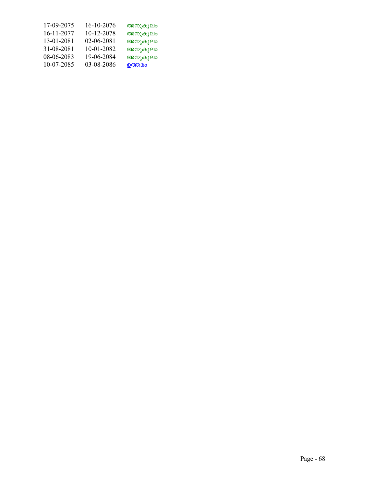| 17-09-2075 | 16-10-2076 | അനുകൂലം |
|------------|------------|---------|
| 16-11-2077 | 10-12-2078 | അനുകൂലം |
| 13-01-2081 | 02-06-2081 | അനുകൂലം |
| 31-08-2081 | 10-01-2082 | അനുകൂലം |
| 08-06-2083 | 19-06-2084 | അനുകൂലം |
| 10-07-2085 | 03-08-2086 | ഉത്തമം  |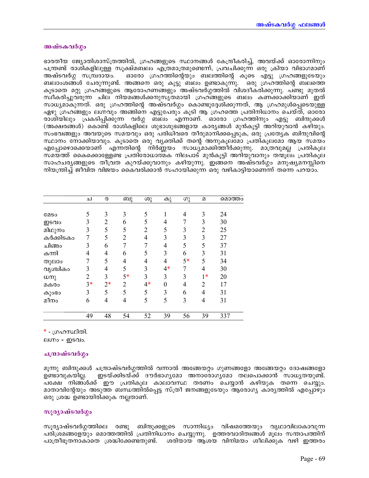## അഷ്ടകവർഗ്ഗം

ഭാരതീയ ജ്യോതിശാസ്ത്രത്തിൽ, ഗ്രഹങ്ങളുടെ സ്ഥാനങ്ങൾ കേന്ദ്രീകരിച്ച്, അവയ്ക്ക് ഓരോന്നിനും പന്ത്രണ്ട് രാശികളിലുള്ള സൂക്ഷ്മബലം എത്രമാത്രമുണ്ടെന്ന്, പ്രവചിക്കുന്ന ഒരു ക്രിയാ വിഭാഗമാണ് അഷ്ടവർഗ്ഗ സമ്പ്രദായം. ഓരോ ഗ്രഹത്തിന്റെയും ബലത്തിന്റെ കൂടെ എട്ടു ഗ്രഹങ്ങളുടേയും ബലാംശങ്ങൾ ചേരുന്നുണ്ട്. അങ്ങനെ ഒരു കൂട്ടു ബലം ഉണ്ടാകുന്നു. ഒരു ഗ്രഹത്തിന്റെ ബലത്തെ കൂടാതെ മറ്റു ഗ്രഹങ്ങളുടെ ആരോഹണങ്ങളും അഷ്ടവർഗ്ഗത്തിൽ വിശദീകരിക്കുന്നു. പണ്ടു മുതൽ സ്വീകരിച്ചുവരുന്ന ചില നിയമങ്ങൾക്കനുസൃതമായി ഗ്രഹങ്ങളുടെ ബലം കണക്കാക്കിയാണ് ഇത് സാധ്യമാകുന്നത്. ഒരു ഗ്രഹത്തിന്റെ അഷ്ടവർഗ്ഗം കൊണ്ടുദ്ദേശിക്കുന്നത്, ആ ഗ്രഹമുൾപ്പെടെയുള്ള ഏഴു ഗ്രഹങ്ങളും ലഗ്നവും അങ്ങിനെ എട്ടുപേരും കൂടി ആ ഗ്രഹത്തെ പ്രതിനിധാനം ചെയ്ത്, ഓരോ രാശിയിലും പ്രകടിപ്പിക്കുന്ന വർഗ്ഗ ബലം എന്നാണ്. ഓരോ ഗ്രഹത്തിനും എട്ടു ബിന്ദുക്കൾ (അക്ഷരങ്ങൾ) കൊണ്ട് രാശികളിലെ ശുഭാശുഭങ്ങളായ കാര്യങ്ങൾ മുൻകൂട്ടി അറിയുവാൻ കഴിയും. സംഭവങ്ങളും അവയുടെ സമയവും ഒരു പരിധിവരെ തീരുമാനിക്കപ്പെടുക, ഒരു പ്രത്യേക ബിന്ദുവിന്റെ സ്ഥാനം നോക്കിയാവും. കൂടാതെ ഒരു വൃക്തിക്ക് തന്റെ അനുകൂലമോ പ്രതികൂലമോ ആയ സമയം എപ്പോഴൊക്കെയാണ് എന്നതിന്റെ നിർണ്ണയം സാധ്യമാക്കിത്തീർക്കുന്നു. മാത്രവുമല്ല പ്രതികൂല സമയത്ത് കൈക്കൊള്ളേണ്ട പ്രതിരോധാത്മക നിലപാട് മുൻകൂട്ടി അറിയുവാനും തന്മൂലം പ്രതികൂല സാഹചര്യങ്ങളുടെ തീവ്രത കുറയ്ക്കുവാനും കഴിയുന്നു. ഇങ്ങനെ അഷ്ടവർഗ്ഗം മനുഷ്യമനസ്സിനെ നിയന്ത്രിച്ച് ജീവിത വിജയം കൈവരിക്കാൻ സഹായിക്കുന്ന ഒരു വഴികാട്ടിയാണെന്ന് തന്നെ പറയാം.

|             | ച              | ര              | ബു             | ശു             | കു   | ഗു   | $\mathfrak{D}$ | മൊത്തം |
|-------------|----------------|----------------|----------------|----------------|------|------|----------------|--------|
|             |                |                |                |                |      |      |                |        |
| <b>COSO</b> | 5              | 3              | 3              | 5              |      | 4    | 3              | 24     |
| ഇടവം        | 3              | $\overline{2}$ | 6              | 5              | 4    | 7    | 3              | 30     |
| മിഥുനം      | 3              | 5              | 5              | $\overline{2}$ | 5    | 3    | $\overline{2}$ | 25     |
| കർക്കിടകം   | 7              | 5              | $\overline{2}$ | 4              | 3    | 3    | 3              | 27     |
| ചിങ്ങം      | 3              | 6              | 7              | 7              | 4    | 5    | 5              | 37     |
| കന്നി       | 4              | 4              | 6              | 5              | 3    | 6    | 3              | 31     |
| തുലാം       | 7              | 5              | 4              | 4              | 4    | $5*$ | 5              | 34     |
| വൃശ്ചികം    | 3              | $\overline{4}$ | 5              | 3              | $4*$ | 7    | 4              | 30     |
| ധനു         | $\overline{2}$ | 3              | $5*$           | 3              | 3    | 3    | $1*$           | 20     |
| മകരം        | $3*$           | $2*$           | $\overline{2}$ | $4*$           | 0    | 4    | $\overline{2}$ |        |
| കുാഭാ       | 3              | 5              | 5              | 5              | 3    | 6    | 4              | 31     |
| മീനം        | 6              | 4              | $\overline{4}$ | 5              | 5    | 3    | 4              | 31     |
|             | 49             | 48             | 54             | 52             | 39   | 56   | 39             | 337    |

\* - ഗ്രഹസ്ഥിതി.

ലഗ്നം - ഇടവം.

## ചന്ദ്രാഷ്ടവർഗ്ഗം

മൂന്നു ബിന്ദുക്കൾ ചന്ദ്രാഷ്ടവർഗ്ഗത്തിൽ വന്നാൽ അങ്ങേയറ്റം ഗുണങ്ങളോ അങ്ങേയറ്റം ദോഷങ്ങളോ \_ ഇടയ്ക്കിടയ്ക്ക് ദൗർഭാഗൃമോ അനാരോഗൃമോ തലപൊക്കാൻ സാധൃതയുണ്ട്. ഉണ്ടാവുകയില്ല. പക്ഷേ നിങ്ങൾക്ക് ഈ പ്രതികൂല കാലാവസ്ഥ തരണം ചെയ്യാൻ കഴിയുക തന്നെ ചെയ്യും. മാതാവിന്റേയും അടുത്ത ബന്ധത്തിൽപ്പെട്ട സ്ത്രീ ജനങ്ങളുടേയും ആരോഗ്യ കാര്യത്തിൽ എപ്പോഴും ഒരു ശ്രദ്ധ ഉണ്ടായിരിക്കുക നല്ലതാണ്.

## സുര്യാഷ്ടവർഗ്ഗം

സൂര്യാഷ്ടവർഗ്ഗത്തിലെ രണ്ടു ബിന്ദുക്കളുടെ സാന്നിധ്യം വിഷമത്തേയും വൃഥാവിലാകാവുന്ന പരിശ്രമങ്ങളേയും മൊത്തത്തിൽ പ്രതിനിധാനം ചെയ്യുന്നു. ഉത്തരവാദിത്വങ്ങൾ മൂലം സന്താപത്തിന് പാത്രീഭൂതനാകാതെ ശ്രദ്ധിക്കേണ്ടതുണ്ട്. ശരിയായ ആശയ വിനിമയം ശീലിക്കുക വഴി ഇത്തരം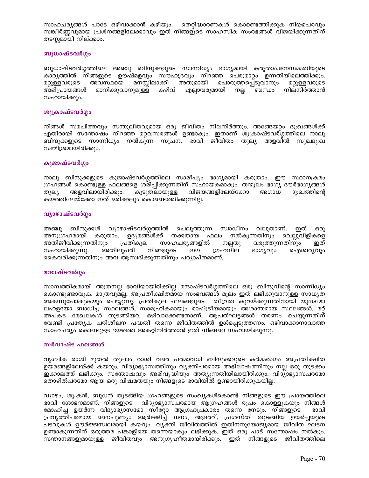സാഹചര്യങ്ങൾ പാടേ ഒഴിവാക്കാൻ കഴിയും. തെറ്റിദ്ധാരണകൾ കൊണ്ടെത്തിക്കുക നിയമപരവും സങ്കീർണ്ണവുമായ പ്രശ്നങ്ങളിലേക്കാവും ഇത് നിങ്ങളുടെ സാഹസിക സംരഭങ്ങൾ വിജയിക്കുന്നതിന് തടസ്സമായി നില്ക്കാം.

## ബുധാഷ്ടവർഗ്ഗം

ബുധാഷ്ടവർഗ്ഗത്തിലെ അഞ്ചു ബിന്ദുക്കളുടെ സാന്നിധ്യം ഭാഗ്യമായി കരുതാം.ജനസമ്മതിയുടെ കാരൃത്തിൽ നിങ്ങളുടെ ഊഷ്മളവും സൗഹൃദവും നിറഞ്ഞ പെരുമാറ്റം ഉന്നതിയിലെത്തിക്കും. മനസ്സിലാക്കി അതുമായി പൊരുത്തപ്പെടുവാനും മറ്റുള്ളവരുടെ അവസ്ഥയെ മറ്റുള്ളവരുടെ മാനിക്കുവാനുമുള്ള കഴിവ് എല്ലാവരുമായി നല്ല അഭിപ്രായങ്ങൾ ബന്ധം നിലനിർത്താൻ സഹായിക്കും.

## ശുക്രാഷ്ടവർഗ്ഗം

നിങ്ങൾ സമചിത്തവും സന്തുലിതവുമായ ഒരു ജീവിതം നിലനിർത്തും. അങ്ങേയറ്റം ദു:ഖങ്ങൾക്ക് എതിരായി സന്തോഷം നിറഞ്ഞ മറ്റവസരങ്ങൾ ഉണ്ടാകും. ഇതാണ് ശുക്രാഷ്ടവര്ഗ്ഗത്തിലെ നാലു ബിന്ദുക്കളുടെ സാന്നിധ്യം നൽകുന്ന സൂചന. ഭാവി ജീവിതം തുല്യ അളവിൽ സുഖദു:ഖ സമ്മിശ്രമായിരിക്കും.

## കുജാഷ്ടവർഗ്ഗം

നാലു ബിന്ദുക്കളുടെ കുജാഷ്ടവർഗ്ഗത്തിലെ സാമീപ്യം ഭാഗ്യമായി കരുതാം. ഈ സ്ഥാനക്രമം ഗ്രഹങ്ങൾ കൊണ്ടുള്ള ഫലങ്ങളെ ശമിപ്പിക്കുന്നതിന് സഹായകമാകും. തന്മൂലം ഭാഗൃ ദൗർഭാഗൃങ്ങൾ തുല്യ അളവിലായിരിക്കും. കുടുതലായുള്ള വിജയങ്ങളിലേയ്ക്കോ അഗാധ ദു:ഖത്തിന്റെ കയത്തിലേയ്ക്കോ ഇത് ഒരിക്കലും കൊണ്ടെത്തിക്കുന്നില്ല.

## വ്യാഴാഷ്ടവർഗ്ഗം

അഞ്ചു ബിന്ദുക്കൾ വ്യാഴാഷ്ടവർഗ്ഗത്തിൽ ചെലുത്തുന്ന സ്വാധീനം വലുതാണ്. ഇത് ഒരു അനുഗ്രഹമായി കരുതാം. ഉദ്യമങ്ങൾക്ക് തക്കതായ ഫലം നൽകുന്നതിനും വെല്ലുവിളികളെ അതിജീവിക്കുന്നതിനും പ്രതികൂല സാഹചര്യങ്ങളിൽ വരുത്തുന്നതിനും നല്ലതു ഇത് നിങ്ങളുടെ സഹായിക്കുന്നു. അതിലുപരി ഈ ഗ്രഹനില ഭാരുവും ഐശ്വര്യവും കൈവരിക്കുന്നതിനും അവ ആസ്വദിക്കുന്നതിനും പര്യാപ്തമാണ്.

## മന്ദാഷ്ടവർഗ്ഗം

സാമ്പത്തികമായി അത്രനല്ല ഭാവിയായിരിക്കില്ല മന്ദാഷ്ടവർഗ്ഗത്തിലെ ഒരു ബിന്ദുവിന്റെ സാന്നിധ്യം കൊണ്ടുണ്ടാവുക. മാത്രവുമല്ല, അപ്രതീക്ഷിതമായ സംഭവങ്ങൾ മൂലം ഇത് ലഭിക്കുവാനുള്ള സാധ്യത അകന്നുപോകുകയും ചെയ്യുന്നു. പ്രതികൂല ഫലങ്ങളുടെ തീവ്രത കുറയ്ക്കുന്നതിനായി യുദ്ധമോ ലഹളയോ ബാധിച്ച സ്ഥലങ്ങൾ, സാമൂഹികമായും രാഷ്ട്രീയമായും അശാന്തമായ സ്ഥലങ്ങൾ, മറ്റ് അപകട മേഖലകൾ തുടങ്ങിയവ ഒഴിവാക്കേണ്ടതാണ്. ആപത്ഘട്ടങ്ങൾ തരണം ചെയ്യുന്നതിന് വേണ്ടി പ്രത്യേക പരിശീലന പദ്ധതി തന്നെ ജീവിതത്തിൽ ഉൾപ്പെടുത്തണം. ഒഴിവാക്കാനാവാത്ത സാഹചര്യം കൊണ്ടുള്ള ഭയത്തെ അകറ്റിനിർത്താൻ ഇത് നിങ്ങളെ സഹായിക്കുന്നു.

## സർവാഷ്ട ഫലങ്ങൾ

വൃശ്ചിക രാശി മുതൽ തുലാം രാശി വരെ പരമാവധി ബിന്ദുക്കളുടെ കർമ്മരംഗം അപ്രതീക്ഷിത ഉയരങ്ങളിലേയ്ക്ക് കയറും. വിദ്യാഭ്യാസത്തിനും വ്യക്തിപരമായ അഭിലാഷത്തിനും നല്ല ഒരു തുടക്കം ഇക്കാലത്ത് ലഭിക്കും. സന്തോഷവും അഭിവൃദ്ധിയും അത്യുന്നതിയിലായിരിക്കും. വിദ്യാഭ്യാസപരമോ തൊഴിൽപരമോ ആയ ഒരു വിഷമതയും നിങ്ങളുടെ ഭാവിയിൽ ഉണ്ടായിരിക്കുകയില്ല.

വ്യാഴം, ശുക്രൻ, ബുധൻ തുടങ്ങിയ ഗ്രഹങ്ങളുടെ സംഖ്യകൾകൊണ്ട് നിങ്ങളുടെ ഈ പ്രായത്തിലെ ഭാവി ശോഭനമാണ്. നിങ്ങളുടെ വിദ്യാഭ്യാസപരമായ ആഗ്രഹങ്ങൾ രൂപം കൊള്ളുകയും നിങ്ങൾ മോഹിച്ച ഉയർന്ന വിദ്യാഭ്യാസമോ സീറ്റോ ആഗ്രഹപ്രകാരം തന്നെ നേടും. നിങ്ങളുടെ ഭാവി പ്രവൃത്തിപരമായ നൈപുണ്യം ആർജ്ജിച്ച് ധനം, ആദരവ്, പ്രശസ്തി തുടങ്ങിയ ഉയർച്ചയുടെ പടവുകൾ ഊർജ്ജസ്വലമായി കയറും. വ്യക്തി ജീവിതത്തിൽ ഇതിനനുയോജ്യമായ ജീവിത ഘടന ഉണ്ടാകുന്നതിന് ഒരുത്തമ പങ്കാളിയെ തന്നെയാകും ലഭിക്കുക. ഇത് ഒരു പാട് സന്തോഷം നൽകും. സന്താനങ്ങളുമായുള്ള ജീവിതവും അനുഗൃഹീതമായിരിക്കും. ഇത് നിങ്ങളുടെ ജീവിതത്തിലെ